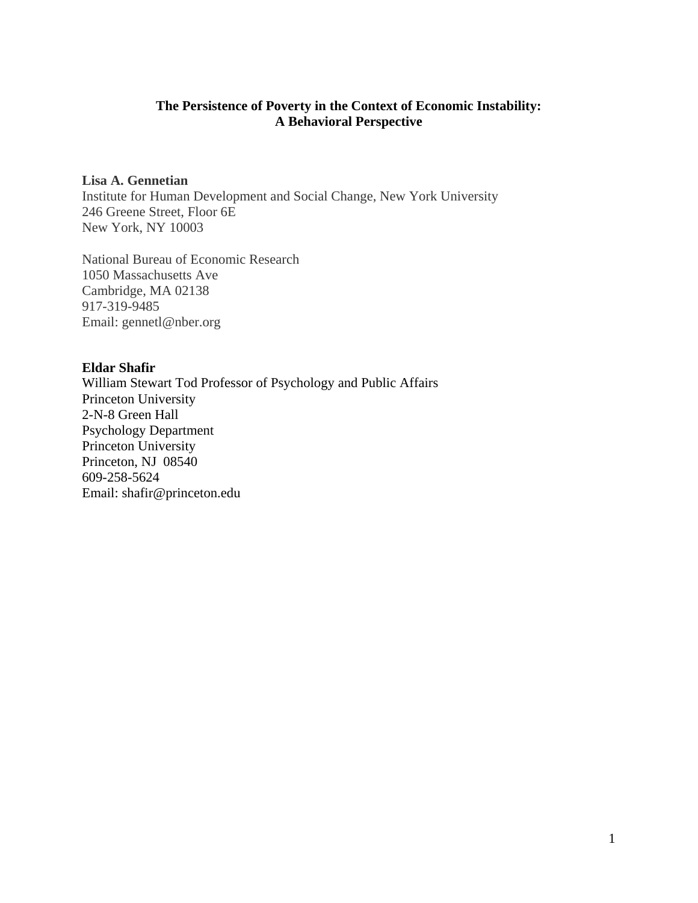# **The Persistence of Poverty in the Context of Economic Instability: A Behavioral Perspective**

# **Lisa A. Gennetian**

Institute for Human Development and Social Change, New York University 246 Greene Street, Floor 6E New York, NY 10003

National Bureau of Economic Research 1050 Massachusetts Ave Cambridge, MA 02138 917-319-9485 Email: gennetl@nber.org

# **Eldar Shafir**

William Stewart Tod Professor of Psychology and Public Affairs Princeton University 2-N-8 Green Hall Psychology Department Princeton University Princeton, NJ 08540 609-258-5624 Email: shafir@princeton.edu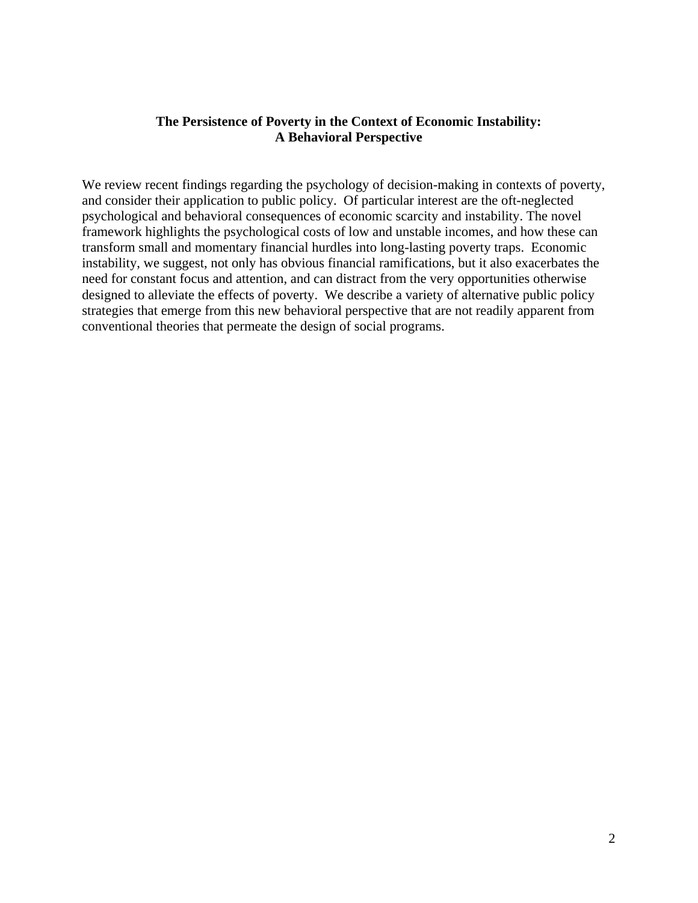# **The Persistence of Poverty in the Context of Economic Instability: A Behavioral Perspective**

We review recent findings regarding the psychology of decision-making in contexts of poverty, and consider their application to public policy. Of particular interest are the oft-neglected psychological and behavioral consequences of economic scarcity and instability. The novel framework highlights the psychological costs of low and unstable incomes, and how these can transform small and momentary financial hurdles into long-lasting poverty traps. Economic instability, we suggest, not only has obvious financial ramifications, but it also exacerbates the need for constant focus and attention, and can distract from the very opportunities otherwise designed to alleviate the effects of poverty. We describe a variety of alternative public policy strategies that emerge from this new behavioral perspective that are not readily apparent from conventional theories that permeate the design of social programs.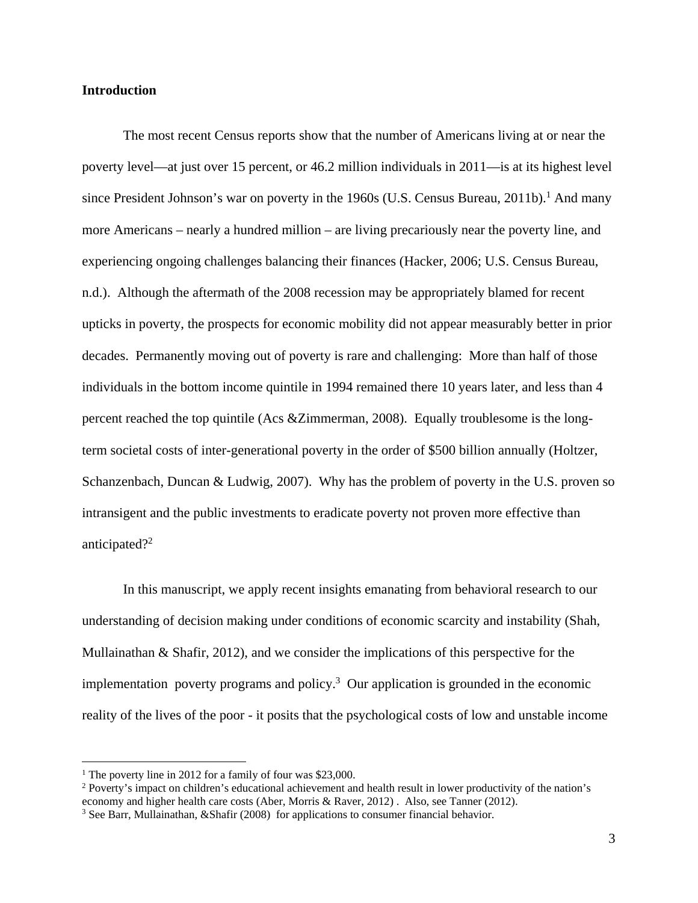### **Introduction**

The most recent Census reports show that the number of Americans living at or near the poverty level—at just over 15 percent, or 46.2 million individuals in 2011—is at its highest level since President Johnson's war on poverty in the 1960s (U.S. Census Bureau, 2011b).<sup>1</sup> And many more Americans – nearly a hundred million – are living precariously near the poverty line, and experiencing ongoing challenges balancing their finances (Hacker, 2006; U.S. Census Bureau, n.d.). Although the aftermath of the 2008 recession may be appropriately blamed for recent upticks in poverty, the prospects for economic mobility did not appear measurably better in prior decades. Permanently moving out of poverty is rare and challenging: More than half of those individuals in the bottom income quintile in 1994 remained there 10 years later, and less than 4 percent reached the top quintile (Acs &Zimmerman, 2008). Equally troublesome is the longterm societal costs of inter-generational poverty in the order of \$500 billion annually (Holtzer, Schanzenbach, Duncan & Ludwig, 2007). Why has the problem of poverty in the U.S. proven so intransigent and the public investments to eradicate poverty not proven more effective than anticipated?<sup>2</sup>

In this manuscript, we apply recent insights emanating from behavioral research to our understanding of decision making under conditions of economic scarcity and instability (Shah, Mullainathan & Shafir, 2012), and we consider the implications of this perspective for the implementation poverty programs and policy.<sup>3</sup> Our application is grounded in the economic reality of the lives of the poor - it posits that the psychological costs of low and unstable income

 $\overline{a}$ 

<sup>&</sup>lt;sup>1</sup> The poverty line in 2012 for a family of four was \$23,000.

<sup>&</sup>lt;sup>2</sup> Poverty's impact on children's educational achievement and health result in lower productivity of the nation's economy and higher health care costs (Aber, Morris & Raver, 2012). Also, see Tanner (2012).

 $3$  See Barr, Mullainathan, & Shafir (2008) for applications to consumer financial behavior.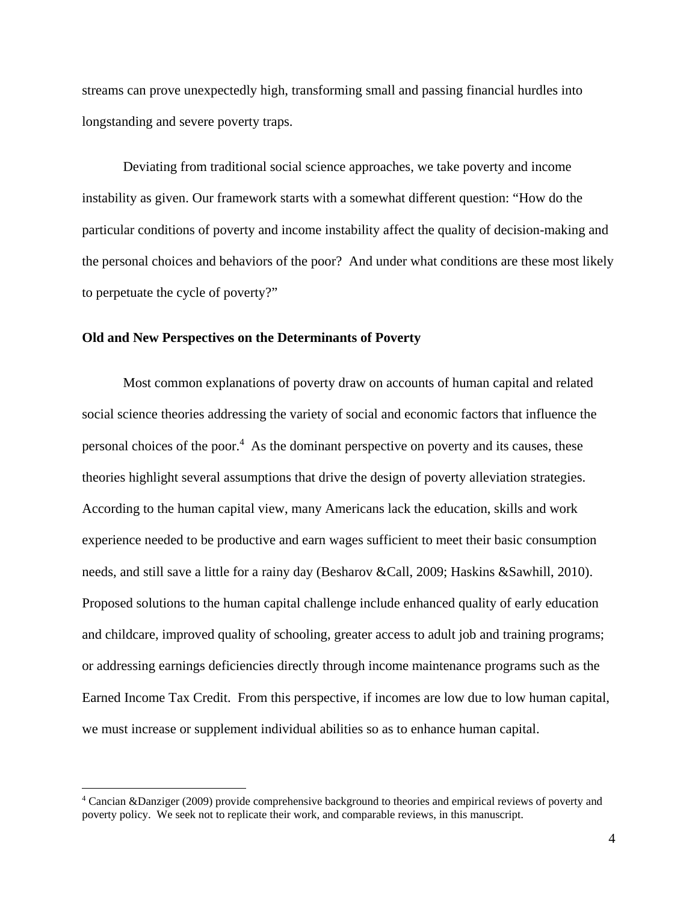streams can prove unexpectedly high, transforming small and passing financial hurdles into longstanding and severe poverty traps.

Deviating from traditional social science approaches, we take poverty and income instability as given. Our framework starts with a somewhat different question: "How do the particular conditions of poverty and income instability affect the quality of decision-making and the personal choices and behaviors of the poor? And under what conditions are these most likely to perpetuate the cycle of poverty?"

#### **Old and New Perspectives on the Determinants of Poverty**

 $\overline{a}$ 

Most common explanations of poverty draw on accounts of human capital and related social science theories addressing the variety of social and economic factors that influence the personal choices of the poor.<sup>4</sup> As the dominant perspective on poverty and its causes, these theories highlight several assumptions that drive the design of poverty alleviation strategies. According to the human capital view, many Americans lack the education, skills and work experience needed to be productive and earn wages sufficient to meet their basic consumption needs, and still save a little for a rainy day (Besharov &Call, 2009; Haskins &Sawhill, 2010). Proposed solutions to the human capital challenge include enhanced quality of early education and childcare, improved quality of schooling, greater access to adult job and training programs; or addressing earnings deficiencies directly through income maintenance programs such as the Earned Income Tax Credit. From this perspective, if incomes are low due to low human capital, we must increase or supplement individual abilities so as to enhance human capital.

<sup>4</sup> Cancian &Danziger (2009) provide comprehensive background to theories and empirical reviews of poverty and poverty policy. We seek not to replicate their work, and comparable reviews, in this manuscript.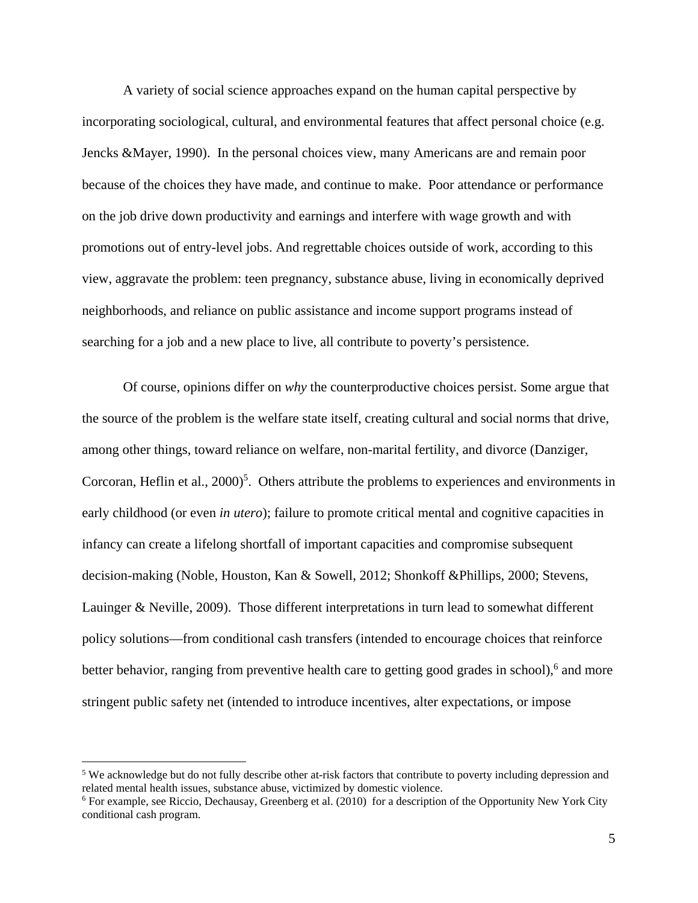A variety of social science approaches expand on the human capital perspective by incorporating sociological, cultural, and environmental features that affect personal choice (e.g. Jencks &Mayer, 1990). In the personal choices view, many Americans are and remain poor because of the choices they have made, and continue to make. Poor attendance or performance on the job drive down productivity and earnings and interfere with wage growth and with promotions out of entry-level jobs. And regrettable choices outside of work, according to this view, aggravate the problem: teen pregnancy, substance abuse, living in economically deprived neighborhoods, and reliance on public assistance and income support programs instead of searching for a job and a new place to live, all contribute to poverty's persistence.

Of course, opinions differ on *why* the counterproductive choices persist. Some argue that the source of the problem is the welfare state itself, creating cultural and social norms that drive, among other things, toward reliance on welfare, non-marital fertility, and divorce (Danziger, Corcoran, Heflin et al.,  $2000$ <sup>5</sup>. Others attribute the problems to experiences and environments in early childhood (or even *in utero*); failure to promote critical mental and cognitive capacities in infancy can create a lifelong shortfall of important capacities and compromise subsequent decision-making (Noble, Houston, Kan & Sowell, 2012; Shonkoff &Phillips, 2000; Stevens, Lauinger & Neville, 2009). Those different interpretations in turn lead to somewhat different policy solutions—from conditional cash transfers (intended to encourage choices that reinforce better behavior, ranging from preventive health care to getting good grades in school),<sup>6</sup> and more stringent public safety net (intended to introduce incentives, alter expectations, or impose

 $\overline{a}$ 

<sup>&</sup>lt;sup>5</sup> We acknowledge but do not fully describe other at-risk factors that contribute to poverty including depression and related mental health issues, substance abuse, victimized by domestic violence.

<sup>&</sup>lt;sup>6</sup> For example, see Riccio, Dechausay, Greenberg et al. (2010) for a description of the Opportunity New York City conditional cash program.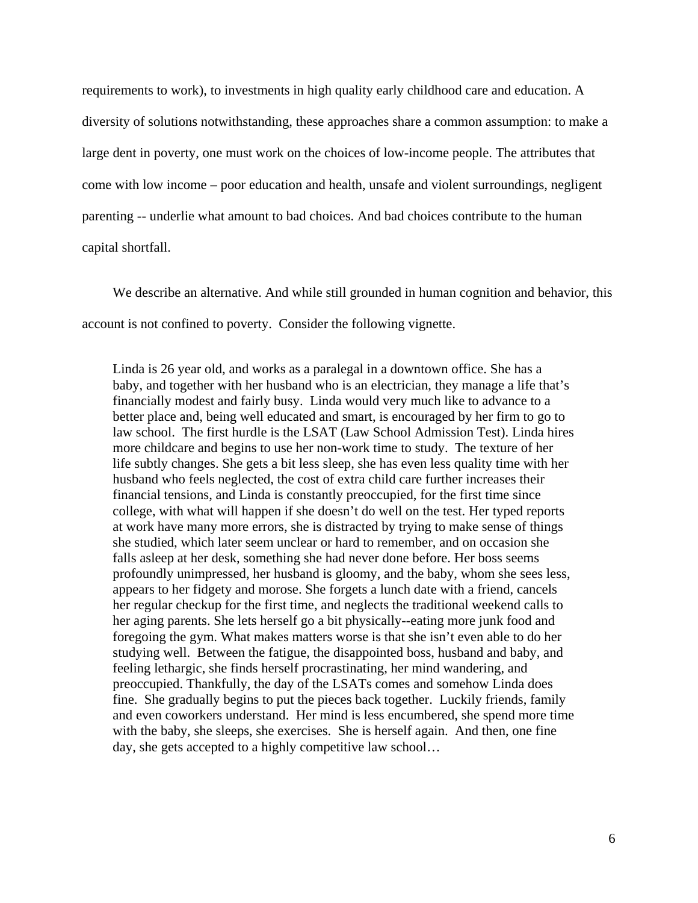requirements to work), to investments in high quality early childhood care and education. A diversity of solutions notwithstanding, these approaches share a common assumption: to make a large dent in poverty, one must work on the choices of low-income people. The attributes that come with low income – poor education and health, unsafe and violent surroundings, negligent parenting -- underlie what amount to bad choices. And bad choices contribute to the human capital shortfall.

We describe an alternative. And while still grounded in human cognition and behavior, this account is not confined to poverty. Consider the following vignette.

Linda is 26 year old, and works as a paralegal in a downtown office. She has a baby, and together with her husband who is an electrician, they manage a life that's financially modest and fairly busy. Linda would very much like to advance to a better place and, being well educated and smart, is encouraged by her firm to go to law school. The first hurdle is the LSAT (Law School Admission Test). Linda hires more childcare and begins to use her non-work time to study. The texture of her life subtly changes. She gets a bit less sleep, she has even less quality time with her husband who feels neglected, the cost of extra child care further increases their financial tensions, and Linda is constantly preoccupied, for the first time since college, with what will happen if she doesn't do well on the test. Her typed reports at work have many more errors, she is distracted by trying to make sense of things she studied, which later seem unclear or hard to remember, and on occasion she falls asleep at her desk, something she had never done before. Her boss seems profoundly unimpressed, her husband is gloomy, and the baby, whom she sees less, appears to her fidgety and morose. She forgets a lunch date with a friend, cancels her regular checkup for the first time, and neglects the traditional weekend calls to her aging parents. She lets herself go a bit physically--eating more junk food and foregoing the gym. What makes matters worse is that she isn't even able to do her studying well. Between the fatigue, the disappointed boss, husband and baby, and feeling lethargic, she finds herself procrastinating, her mind wandering, and preoccupied. Thankfully, the day of the LSATs comes and somehow Linda does fine. She gradually begins to put the pieces back together. Luckily friends, family and even coworkers understand. Her mind is less encumbered, she spend more time with the baby, she sleeps, she exercises. She is herself again. And then, one fine day, she gets accepted to a highly competitive law school…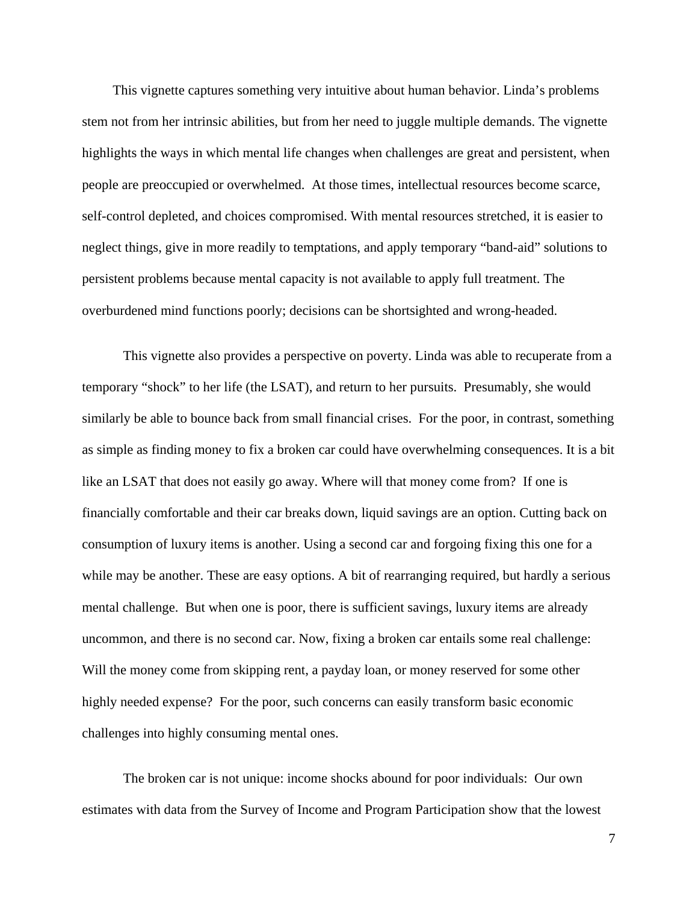This vignette captures something very intuitive about human behavior. Linda's problems stem not from her intrinsic abilities, but from her need to juggle multiple demands. The vignette highlights the ways in which mental life changes when challenges are great and persistent, when people are preoccupied or overwhelmed. At those times, intellectual resources become scarce, self-control depleted, and choices compromised. With mental resources stretched, it is easier to neglect things, give in more readily to temptations, and apply temporary "band-aid" solutions to persistent problems because mental capacity is not available to apply full treatment. The overburdened mind functions poorly; decisions can be shortsighted and wrong-headed.

This vignette also provides a perspective on poverty. Linda was able to recuperate from a temporary "shock" to her life (the LSAT), and return to her pursuits. Presumably, she would similarly be able to bounce back from small financial crises. For the poor, in contrast, something as simple as finding money to fix a broken car could have overwhelming consequences. It is a bit like an LSAT that does not easily go away. Where will that money come from? If one is financially comfortable and their car breaks down, liquid savings are an option. Cutting back on consumption of luxury items is another. Using a second car and forgoing fixing this one for a while may be another. These are easy options. A bit of rearranging required, but hardly a serious mental challenge. But when one is poor, there is sufficient savings, luxury items are already uncommon, and there is no second car. Now, fixing a broken car entails some real challenge: Will the money come from skipping rent, a payday loan, or money reserved for some other highly needed expense? For the poor, such concerns can easily transform basic economic challenges into highly consuming mental ones.

The broken car is not unique: income shocks abound for poor individuals: Our own estimates with data from the Survey of Income and Program Participation show that the lowest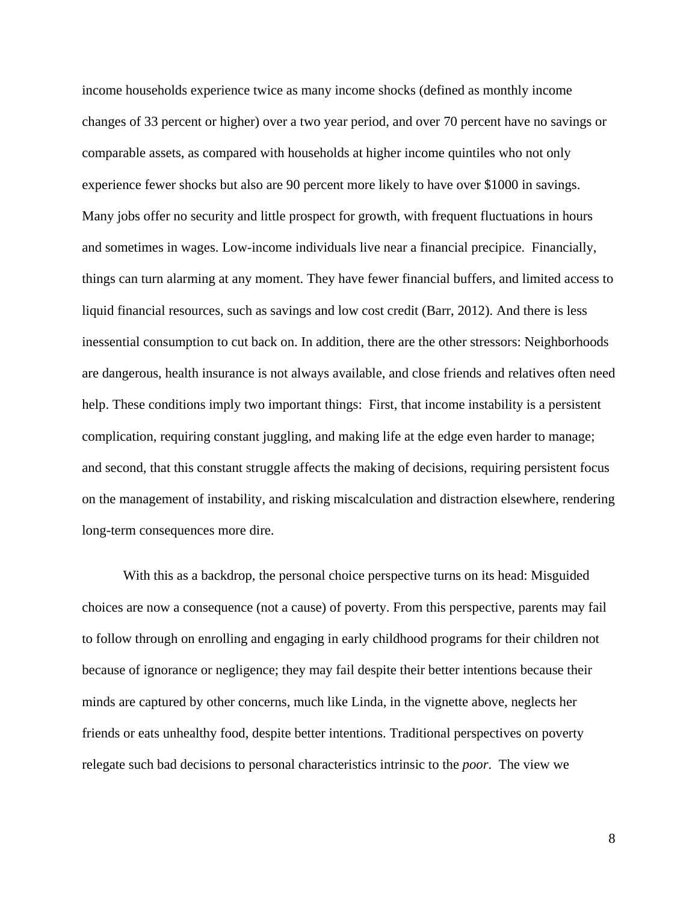income households experience twice as many income shocks (defined as monthly income changes of 33 percent or higher) over a two year period, and over 70 percent have no savings or comparable assets, as compared with households at higher income quintiles who not only experience fewer shocks but also are 90 percent more likely to have over \$1000 in savings. Many jobs offer no security and little prospect for growth, with frequent fluctuations in hours and sometimes in wages. Low-income individuals live near a financial precipice. Financially, things can turn alarming at any moment. They have fewer financial buffers, and limited access to liquid financial resources, such as savings and low cost credit (Barr, 2012). And there is less inessential consumption to cut back on. In addition, there are the other stressors: Neighborhoods are dangerous, health insurance is not always available, and close friends and relatives often need help. These conditions imply two important things: First, that income instability is a persistent complication, requiring constant juggling, and making life at the edge even harder to manage; and second, that this constant struggle affects the making of decisions, requiring persistent focus on the management of instability, and risking miscalculation and distraction elsewhere, rendering long-term consequences more dire.

With this as a backdrop, the personal choice perspective turns on its head: Misguided choices are now a consequence (not a cause) of poverty. From this perspective, parents may fail to follow through on enrolling and engaging in early childhood programs for their children not because of ignorance or negligence; they may fail despite their better intentions because their minds are captured by other concerns, much like Linda, in the vignette above, neglects her friends or eats unhealthy food, despite better intentions. Traditional perspectives on poverty relegate such bad decisions to personal characteristics intrinsic to the *poor*. The view we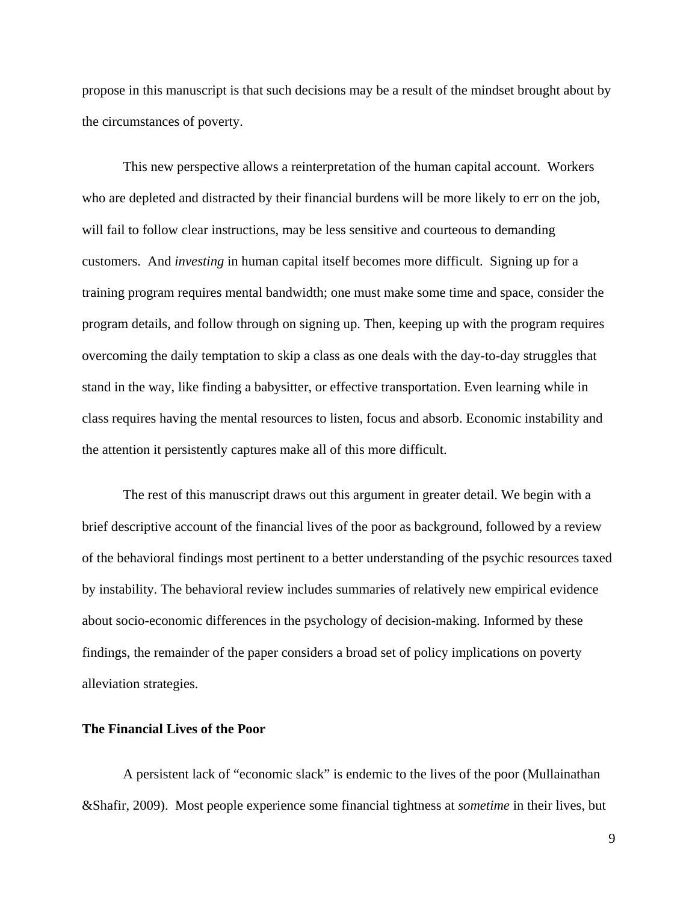propose in this manuscript is that such decisions may be a result of the mindset brought about by the circumstances of poverty.

This new perspective allows a reinterpretation of the human capital account. Workers who are depleted and distracted by their financial burdens will be more likely to err on the job, will fail to follow clear instructions, may be less sensitive and courteous to demanding customers. And *investing* in human capital itself becomes more difficult. Signing up for a training program requires mental bandwidth; one must make some time and space, consider the program details, and follow through on signing up. Then, keeping up with the program requires overcoming the daily temptation to skip a class as one deals with the day-to-day struggles that stand in the way, like finding a babysitter, or effective transportation. Even learning while in class requires having the mental resources to listen, focus and absorb. Economic instability and the attention it persistently captures make all of this more difficult.

The rest of this manuscript draws out this argument in greater detail. We begin with a brief descriptive account of the financial lives of the poor as background, followed by a review of the behavioral findings most pertinent to a better understanding of the psychic resources taxed by instability. The behavioral review includes summaries of relatively new empirical evidence about socio-economic differences in the psychology of decision-making. Informed by these findings, the remainder of the paper considers a broad set of policy implications on poverty alleviation strategies.

# **The Financial Lives of the Poor**

A persistent lack of "economic slack" is endemic to the lives of the poor (Mullainathan &Shafir, 2009). Most people experience some financial tightness at *sometime* in their lives, but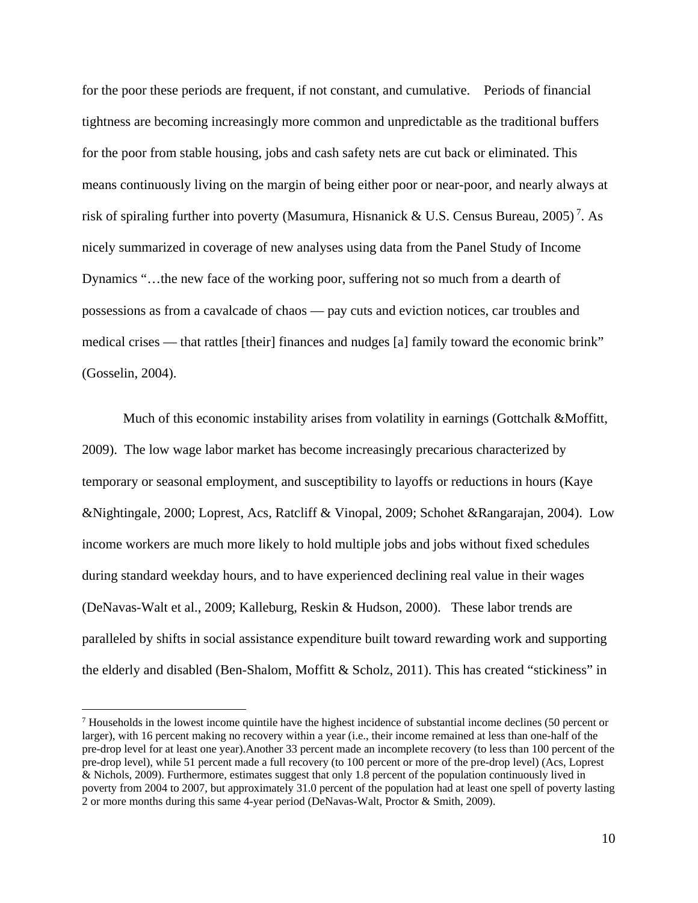for the poor these periods are frequent, if not constant, and cumulative. Periods of financial tightness are becoming increasingly more common and unpredictable as the traditional buffers for the poor from stable housing, jobs and cash safety nets are cut back or eliminated. This means continuously living on the margin of being either poor or near-poor, and nearly always at risk of spiraling further into poverty (Masumura, Hisnanick & U.S. Census Bureau, 2005)<sup>7</sup>. As nicely summarized in coverage of new analyses using data from the Panel Study of Income Dynamics "…the new face of the working poor, suffering not so much from a dearth of possessions as from a cavalcade of chaos — pay cuts and eviction notices, car troubles and medical crises — that rattles [their] finances and nudges [a] family toward the economic brink" (Gosselin, 2004).

Much of this economic instability arises from volatility in earnings (Gottchalk &Moffitt, 2009). The low wage labor market has become increasingly precarious characterized by temporary or seasonal employment, and susceptibility to layoffs or reductions in hours (Kaye &Nightingale, 2000; Loprest, Acs, Ratcliff & Vinopal, 2009; Schohet &Rangarajan, 2004). Low income workers are much more likely to hold multiple jobs and jobs without fixed schedules during standard weekday hours, and to have experienced declining real value in their wages (DeNavas-Walt et al., 2009; Kalleburg, Reskin & Hudson, 2000). These labor trends are paralleled by shifts in social assistance expenditure built toward rewarding work and supporting the elderly and disabled (Ben-Shalom, Moffitt & Scholz, 2011). This has created "stickiness" in

 $<sup>7</sup>$  Households in the lowest income quintile have the highest incidence of substantial income declines (50 percent or</sup> larger), with 16 percent making no recovery within a year (i.e., their income remained at less than one-half of the pre-drop level for at least one year).Another 33 percent made an incomplete recovery (to less than 100 percent of the pre-drop level), while 51 percent made a full recovery (to 100 percent or more of the pre-drop level) (Acs, Loprest & Nichols, 2009). Furthermore, estimates suggest that only 1.8 percent of the population continuously lived in poverty from 2004 to 2007, but approximately 31.0 percent of the population had at least one spell of poverty lasting 2 or more months during this same 4-year period (DeNavas-Walt, Proctor & Smith, 2009).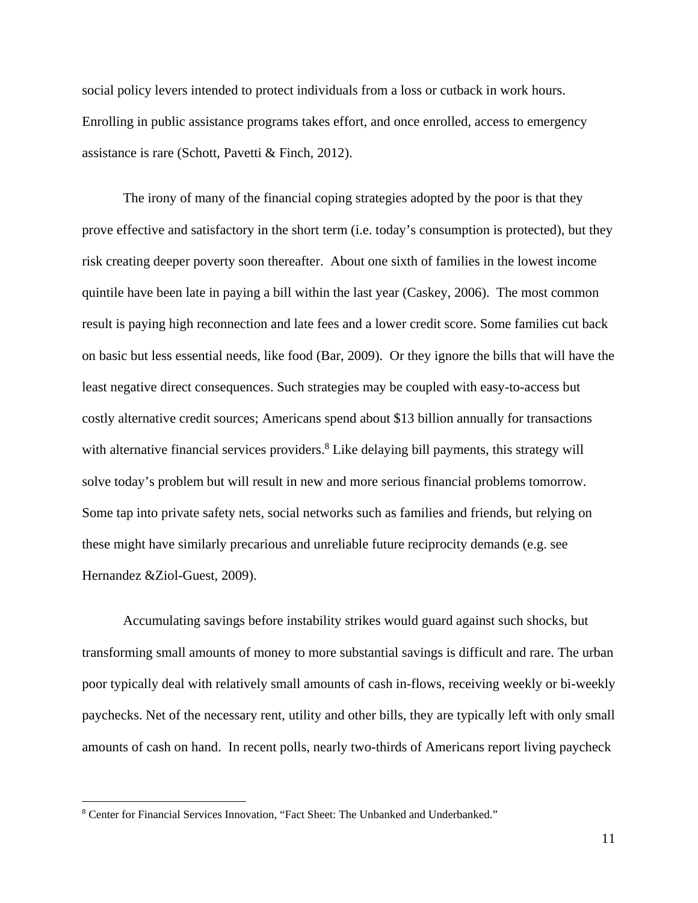social policy levers intended to protect individuals from a loss or cutback in work hours. Enrolling in public assistance programs takes effort, and once enrolled, access to emergency assistance is rare (Schott, Pavetti & Finch, 2012).

The irony of many of the financial coping strategies adopted by the poor is that they prove effective and satisfactory in the short term (i.e. today's consumption is protected), but they risk creating deeper poverty soon thereafter. About one sixth of families in the lowest income quintile have been late in paying a bill within the last year (Caskey, 2006). The most common result is paying high reconnection and late fees and a lower credit score. Some families cut back on basic but less essential needs, like food (Bar, 2009). Or they ignore the bills that will have the least negative direct consequences. Such strategies may be coupled with easy-to-access but costly alternative credit sources; Americans spend about \$13 billion annually for transactions with alternative financial services providers.<sup>8</sup> Like delaying bill payments, this strategy will solve today's problem but will result in new and more serious financial problems tomorrow. Some tap into private safety nets, social networks such as families and friends, but relying on these might have similarly precarious and unreliable future reciprocity demands (e.g. see Hernandez &Ziol-Guest, 2009).

Accumulating savings before instability strikes would guard against such shocks, but transforming small amounts of money to more substantial savings is difficult and rare. The urban poor typically deal with relatively small amounts of cash in-flows, receiving weekly or bi-weekly paychecks. Net of the necessary rent, utility and other bills, they are typically left with only small amounts of cash on hand. In recent polls, nearly two-thirds of Americans report living paycheck

 $\overline{a}$ 

<sup>&</sup>lt;sup>8</sup> Center for Financial Services Innovation, "Fact Sheet: The Unbanked and Underbanked."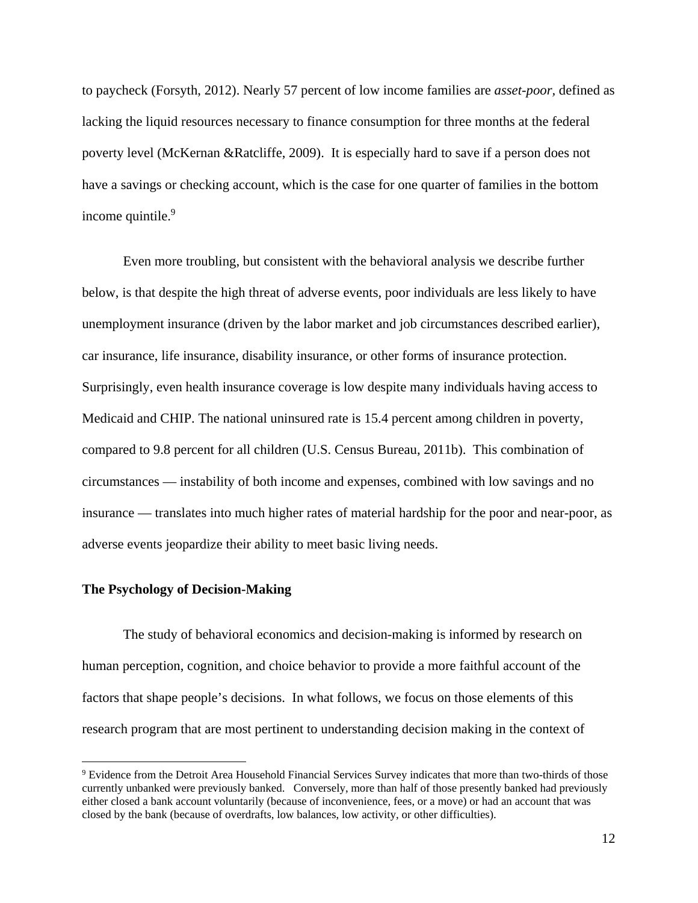to paycheck (Forsyth, 2012). Nearly 57 percent of low income families are *asset-poor,* defined as lacking the liquid resources necessary to finance consumption for three months at the federal poverty level (McKernan &Ratcliffe, 2009). It is especially hard to save if a person does not have a savings or checking account, which is the case for one quarter of families in the bottom income quintile.<sup>9</sup>

Even more troubling, but consistent with the behavioral analysis we describe further below, is that despite the high threat of adverse events, poor individuals are less likely to have unemployment insurance (driven by the labor market and job circumstances described earlier), car insurance, life insurance, disability insurance, or other forms of insurance protection. Surprisingly, even health insurance coverage is low despite many individuals having access to Medicaid and CHIP. The national uninsured rate is 15.4 percent among children in poverty, compared to 9.8 percent for all children (U.S. Census Bureau, 2011b). This combination of circumstances — instability of both income and expenses, combined with low savings and no insurance — translates into much higher rates of material hardship for the poor and near-poor, as adverse events jeopardize their ability to meet basic living needs.

### **The Psychology of Decision-Making**

 $\overline{a}$ 

The study of behavioral economics and decision-making is informed by research on human perception, cognition, and choice behavior to provide a more faithful account of the factors that shape people's decisions. In what follows, we focus on those elements of this research program that are most pertinent to understanding decision making in the context of

<sup>&</sup>lt;sup>9</sup> Evidence from the Detroit Area Household Financial Services Survey indicates that more than two-thirds of those currently unbanked were previously banked. Conversely, more than half of those presently banked had previously either closed a bank account voluntarily (because of inconvenience, fees, or a move) or had an account that was closed by the bank (because of overdrafts, low balances, low activity, or other difficulties).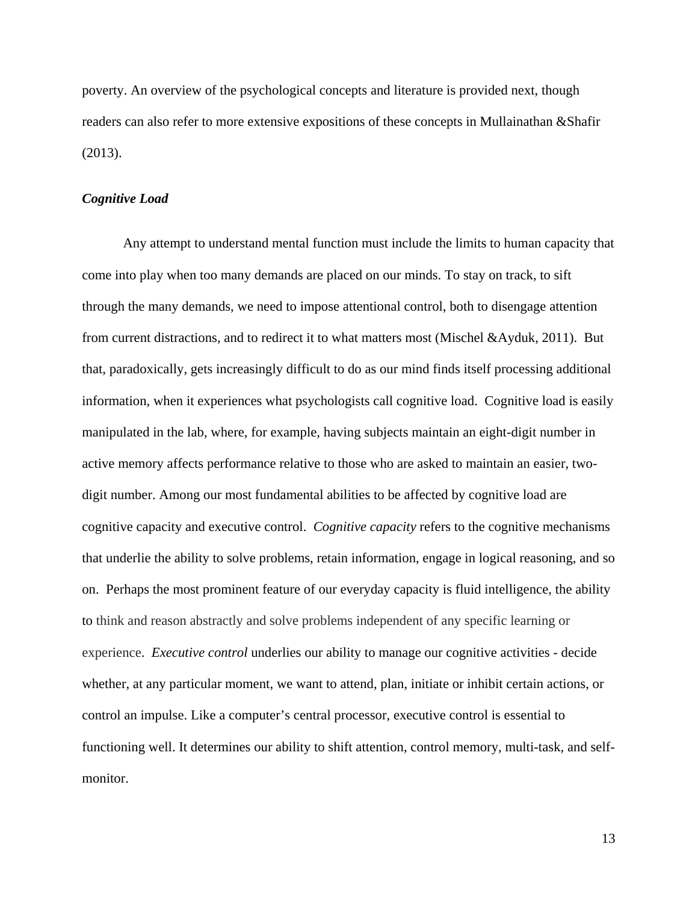poverty. An overview of the psychological concepts and literature is provided next, though readers can also refer to more extensive expositions of these concepts in Mullainathan &Shafir (2013).

### *Cognitive Load*

Any attempt to understand mental function must include the limits to human capacity that come into play when too many demands are placed on our minds. To stay on track, to sift through the many demands, we need to impose attentional control, both to disengage attention from current distractions, and to redirect it to what matters most (Mischel &Ayduk, 2011). But that, paradoxically, gets increasingly difficult to do as our mind finds itself processing additional information, when it experiences what psychologists call cognitive load. Cognitive load is easily manipulated in the lab, where, for example, having subjects maintain an eight-digit number in active memory affects performance relative to those who are asked to maintain an easier, twodigit number. Among our most fundamental abilities to be affected by cognitive load are cognitive capacity and executive control. *Cognitive capacity* refers to the cognitive mechanisms that underlie the ability to solve problems, retain information, engage in logical reasoning, and so on. Perhaps the most prominent feature of our everyday capacity is fluid intelligence, the ability to think and reason abstractly and solve problems independent of any specific learning or experience. *Executive control* underlies our ability to manage our cognitive activities - decide whether, at any particular moment, we want to attend, plan, initiate or inhibit certain actions, or control an impulse. Like a computer's central processor, executive control is essential to functioning well. It determines our ability to shift attention, control memory, multi-task, and selfmonitor.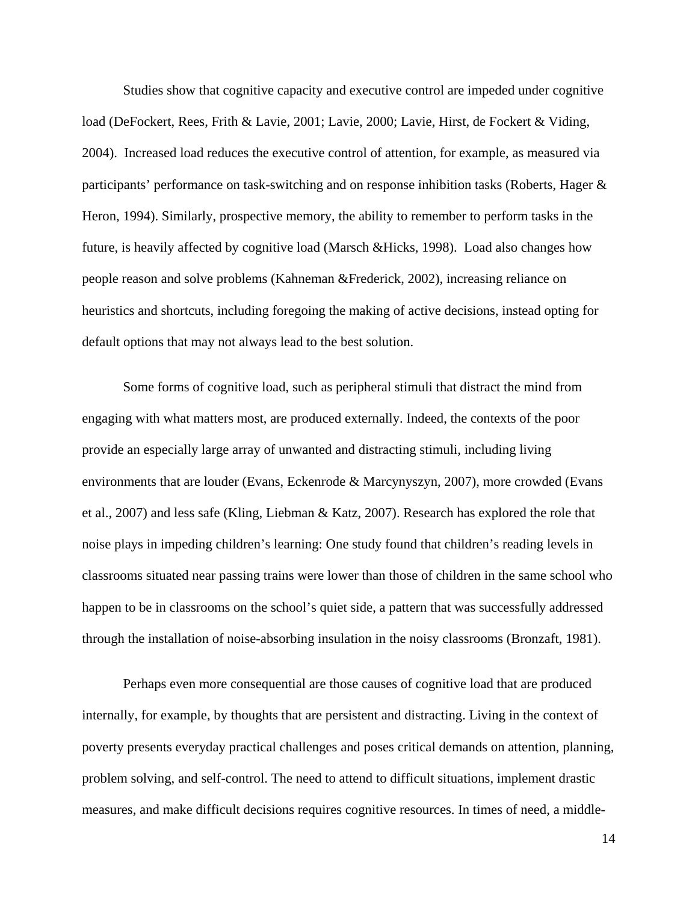Studies show that cognitive capacity and executive control are impeded under cognitive load (DeFockert, Rees, Frith & Lavie, 2001; Lavie, 2000; Lavie, Hirst, de Fockert & Viding, 2004). Increased load reduces the executive control of attention, for example, as measured via participants' performance on task-switching and on response inhibition tasks (Roberts, Hager & Heron, 1994). Similarly, prospective memory, the ability to remember to perform tasks in the future, is heavily affected by cognitive load (Marsch &Hicks, 1998). Load also changes how people reason and solve problems (Kahneman &Frederick, 2002), increasing reliance on heuristics and shortcuts, including foregoing the making of active decisions, instead opting for default options that may not always lead to the best solution.

Some forms of cognitive load, such as peripheral stimuli that distract the mind from engaging with what matters most, are produced externally. Indeed, the contexts of the poor provide an especially large array of unwanted and distracting stimuli, including living environments that are louder (Evans, Eckenrode & Marcynyszyn, 2007), more crowded (Evans et al., 2007) and less safe (Kling, Liebman & Katz, 2007). Research has explored the role that noise plays in impeding children's learning: One study found that children's reading levels in classrooms situated near passing trains were lower than those of children in the same school who happen to be in classrooms on the school's quiet side, a pattern that was successfully addressed through the installation of noise-absorbing insulation in the noisy classrooms (Bronzaft, 1981).

Perhaps even more consequential are those causes of cognitive load that are produced internally, for example, by thoughts that are persistent and distracting. Living in the context of poverty presents everyday practical challenges and poses critical demands on attention, planning, problem solving, and self-control. The need to attend to difficult situations, implement drastic measures, and make difficult decisions requires cognitive resources. In times of need, a middle-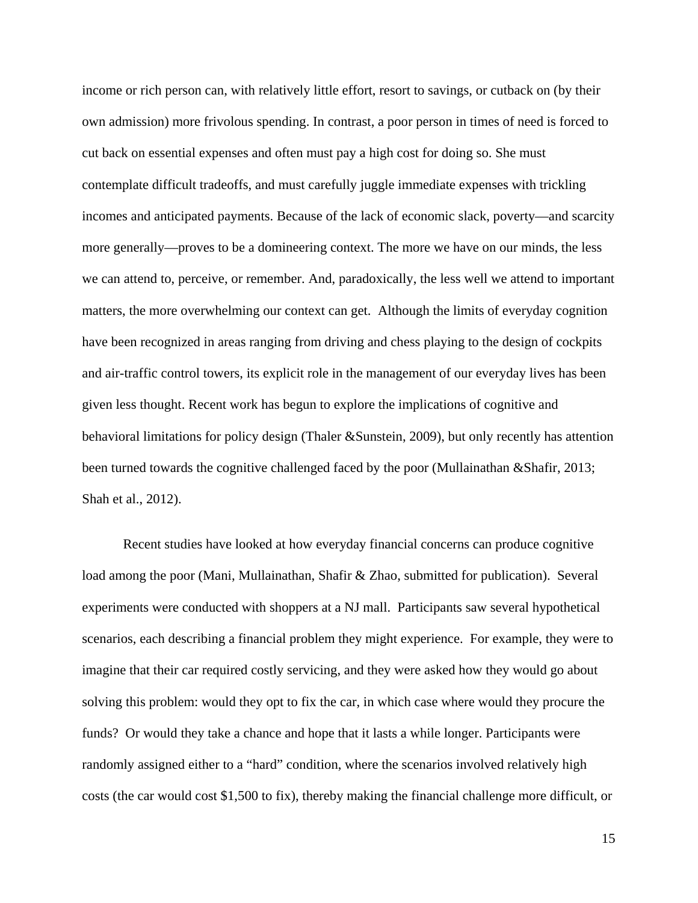income or rich person can, with relatively little effort, resort to savings, or cutback on (by their own admission) more frivolous spending. In contrast, a poor person in times of need is forced to cut back on essential expenses and often must pay a high cost for doing so. She must contemplate difficult tradeoffs, and must carefully juggle immediate expenses with trickling incomes and anticipated payments. Because of the lack of economic slack, poverty—and scarcity more generally—proves to be a domineering context. The more we have on our minds, the less we can attend to, perceive, or remember. And, paradoxically, the less well we attend to important matters, the more overwhelming our context can get. Although the limits of everyday cognition have been recognized in areas ranging from driving and chess playing to the design of cockpits and air-traffic control towers, its explicit role in the management of our everyday lives has been given less thought. Recent work has begun to explore the implications of cognitive and behavioral limitations for policy design (Thaler &Sunstein, 2009), but only recently has attention been turned towards the cognitive challenged faced by the poor (Mullainathan &Shafir, 2013; Shah et al., 2012).

Recent studies have looked at how everyday financial concerns can produce cognitive load among the poor (Mani, Mullainathan, Shafir & Zhao, submitted for publication). Several experiments were conducted with shoppers at a NJ mall. Participants saw several hypothetical scenarios, each describing a financial problem they might experience. For example, they were to imagine that their car required costly servicing, and they were asked how they would go about solving this problem: would they opt to fix the car, in which case where would they procure the funds? Or would they take a chance and hope that it lasts a while longer. Participants were randomly assigned either to a "hard" condition, where the scenarios involved relatively high costs (the car would cost \$1,500 to fix), thereby making the financial challenge more difficult, or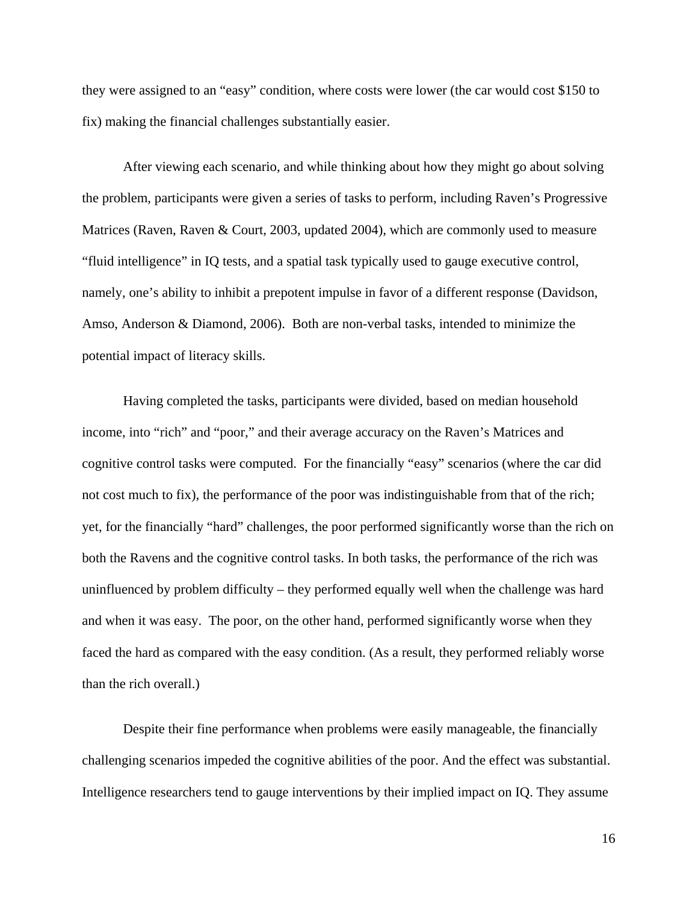they were assigned to an "easy" condition, where costs were lower (the car would cost \$150 to fix) making the financial challenges substantially easier.

After viewing each scenario, and while thinking about how they might go about solving the problem, participants were given a series of tasks to perform, including Raven's Progressive Matrices (Raven, Raven & Court, 2003, updated 2004), which are commonly used to measure "fluid intelligence" in IQ tests, and a spatial task typically used to gauge executive control, namely, one's ability to inhibit a prepotent impulse in favor of a different response (Davidson, Amso, Anderson & Diamond, 2006). Both are non-verbal tasks, intended to minimize the potential impact of literacy skills.

Having completed the tasks, participants were divided, based on median household income, into "rich" and "poor," and their average accuracy on the Raven's Matrices and cognitive control tasks were computed. For the financially "easy" scenarios (where the car did not cost much to fix), the performance of the poor was indistinguishable from that of the rich; yet, for the financially "hard" challenges, the poor performed significantly worse than the rich on both the Ravens and the cognitive control tasks. In both tasks, the performance of the rich was uninfluenced by problem difficulty – they performed equally well when the challenge was hard and when it was easy. The poor, on the other hand, performed significantly worse when they faced the hard as compared with the easy condition. (As a result, they performed reliably worse than the rich overall.)

Despite their fine performance when problems were easily manageable, the financially challenging scenarios impeded the cognitive abilities of the poor. And the effect was substantial. Intelligence researchers tend to gauge interventions by their implied impact on IQ. They assume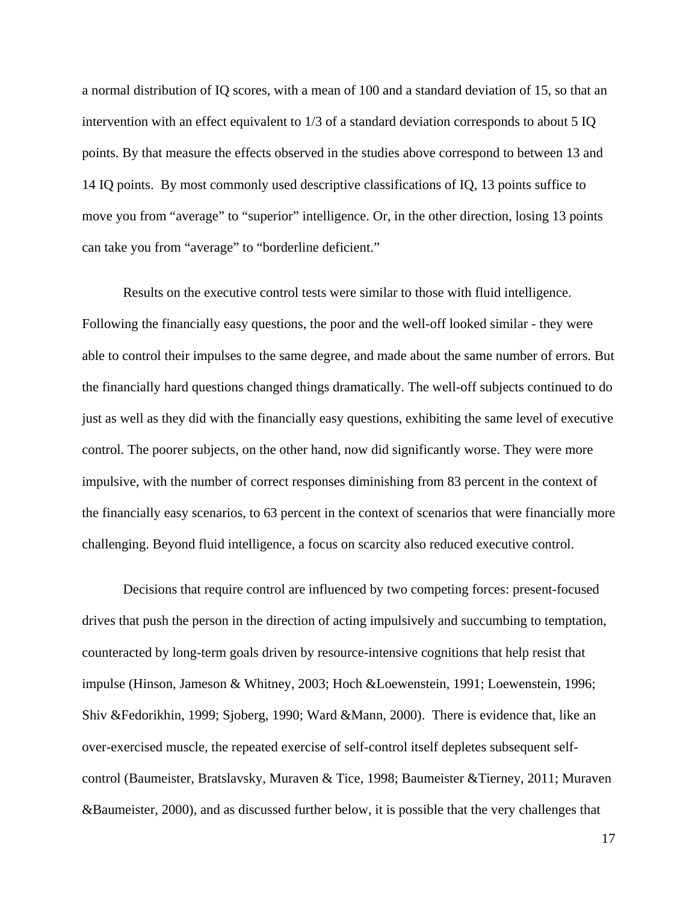a normal distribution of IQ scores, with a mean of 100 and a standard deviation of 15, so that an intervention with an effect equivalent to 1/3 of a standard deviation corresponds to about 5 IQ points. By that measure the effects observed in the studies above correspond to between 13 and 14 IQ points. By most commonly used descriptive classifications of IQ, 13 points suffice to move you from "average" to "superior" intelligence. Or, in the other direction, losing 13 points can take you from "average" to "borderline deficient."

Results on the executive control tests were similar to those with fluid intelligence. Following the financially easy questions, the poor and the well-off looked similar - they were able to control their impulses to the same degree, and made about the same number of errors. But the financially hard questions changed things dramatically. The well-off subjects continued to do just as well as they did with the financially easy questions, exhibiting the same level of executive control. The poorer subjects, on the other hand, now did significantly worse. They were more impulsive, with the number of correct responses diminishing from 83 percent in the context of the financially easy scenarios, to 63 percent in the context of scenarios that were financially more challenging. Beyond fluid intelligence, a focus on scarcity also reduced executive control.

Decisions that require control are influenced by two competing forces: present-focused drives that push the person in the direction of acting impulsively and succumbing to temptation, counteracted by long-term goals driven by resource-intensive cognitions that help resist that impulse (Hinson, Jameson & Whitney, 2003; Hoch &Loewenstein, 1991; Loewenstein, 1996; Shiv &Fedorikhin, 1999; Sjoberg, 1990; Ward &Mann, 2000). There is evidence that, like an over-exercised muscle, the repeated exercise of self-control itself depletes subsequent selfcontrol (Baumeister, Bratslavsky, Muraven & Tice, 1998; Baumeister &Tierney, 2011; Muraven &Baumeister, 2000), and as discussed further below, it is possible that the very challenges that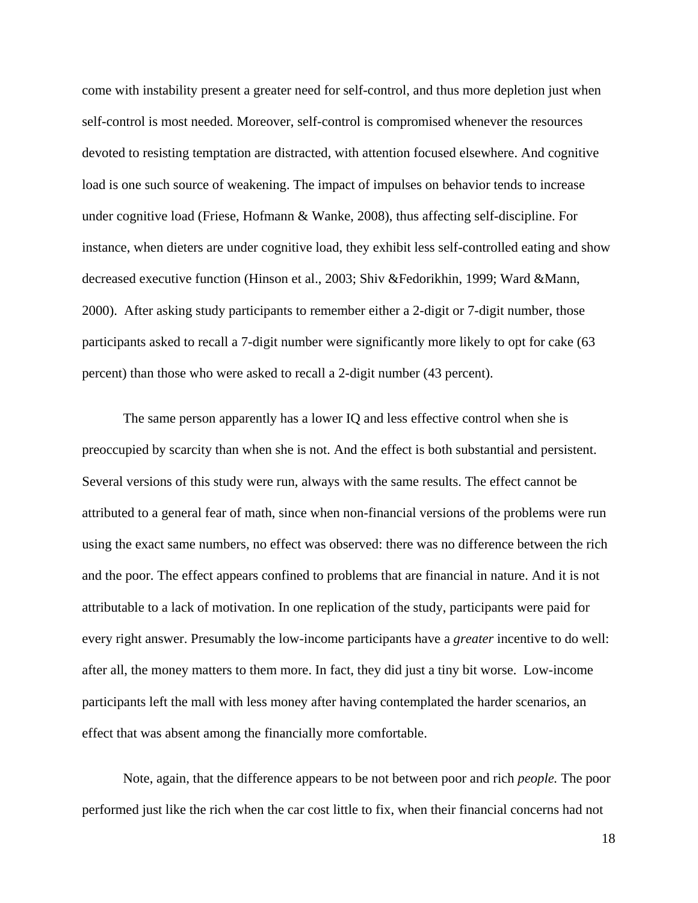come with instability present a greater need for self-control, and thus more depletion just when self-control is most needed. Moreover, self-control is compromised whenever the resources devoted to resisting temptation are distracted, with attention focused elsewhere. And cognitive load is one such source of weakening. The impact of impulses on behavior tends to increase under cognitive load (Friese, Hofmann & Wanke, 2008), thus affecting self-discipline. For instance, when dieters are under cognitive load, they exhibit less self-controlled eating and show decreased executive function (Hinson et al., 2003; Shiv &Fedorikhin, 1999; Ward &Mann, 2000). After asking study participants to remember either a 2-digit or 7-digit number, those participants asked to recall a 7-digit number were significantly more likely to opt for cake (63 percent) than those who were asked to recall a 2-digit number (43 percent).

The same person apparently has a lower IQ and less effective control when she is preoccupied by scarcity than when she is not. And the effect is both substantial and persistent. Several versions of this study were run, always with the same results. The effect cannot be attributed to a general fear of math, since when non-financial versions of the problems were run using the exact same numbers, no effect was observed: there was no difference between the rich and the poor. The effect appears confined to problems that are financial in nature. And it is not attributable to a lack of motivation. In one replication of the study, participants were paid for every right answer. Presumably the low-income participants have a *greater* incentive to do well: after all, the money matters to them more. In fact, they did just a tiny bit worse. Low-income participants left the mall with less money after having contemplated the harder scenarios, an effect that was absent among the financially more comfortable.

Note, again, that the difference appears to be not between poor and rich *people.* The poor performed just like the rich when the car cost little to fix, when their financial concerns had not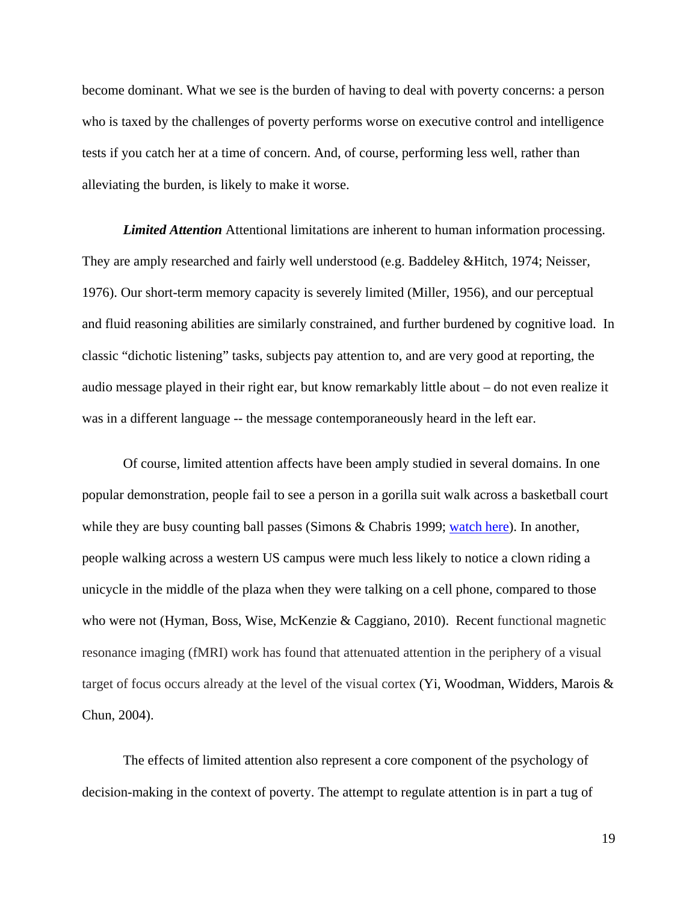become dominant. What we see is the burden of having to deal with poverty concerns: a person who is taxed by the challenges of poverty performs worse on executive control and intelligence tests if you catch her at a time of concern. And, of course, performing less well, rather than alleviating the burden, is likely to make it worse.

*Limited Attention* Attentional limitations are inherent to human information processing. They are amply researched and fairly well understood (e.g. Baddeley &Hitch, 1974; Neisser, 1976). Our short-term memory capacity is severely limited (Miller, 1956), and our perceptual and fluid reasoning abilities are similarly constrained, and further burdened by cognitive load. In classic "dichotic listening" tasks, subjects pay attention to, and are very good at reporting, the audio message played in their right ear, but know remarkably little about – do not even realize it was in a different language -- the message contemporaneously heard in the left ear.

Of course, limited attention affects have been amply studied in several domains. In one popular demonstration, people fail to see a person in a gorilla suit walk across a basketball court while they are busy counting ball passes (Simons & Chabris 1999; watch here). In another, people walking across a western US campus were much less likely to notice a clown riding a unicycle in the middle of the plaza when they were talking on a cell phone, compared to those who were not (Hyman, Boss, Wise, McKenzie & Caggiano, 2010). Recent functional magnetic resonance imaging (fMRI) work has found that attenuated attention in the periphery of a visual target of focus occurs already at the level of the visual cortex  $(Y_i, Woodman, Widders, Marois &$ Chun, 2004).

The effects of limited attention also represent a core component of the psychology of decision-making in the context of poverty. The attempt to regulate attention is in part a tug of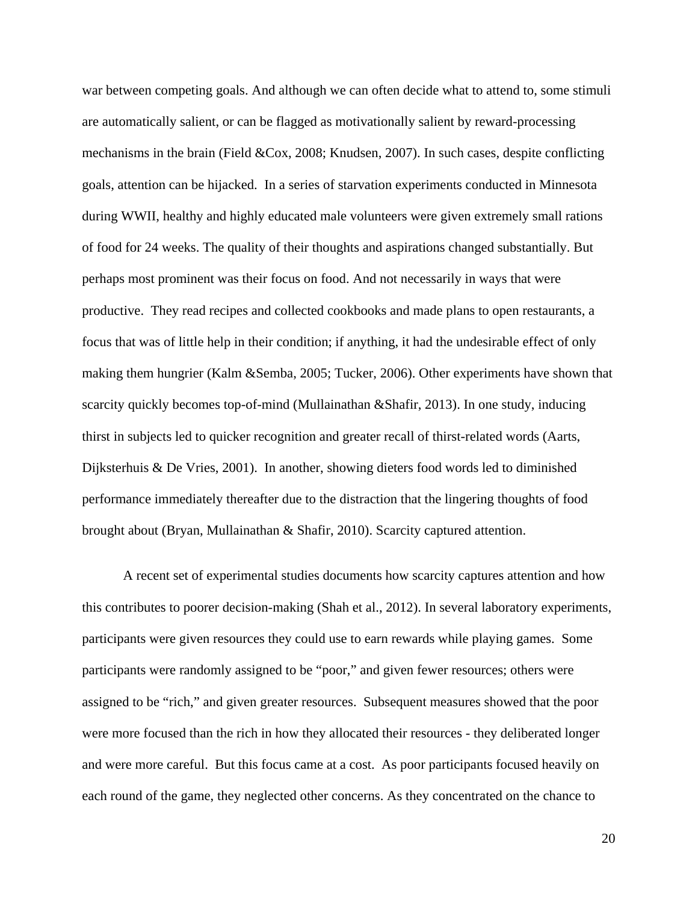war between competing goals. And although we can often decide what to attend to, some stimuli are automatically salient, or can be flagged as motivationally salient by reward-processing mechanisms in the brain (Field &Cox, 2008; Knudsen, 2007). In such cases, despite conflicting goals, attention can be hijacked. In a series of starvation experiments conducted in Minnesota during WWII, healthy and highly educated male volunteers were given extremely small rations of food for 24 weeks. The quality of their thoughts and aspirations changed substantially. But perhaps most prominent was their focus on food. And not necessarily in ways that were productive. They read recipes and collected cookbooks and made plans to open restaurants, a focus that was of little help in their condition; if anything, it had the undesirable effect of only making them hungrier (Kalm &Semba, 2005; Tucker, 2006). Other experiments have shown that scarcity quickly becomes top-of-mind (Mullainathan &Shafir, 2013). In one study, inducing thirst in subjects led to quicker recognition and greater recall of thirst-related words (Aarts, Dijksterhuis & De Vries, 2001). In another, showing dieters food words led to diminished performance immediately thereafter due to the distraction that the lingering thoughts of food brought about (Bryan, Mullainathan & Shafir, 2010). Scarcity captured attention.

A recent set of experimental studies documents how scarcity captures attention and how this contributes to poorer decision-making (Shah et al., 2012). In several laboratory experiments, participants were given resources they could use to earn rewards while playing games. Some participants were randomly assigned to be "poor," and given fewer resources; others were assigned to be "rich," and given greater resources. Subsequent measures showed that the poor were more focused than the rich in how they allocated their resources - they deliberated longer and were more careful. But this focus came at a cost. As poor participants focused heavily on each round of the game, they neglected other concerns. As they concentrated on the chance to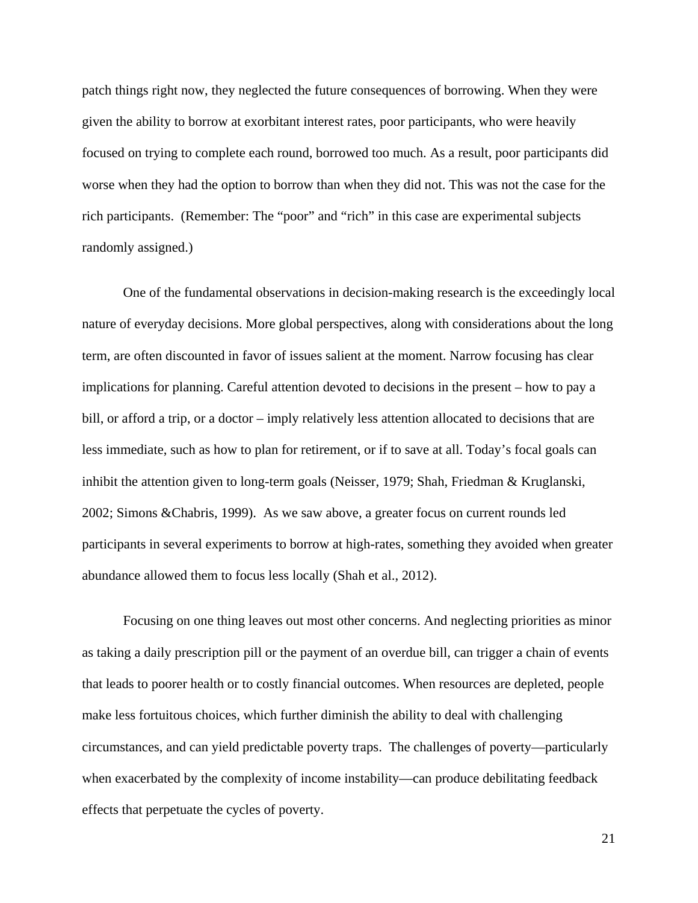patch things right now, they neglected the future consequences of borrowing. When they were given the ability to borrow at exorbitant interest rates, poor participants, who were heavily focused on trying to complete each round, borrowed too much. As a result, poor participants did worse when they had the option to borrow than when they did not. This was not the case for the rich participants. (Remember: The "poor" and "rich" in this case are experimental subjects randomly assigned.)

One of the fundamental observations in decision-making research is the exceedingly local nature of everyday decisions. More global perspectives, along with considerations about the long term, are often discounted in favor of issues salient at the moment. Narrow focusing has clear implications for planning. Careful attention devoted to decisions in the present – how to pay a bill, or afford a trip, or a doctor – imply relatively less attention allocated to decisions that are less immediate, such as how to plan for retirement, or if to save at all. Today's focal goals can inhibit the attention given to long-term goals (Neisser, 1979; Shah, Friedman & Kruglanski, 2002; Simons &Chabris, 1999). As we saw above, a greater focus on current rounds led participants in several experiments to borrow at high-rates, something they avoided when greater abundance allowed them to focus less locally (Shah et al., 2012).

Focusing on one thing leaves out most other concerns. And neglecting priorities as minor as taking a daily prescription pill or the payment of an overdue bill, can trigger a chain of events that leads to poorer health or to costly financial outcomes. When resources are depleted, people make less fortuitous choices, which further diminish the ability to deal with challenging circumstances, and can yield predictable poverty traps. The challenges of poverty—particularly when exacerbated by the complexity of income instability—can produce debilitating feedback effects that perpetuate the cycles of poverty.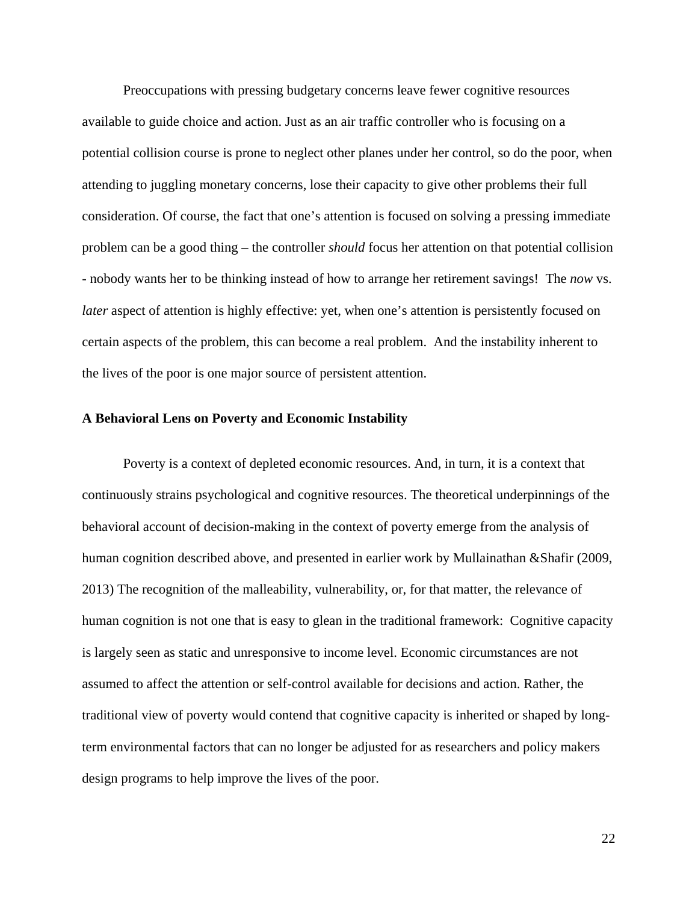Preoccupations with pressing budgetary concerns leave fewer cognitive resources available to guide choice and action. Just as an air traffic controller who is focusing on a potential collision course is prone to neglect other planes under her control, so do the poor, when attending to juggling monetary concerns, lose their capacity to give other problems their full consideration. Of course, the fact that one's attention is focused on solving a pressing immediate problem can be a good thing – the controller *should* focus her attention on that potential collision - nobody wants her to be thinking instead of how to arrange her retirement savings! The *now* vs. *later* aspect of attention is highly effective: yet, when one's attention is persistently focused on certain aspects of the problem, this can become a real problem. And the instability inherent to the lives of the poor is one major source of persistent attention.

### **A Behavioral Lens on Poverty and Economic Instability**

 Poverty is a context of depleted economic resources. And, in turn, it is a context that continuously strains psychological and cognitive resources. The theoretical underpinnings of the behavioral account of decision-making in the context of poverty emerge from the analysis of human cognition described above, and presented in earlier work by Mullainathan &Shafir (2009, 2013) The recognition of the malleability, vulnerability, or, for that matter, the relevance of human cognition is not one that is easy to glean in the traditional framework: Cognitive capacity is largely seen as static and unresponsive to income level. Economic circumstances are not assumed to affect the attention or self-control available for decisions and action. Rather, the traditional view of poverty would contend that cognitive capacity is inherited or shaped by longterm environmental factors that can no longer be adjusted for as researchers and policy makers design programs to help improve the lives of the poor.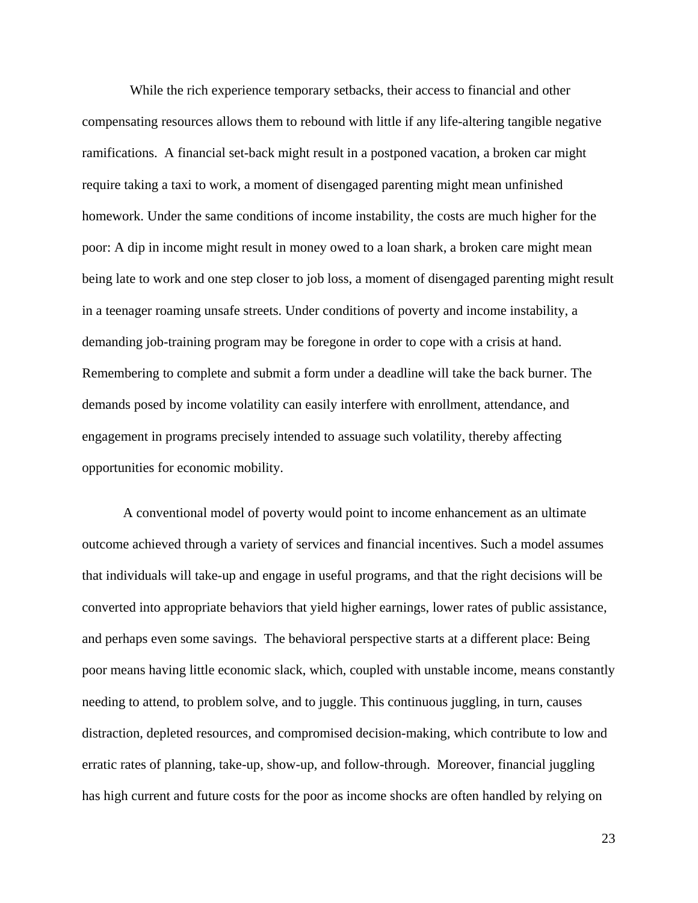While the rich experience temporary setbacks, their access to financial and other compensating resources allows them to rebound with little if any life-altering tangible negative ramifications. A financial set-back might result in a postponed vacation, a broken car might require taking a taxi to work, a moment of disengaged parenting might mean unfinished homework. Under the same conditions of income instability, the costs are much higher for the poor: A dip in income might result in money owed to a loan shark, a broken care might mean being late to work and one step closer to job loss, a moment of disengaged parenting might result in a teenager roaming unsafe streets. Under conditions of poverty and income instability, a demanding job-training program may be foregone in order to cope with a crisis at hand. Remembering to complete and submit a form under a deadline will take the back burner. The demands posed by income volatility can easily interfere with enrollment, attendance, and engagement in programs precisely intended to assuage such volatility, thereby affecting opportunities for economic mobility.

A conventional model of poverty would point to income enhancement as an ultimate outcome achieved through a variety of services and financial incentives. Such a model assumes that individuals will take-up and engage in useful programs, and that the right decisions will be converted into appropriate behaviors that yield higher earnings, lower rates of public assistance, and perhaps even some savings. The behavioral perspective starts at a different place: Being poor means having little economic slack, which, coupled with unstable income, means constantly needing to attend, to problem solve, and to juggle. This continuous juggling, in turn, causes distraction, depleted resources, and compromised decision-making, which contribute to low and erratic rates of planning, take-up, show-up, and follow-through. Moreover, financial juggling has high current and future costs for the poor as income shocks are often handled by relying on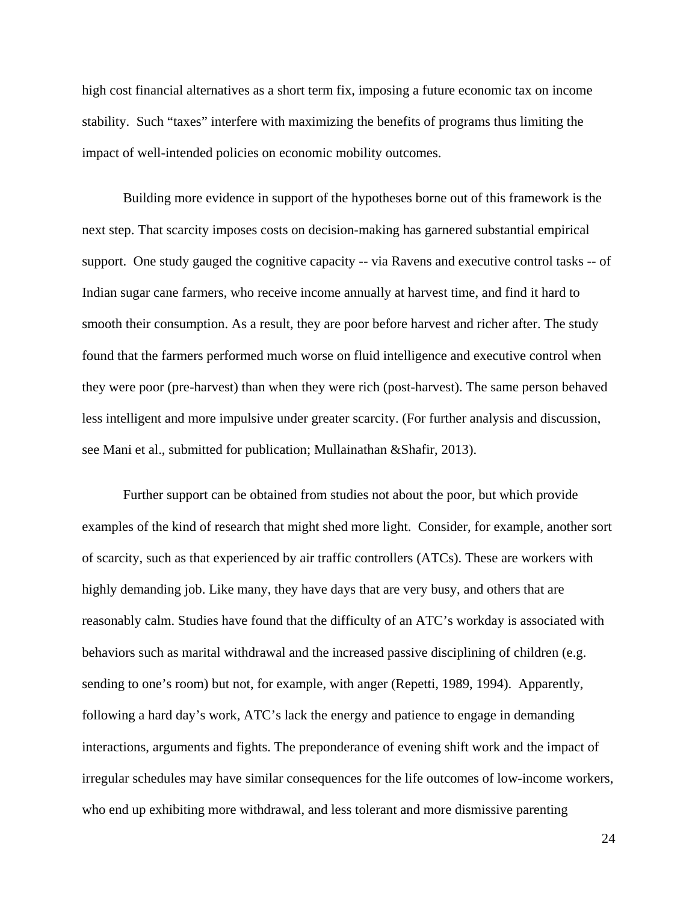high cost financial alternatives as a short term fix, imposing a future economic tax on income stability. Such "taxes" interfere with maximizing the benefits of programs thus limiting the impact of well-intended policies on economic mobility outcomes.

Building more evidence in support of the hypotheses borne out of this framework is the next step. That scarcity imposes costs on decision-making has garnered substantial empirical support. One study gauged the cognitive capacity -- via Ravens and executive control tasks -- of Indian sugar cane farmers, who receive income annually at harvest time, and find it hard to smooth their consumption. As a result, they are poor before harvest and richer after. The study found that the farmers performed much worse on fluid intelligence and executive control when they were poor (pre-harvest) than when they were rich (post-harvest). The same person behaved less intelligent and more impulsive under greater scarcity. (For further analysis and discussion, see Mani et al., submitted for publication; Mullainathan &Shafir, 2013).

Further support can be obtained from studies not about the poor, but which provide examples of the kind of research that might shed more light. Consider, for example, another sort of scarcity, such as that experienced by air traffic controllers (ATCs). These are workers with highly demanding job. Like many, they have days that are very busy, and others that are reasonably calm. Studies have found that the difficulty of an ATC's workday is associated with behaviors such as marital withdrawal and the increased passive disciplining of children (e.g. sending to one's room) but not, for example, with anger (Repetti, 1989, 1994). Apparently, following a hard day's work, ATC's lack the energy and patience to engage in demanding interactions, arguments and fights. The preponderance of evening shift work and the impact of irregular schedules may have similar consequences for the life outcomes of low-income workers, who end up exhibiting more withdrawal, and less tolerant and more dismissive parenting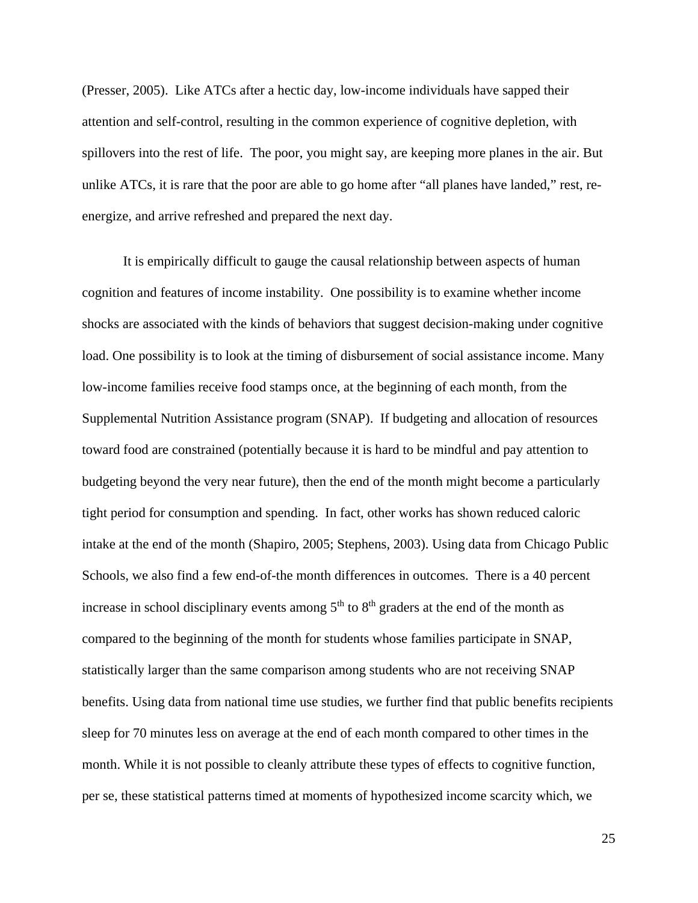(Presser, 2005). Like ATCs after a hectic day, low-income individuals have sapped their attention and self-control, resulting in the common experience of cognitive depletion, with spillovers into the rest of life. The poor, you might say, are keeping more planes in the air. But unlike ATCs, it is rare that the poor are able to go home after "all planes have landed," rest, reenergize, and arrive refreshed and prepared the next day.

It is empirically difficult to gauge the causal relationship between aspects of human cognition and features of income instability. One possibility is to examine whether income shocks are associated with the kinds of behaviors that suggest decision-making under cognitive load. One possibility is to look at the timing of disbursement of social assistance income. Many low-income families receive food stamps once, at the beginning of each month, from the Supplemental Nutrition Assistance program (SNAP). If budgeting and allocation of resources toward food are constrained (potentially because it is hard to be mindful and pay attention to budgeting beyond the very near future), then the end of the month might become a particularly tight period for consumption and spending. In fact, other works has shown reduced caloric intake at the end of the month (Shapiro, 2005; Stephens, 2003). Using data from Chicago Public Schools, we also find a few end-of-the month differences in outcomes. There is a 40 percent increase in school disciplinary events among  $5<sup>th</sup>$  to  $8<sup>th</sup>$  graders at the end of the month as compared to the beginning of the month for students whose families participate in SNAP, statistically larger than the same comparison among students who are not receiving SNAP benefits. Using data from national time use studies, we further find that public benefits recipients sleep for 70 minutes less on average at the end of each month compared to other times in the month. While it is not possible to cleanly attribute these types of effects to cognitive function, per se, these statistical patterns timed at moments of hypothesized income scarcity which, we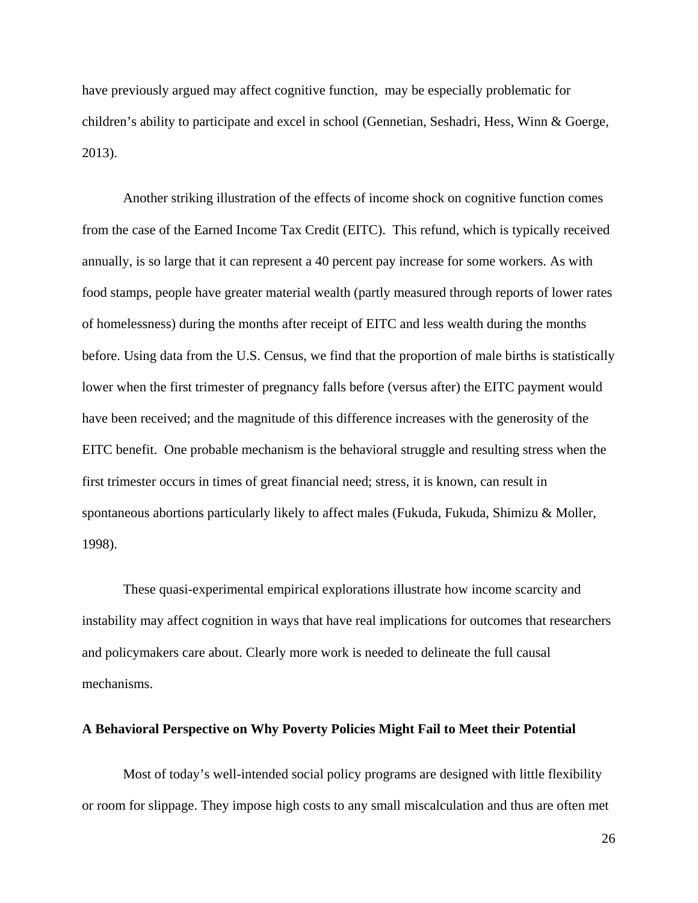have previously argued may affect cognitive function, may be especially problematic for children's ability to participate and excel in school (Gennetian, Seshadri, Hess, Winn & Goerge, 2013).

Another striking illustration of the effects of income shock on cognitive function comes from the case of the Earned Income Tax Credit (EITC). This refund, which is typically received annually, is so large that it can represent a 40 percent pay increase for some workers. As with food stamps, people have greater material wealth (partly measured through reports of lower rates of homelessness) during the months after receipt of EITC and less wealth during the months before. Using data from the U.S. Census, we find that the proportion of male births is statistically lower when the first trimester of pregnancy falls before (versus after) the EITC payment would have been received; and the magnitude of this difference increases with the generosity of the EITC benefit. One probable mechanism is the behavioral struggle and resulting stress when the first trimester occurs in times of great financial need; stress, it is known, can result in spontaneous abortions particularly likely to affect males (Fukuda, Fukuda, Shimizu & Moller, 1998).

These quasi-experimental empirical explorations illustrate how income scarcity and instability may affect cognition in ways that have real implications for outcomes that researchers and policymakers care about. Clearly more work is needed to delineate the full causal mechanisms.

#### **A Behavioral Perspective on Why Poverty Policies Might Fail to Meet their Potential**

Most of today's well-intended social policy programs are designed with little flexibility or room for slippage. They impose high costs to any small miscalculation and thus are often met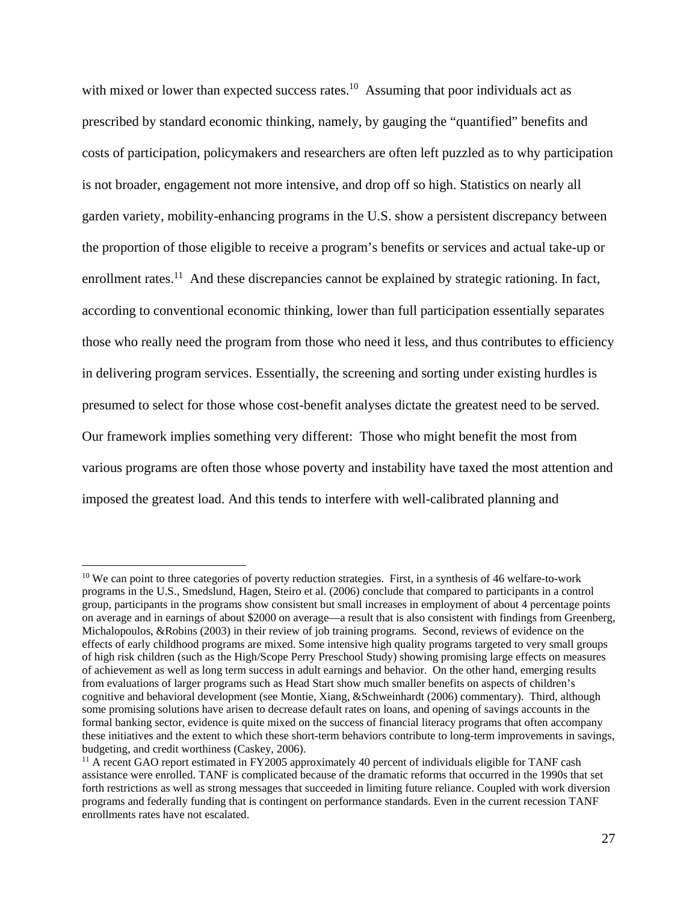with mixed or lower than expected success rates.<sup>10</sup> Assuming that poor individuals act as prescribed by standard economic thinking, namely, by gauging the "quantified" benefits and costs of participation, policymakers and researchers are often left puzzled as to why participation is not broader, engagement not more intensive, and drop off so high. Statistics on nearly all garden variety, mobility-enhancing programs in the U.S. show a persistent discrepancy between the proportion of those eligible to receive a program's benefits or services and actual take-up or enrollment rates.<sup>11</sup> And these discrepancies cannot be explained by strategic rationing. In fact, according to conventional economic thinking, lower than full participation essentially separates those who really need the program from those who need it less, and thus contributes to efficiency in delivering program services. Essentially, the screening and sorting under existing hurdles is presumed to select for those whose cost-benefit analyses dictate the greatest need to be served. Our framework implies something very different: Those who might benefit the most from various programs are often those whose poverty and instability have taxed the most attention and imposed the greatest load. And this tends to interfere with well-calibrated planning and

 $\overline{a}$ 

<sup>&</sup>lt;sup>10</sup> We can point to three categories of poverty reduction strategies. First, in a synthesis of 46 welfare-to-work programs in the U.S., Smedslund, Hagen, Steiro et al. (2006) conclude that compared to participants in a control group, participants in the programs show consistent but small increases in employment of about 4 percentage points on average and in earnings of about \$2000 on average—a result that is also consistent with findings from Greenberg, Michalopoulos, &Robins (2003) in their review of job training programs. Second, reviews of evidence on the effects of early childhood programs are mixed. Some intensive high quality programs targeted to very small groups of high risk children (such as the High/Scope Perry Preschool Study) showing promising large effects on measures of achievement as well as long term success in adult earnings and behavior. On the other hand, emerging results from evaluations of larger programs such as Head Start show much smaller benefits on aspects of children's cognitive and behavioral development (see Montie, Xiang, &Schweinhardt (2006) commentary). Third, although some promising solutions have arisen to decrease default rates on loans, and opening of savings accounts in the formal banking sector, evidence is quite mixed on the success of financial literacy programs that often accompany these initiatives and the extent to which these short-term behaviors contribute to long-term improvements in savings, budgeting, and credit worthiness (Caskey, 2006).

<sup>&</sup>lt;sup>11</sup> A recent GAO report estimated in FY2005 approximately 40 percent of individuals eligible for TANF cash assistance were enrolled. TANF is complicated because of the dramatic reforms that occurred in the 1990s that set forth restrictions as well as strong messages that succeeded in limiting future reliance. Coupled with work diversion programs and federally funding that is contingent on performance standards. Even in the current recession TANF enrollments rates have not escalated.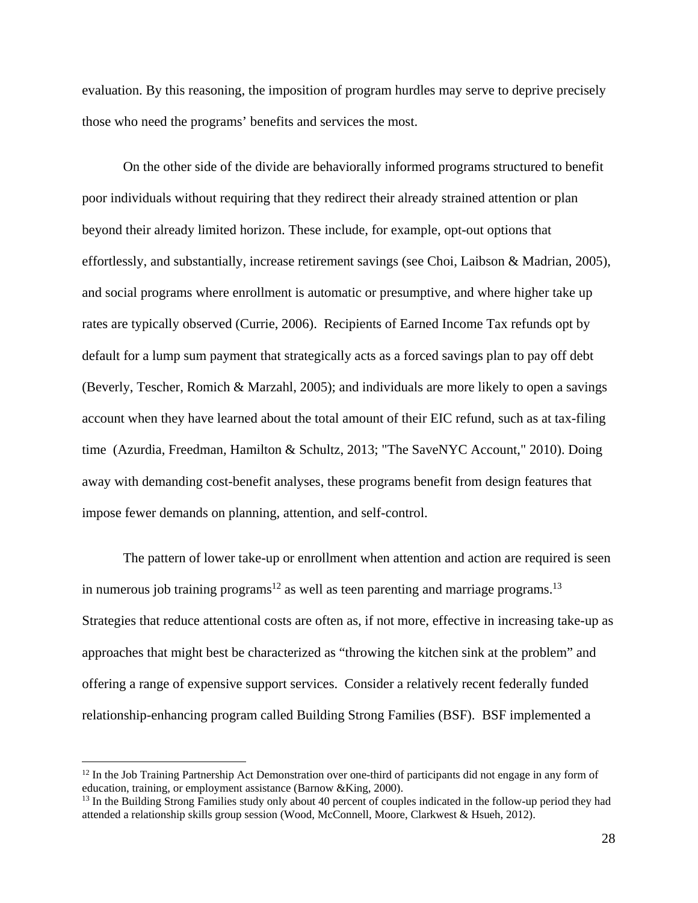evaluation. By this reasoning, the imposition of program hurdles may serve to deprive precisely those who need the programs' benefits and services the most.

On the other side of the divide are behaviorally informed programs structured to benefit poor individuals without requiring that they redirect their already strained attention or plan beyond their already limited horizon. These include, for example, opt-out options that effortlessly, and substantially, increase retirement savings (see Choi, Laibson & Madrian, 2005), and social programs where enrollment is automatic or presumptive, and where higher take up rates are typically observed (Currie, 2006). Recipients of Earned Income Tax refunds opt by default for a lump sum payment that strategically acts as a forced savings plan to pay off debt (Beverly, Tescher, Romich & Marzahl, 2005); and individuals are more likely to open a savings account when they have learned about the total amount of their EIC refund, such as at tax-filing time (Azurdia, Freedman, Hamilton & Schultz, 2013; "The SaveNYC Account," 2010). Doing away with demanding cost-benefit analyses, these programs benefit from design features that impose fewer demands on planning, attention, and self-control.

The pattern of lower take-up or enrollment when attention and action are required is seen in numerous job training programs<sup>12</sup> as well as teen parenting and marriage programs.<sup>13</sup> Strategies that reduce attentional costs are often as, if not more, effective in increasing take-up as approaches that might best be characterized as "throwing the kitchen sink at the problem" and offering a range of expensive support services. Consider a relatively recent federally funded relationship-enhancing program called Building Strong Families (BSF). BSF implemented a

<u>.</u>

 $12$  In the Job Training Partnership Act Demonstration over one-third of participants did not engage in any form of education, training, or employment assistance (Barnow &King, 2000).<br><sup>13</sup> In the Building Strong Families study only about 40 percent of couples indicated in the follow-up period they had

attended a relationship skills group session (Wood, McConnell, Moore, Clarkwest & Hsueh, 2012).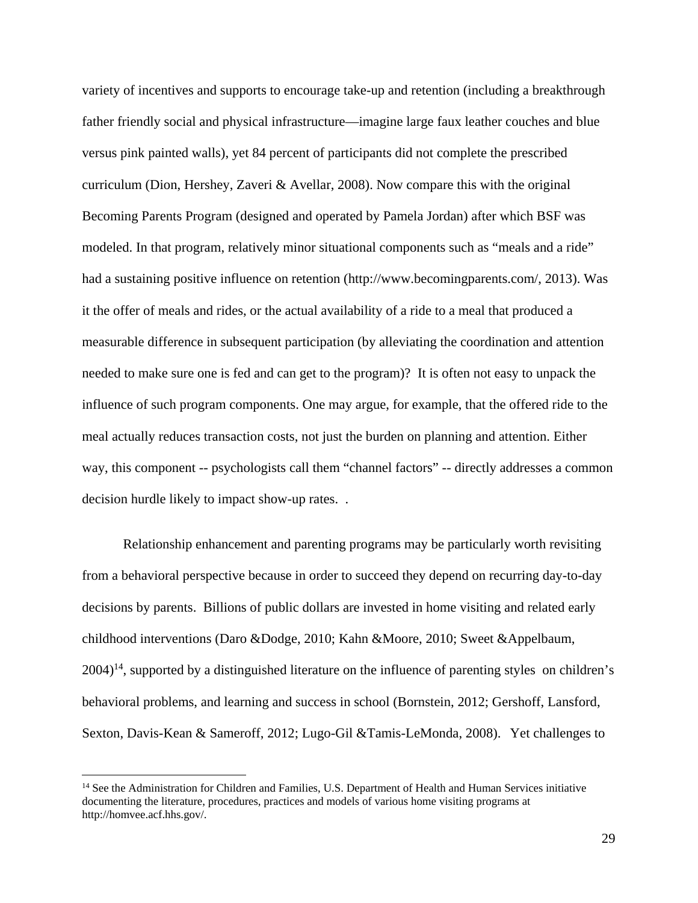variety of incentives and supports to encourage take-up and retention (including a breakthrough father friendly social and physical infrastructure—imagine large faux leather couches and blue versus pink painted walls), yet 84 percent of participants did not complete the prescribed curriculum (Dion, Hershey, Zaveri & Avellar, 2008). Now compare this with the original Becoming Parents Program (designed and operated by Pamela Jordan) after which BSF was modeled. In that program, relatively minor situational components such as "meals and a ride" had a sustaining positive influence on retention (http://www.becomingparents.com/, 2013). Was it the offer of meals and rides, or the actual availability of a ride to a meal that produced a measurable difference in subsequent participation (by alleviating the coordination and attention needed to make sure one is fed and can get to the program)? It is often not easy to unpack the influence of such program components. One may argue, for example, that the offered ride to the meal actually reduces transaction costs, not just the burden on planning and attention. Either way, this component -- psychologists call them "channel factors" -- directly addresses a common decision hurdle likely to impact show-up rates. .

Relationship enhancement and parenting programs may be particularly worth revisiting from a behavioral perspective because in order to succeed they depend on recurring day-to-day decisions by parents. Billions of public dollars are invested in home visiting and related early childhood interventions (Daro &Dodge, 2010; Kahn &Moore, 2010; Sweet &Appelbaum,  $2004$ <sup>14</sup>, supported by a distinguished literature on the influence of parenting styles on children's behavioral problems, and learning and success in school (Bornstein, 2012; Gershoff, Lansford, Sexton, Davis-Kean & Sameroff, 2012; Lugo-Gil &Tamis-LeMonda, 2008). Yet challenges to

 $\overline{a}$ 

<sup>&</sup>lt;sup>14</sup> See the Administration for Children and Families, U.S. Department of Health and Human Services initiative documenting the literature, procedures, practices and models of various home visiting programs at http://homvee.acf.hhs.gov/.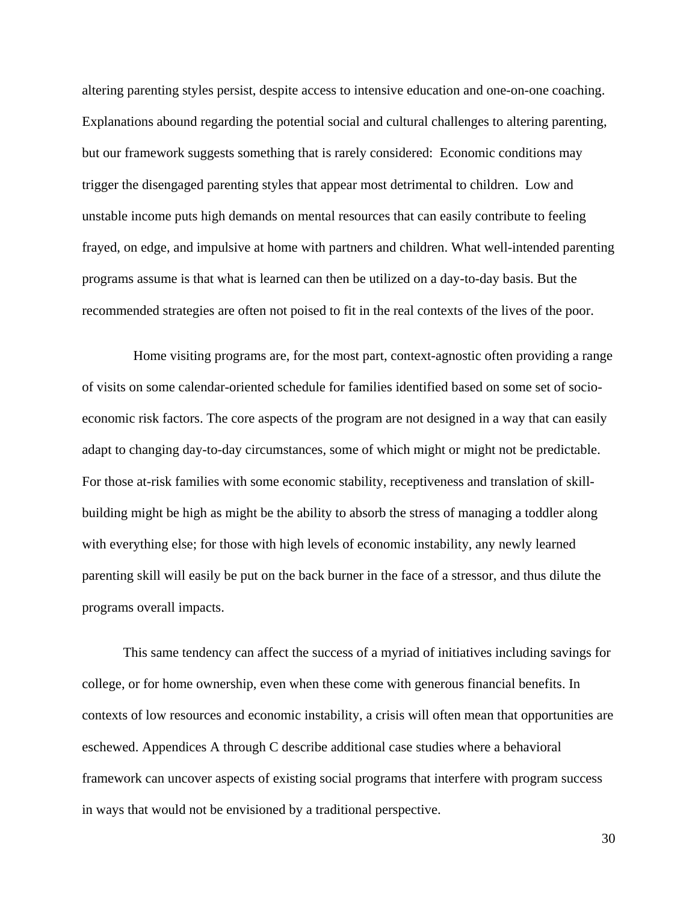altering parenting styles persist, despite access to intensive education and one-on-one coaching. Explanations abound regarding the potential social and cultural challenges to altering parenting, but our framework suggests something that is rarely considered: Economic conditions may trigger the disengaged parenting styles that appear most detrimental to children. Low and unstable income puts high demands on mental resources that can easily contribute to feeling frayed, on edge, and impulsive at home with partners and children. What well-intended parenting programs assume is that what is learned can then be utilized on a day-to-day basis. But the recommended strategies are often not poised to fit in the real contexts of the lives of the poor.

 Home visiting programs are, for the most part, context-agnostic often providing a range of visits on some calendar-oriented schedule for families identified based on some set of socioeconomic risk factors. The core aspects of the program are not designed in a way that can easily adapt to changing day-to-day circumstances, some of which might or might not be predictable. For those at-risk families with some economic stability, receptiveness and translation of skillbuilding might be high as might be the ability to absorb the stress of managing a toddler along with everything else; for those with high levels of economic instability, any newly learned parenting skill will easily be put on the back burner in the face of a stressor, and thus dilute the programs overall impacts.

This same tendency can affect the success of a myriad of initiatives including savings for college, or for home ownership, even when these come with generous financial benefits. In contexts of low resources and economic instability, a crisis will often mean that opportunities are eschewed. Appendices A through C describe additional case studies where a behavioral framework can uncover aspects of existing social programs that interfere with program success in ways that would not be envisioned by a traditional perspective.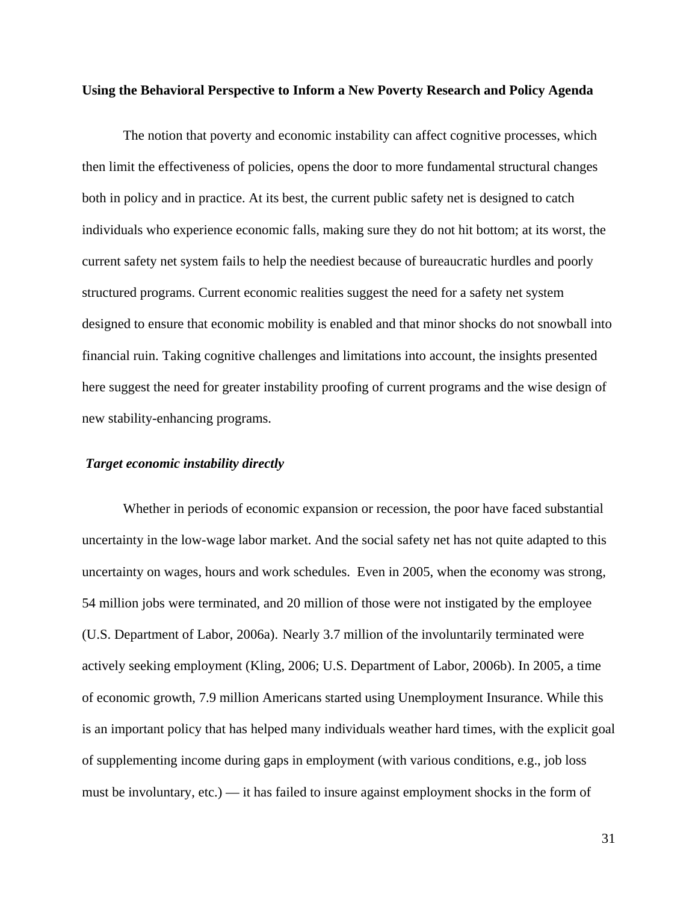#### **Using the Behavioral Perspective to Inform a New Poverty Research and Policy Agenda**

The notion that poverty and economic instability can affect cognitive processes, which then limit the effectiveness of policies, opens the door to more fundamental structural changes both in policy and in practice. At its best, the current public safety net is designed to catch individuals who experience economic falls, making sure they do not hit bottom; at its worst, the current safety net system fails to help the neediest because of bureaucratic hurdles and poorly structured programs. Current economic realities suggest the need for a safety net system designed to ensure that economic mobility is enabled and that minor shocks do not snowball into financial ruin. Taking cognitive challenges and limitations into account, the insights presented here suggest the need for greater instability proofing of current programs and the wise design of new stability-enhancing programs.

### *Target economic instability directly*

Whether in periods of economic expansion or recession, the poor have faced substantial uncertainty in the low-wage labor market. And the social safety net has not quite adapted to this uncertainty on wages, hours and work schedules. Even in 2005, when the economy was strong, 54 million jobs were terminated, and 20 million of those were not instigated by the employee (U.S. Department of Labor, 2006a). Nearly 3.7 million of the involuntarily terminated were actively seeking employment (Kling, 2006; U.S. Department of Labor, 2006b). In 2005, a time of economic growth, 7.9 million Americans started using Unemployment Insurance. While this is an important policy that has helped many individuals weather hard times, with the explicit goal of supplementing income during gaps in employment (with various conditions, e.g., job loss must be involuntary, etc.) — it has failed to insure against employment shocks in the form of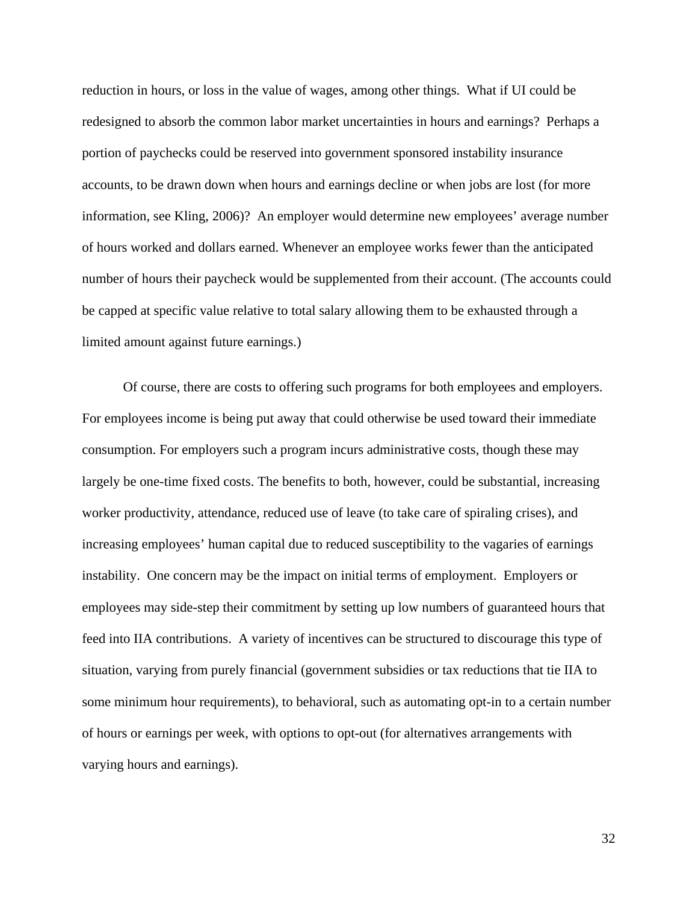reduction in hours, or loss in the value of wages, among other things. What if UI could be redesigned to absorb the common labor market uncertainties in hours and earnings? Perhaps a portion of paychecks could be reserved into government sponsored instability insurance accounts, to be drawn down when hours and earnings decline or when jobs are lost (for more information, see Kling, 2006)? An employer would determine new employees' average number of hours worked and dollars earned. Whenever an employee works fewer than the anticipated number of hours their paycheck would be supplemented from their account. (The accounts could be capped at specific value relative to total salary allowing them to be exhausted through a limited amount against future earnings.)

Of course, there are costs to offering such programs for both employees and employers. For employees income is being put away that could otherwise be used toward their immediate consumption. For employers such a program incurs administrative costs, though these may largely be one-time fixed costs. The benefits to both, however, could be substantial, increasing worker productivity, attendance, reduced use of leave (to take care of spiraling crises), and increasing employees' human capital due to reduced susceptibility to the vagaries of earnings instability. One concern may be the impact on initial terms of employment. Employers or employees may side-step their commitment by setting up low numbers of guaranteed hours that feed into IIA contributions. A variety of incentives can be structured to discourage this type of situation, varying from purely financial (government subsidies or tax reductions that tie IIA to some minimum hour requirements), to behavioral, such as automating opt-in to a certain number of hours or earnings per week, with options to opt-out (for alternatives arrangements with varying hours and earnings).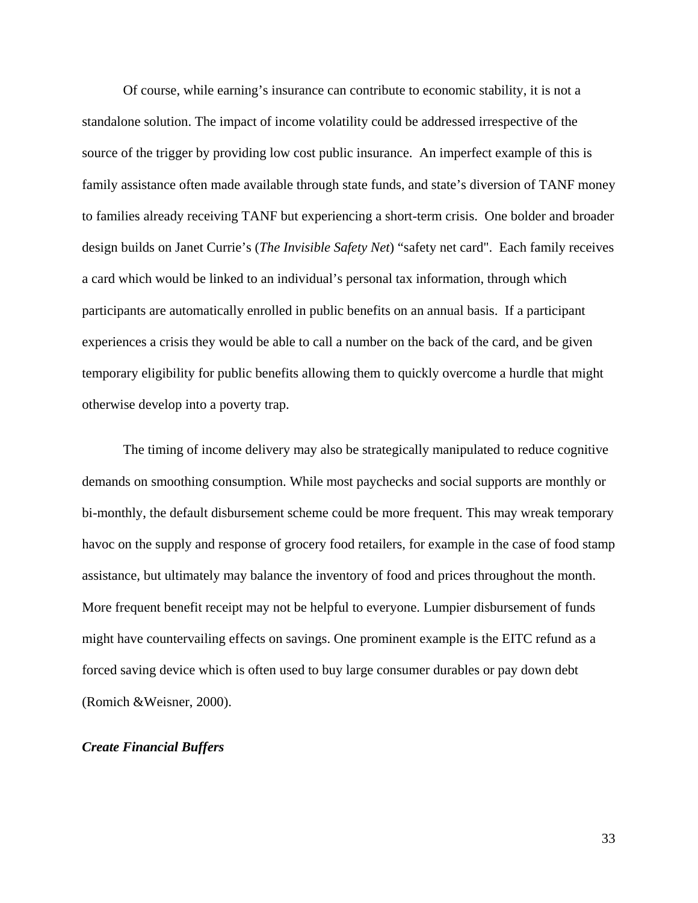Of course, while earning's insurance can contribute to economic stability, it is not a standalone solution. The impact of income volatility could be addressed irrespective of the source of the trigger by providing low cost public insurance. An imperfect example of this is family assistance often made available through state funds, and state's diversion of TANF money to families already receiving TANF but experiencing a short-term crisis. One bolder and broader design builds on Janet Currie's (*The Invisible Safety Net*) "safety net card". Each family receives a card which would be linked to an individual's personal tax information, through which participants are automatically enrolled in public benefits on an annual basis. If a participant experiences a crisis they would be able to call a number on the back of the card, and be given temporary eligibility for public benefits allowing them to quickly overcome a hurdle that might otherwise develop into a poverty trap.

The timing of income delivery may also be strategically manipulated to reduce cognitive demands on smoothing consumption. While most paychecks and social supports are monthly or bi-monthly, the default disbursement scheme could be more frequent. This may wreak temporary havoc on the supply and response of grocery food retailers, for example in the case of food stamp assistance, but ultimately may balance the inventory of food and prices throughout the month. More frequent benefit receipt may not be helpful to everyone. Lumpier disbursement of funds might have countervailing effects on savings. One prominent example is the EITC refund as a forced saving device which is often used to buy large consumer durables or pay down debt (Romich &Weisner, 2000).

### *Create Financial Buffers*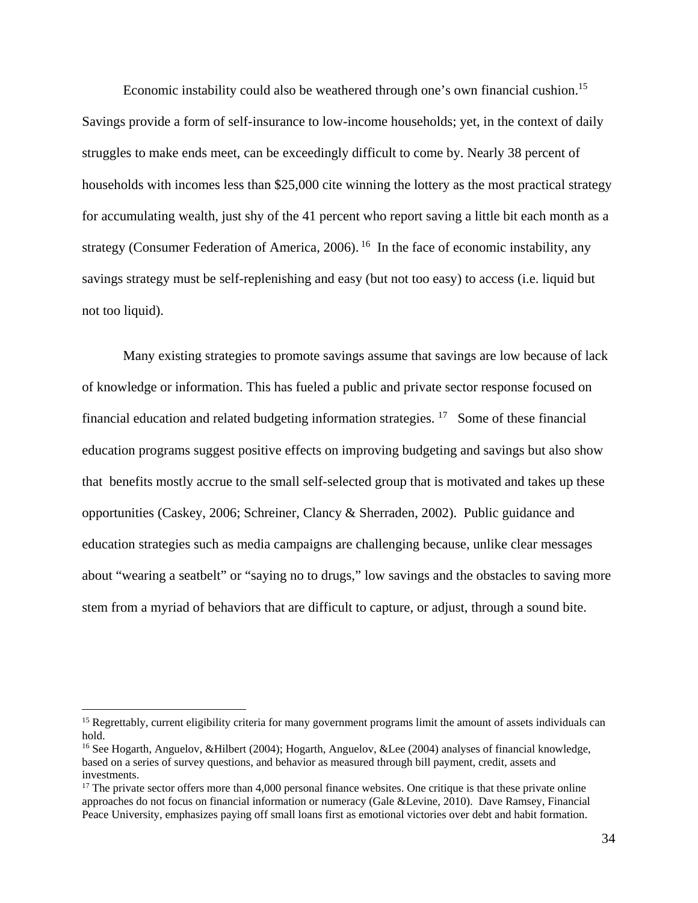Economic instability could also be weathered through one's own financial cushion.<sup>15</sup> Savings provide a form of self-insurance to low-income households; yet, in the context of daily struggles to make ends meet, can be exceedingly difficult to come by. Nearly 38 percent of households with incomes less than \$25,000 cite winning the lottery as the most practical strategy for accumulating wealth, just shy of the 41 percent who report saving a little bit each month as a strategy (Consumer Federation of America, 2006). <sup>16</sup> In the face of economic instability, any savings strategy must be self-replenishing and easy (but not too easy) to access (i.e. liquid but not too liquid).

Many existing strategies to promote savings assume that savings are low because of lack of knowledge or information. This has fueled a public and private sector response focused on financial education and related budgeting information strategies.  $17$  Some of these financial education programs suggest positive effects on improving budgeting and savings but also show that benefits mostly accrue to the small self-selected group that is motivated and takes up these opportunities (Caskey, 2006; Schreiner, Clancy & Sherraden, 2002). Public guidance and education strategies such as media campaigns are challenging because, unlike clear messages about "wearing a seatbelt" or "saying no to drugs," low savings and the obstacles to saving more stem from a myriad of behaviors that are difficult to capture, or adjust, through a sound bite.

 $\overline{a}$ 

<sup>&</sup>lt;sup>15</sup> Regrettably, current eligibility criteria for many government programs limit the amount of assets individuals can hold.

<sup>16</sup> See Hogarth, Anguelov, &Hilbert (2004); Hogarth, Anguelov, &Lee (2004) analyses of financial knowledge, based on a series of survey questions, and behavior as measured through bill payment, credit, assets and investments.

<sup>&</sup>lt;sup>17</sup> The private sector offers more than 4,000 personal finance websites. One critique is that these private online approaches do not focus on financial information or numeracy (Gale &Levine, 2010). Dave Ramsey, Financial Peace University, emphasizes paying off small loans first as emotional victories over debt and habit formation.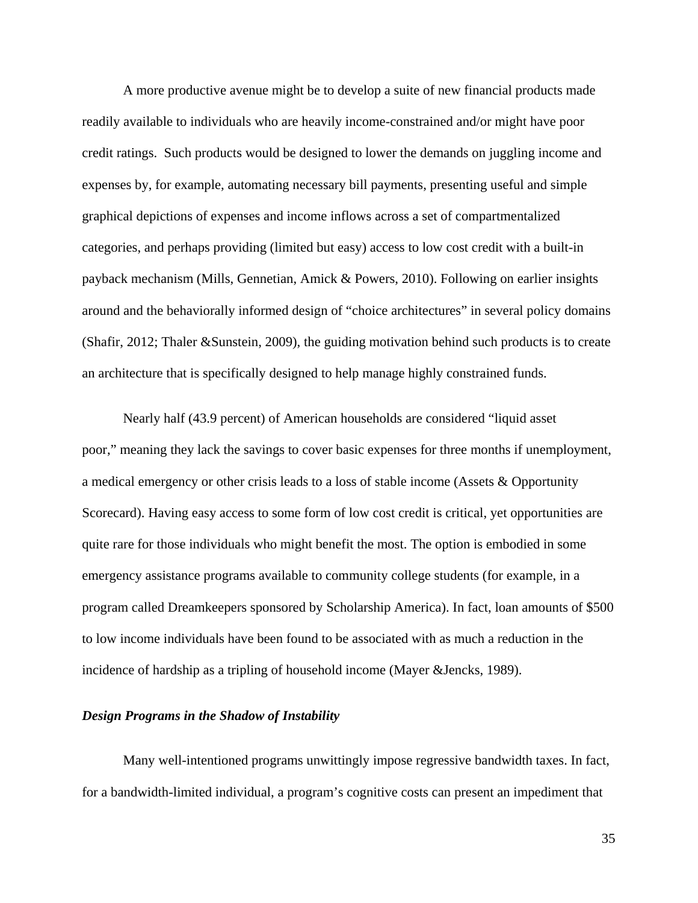A more productive avenue might be to develop a suite of new financial products made readily available to individuals who are heavily income-constrained and/or might have poor credit ratings. Such products would be designed to lower the demands on juggling income and expenses by, for example, automating necessary bill payments, presenting useful and simple graphical depictions of expenses and income inflows across a set of compartmentalized categories, and perhaps providing (limited but easy) access to low cost credit with a built-in payback mechanism (Mills, Gennetian, Amick & Powers, 2010). Following on earlier insights around and the behaviorally informed design of "choice architectures" in several policy domains (Shafir, 2012; Thaler &Sunstein, 2009), the guiding motivation behind such products is to create an architecture that is specifically designed to help manage highly constrained funds.

Nearly half (43.9 percent) of American households are considered "liquid asset poor," meaning they lack the savings to cover basic expenses for three months if unemployment, a medical emergency or other crisis leads to a loss of stable income (Assets & Opportunity Scorecard). Having easy access to some form of low cost credit is critical, yet opportunities are quite rare for those individuals who might benefit the most. The option is embodied in some emergency assistance programs available to community college students (for example, in a program called Dreamkeepers sponsored by Scholarship America). In fact, loan amounts of \$500 to low income individuals have been found to be associated with as much a reduction in the incidence of hardship as a tripling of household income (Mayer &Jencks, 1989).

### *Design Programs in the Shadow of Instability*

Many well-intentioned programs unwittingly impose regressive bandwidth taxes. In fact, for a bandwidth-limited individual, a program's cognitive costs can present an impediment that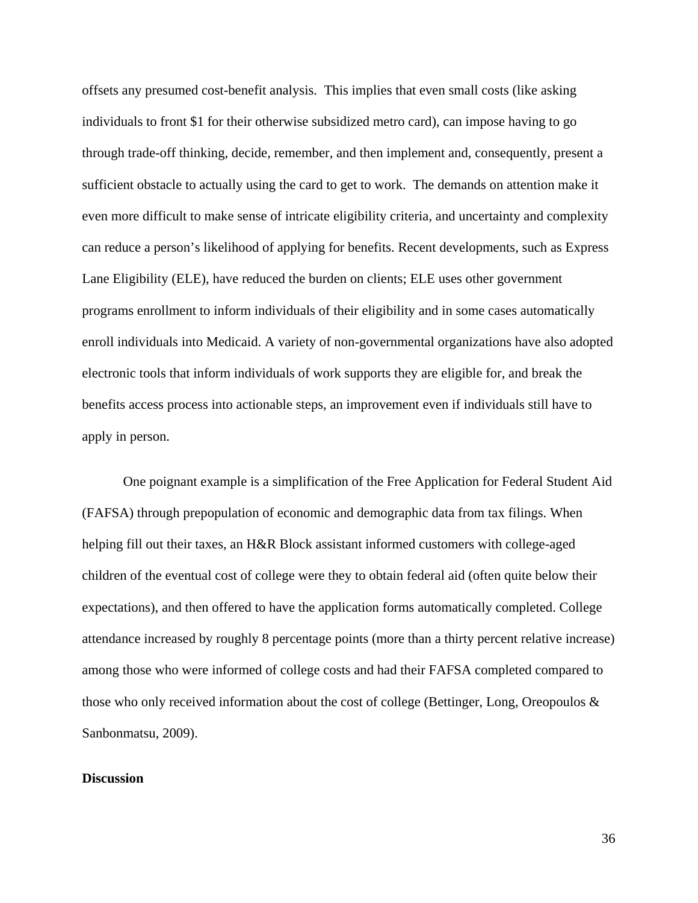offsets any presumed cost-benefit analysis. This implies that even small costs (like asking individuals to front \$1 for their otherwise subsidized metro card), can impose having to go through trade-off thinking, decide, remember, and then implement and, consequently, present a sufficient obstacle to actually using the card to get to work. The demands on attention make it even more difficult to make sense of intricate eligibility criteria, and uncertainty and complexity can reduce a person's likelihood of applying for benefits. Recent developments, such as Express Lane Eligibility (ELE), have reduced the burden on clients; ELE uses other government programs enrollment to inform individuals of their eligibility and in some cases automatically enroll individuals into Medicaid. A variety of non-governmental organizations have also adopted electronic tools that inform individuals of work supports they are eligible for, and break the benefits access process into actionable steps, an improvement even if individuals still have to apply in person.

One poignant example is a simplification of the Free Application for Federal Student Aid (FAFSA) through prepopulation of economic and demographic data from tax filings. When helping fill out their taxes, an H&R Block assistant informed customers with college-aged children of the eventual cost of college were they to obtain federal aid (often quite below their expectations), and then offered to have the application forms automatically completed. College attendance increased by roughly 8 percentage points (more than a thirty percent relative increase) among those who were informed of college costs and had their FAFSA completed compared to those who only received information about the cost of college (Bettinger, Long, Oreopoulos & Sanbonmatsu, 2009).

## **Discussion**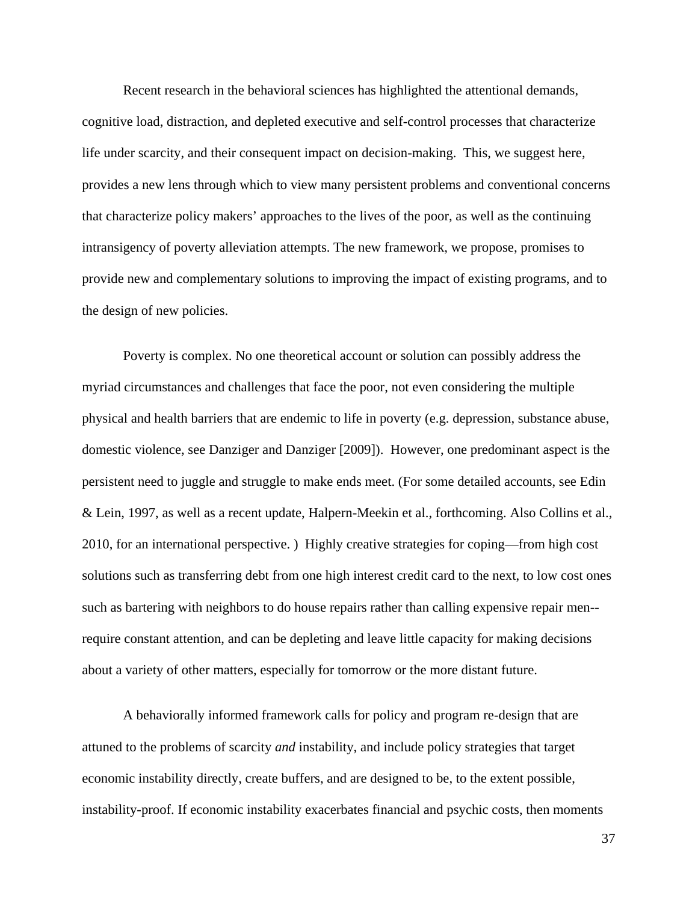Recent research in the behavioral sciences has highlighted the attentional demands, cognitive load, distraction, and depleted executive and self-control processes that characterize life under scarcity, and their consequent impact on decision-making. This, we suggest here, provides a new lens through which to view many persistent problems and conventional concerns that characterize policy makers' approaches to the lives of the poor, as well as the continuing intransigency of poverty alleviation attempts. The new framework, we propose, promises to provide new and complementary solutions to improving the impact of existing programs, and to the design of new policies.

Poverty is complex. No one theoretical account or solution can possibly address the myriad circumstances and challenges that face the poor, not even considering the multiple physical and health barriers that are endemic to life in poverty (e.g. depression, substance abuse, domestic violence, see Danziger and Danziger [2009]). However, one predominant aspect is the persistent need to juggle and struggle to make ends meet. (For some detailed accounts, see Edin & Lein, 1997, as well as a recent update, Halpern-Meekin et al., forthcoming. Also Collins et al., 2010, for an international perspective. ) Highly creative strategies for coping—from high cost solutions such as transferring debt from one high interest credit card to the next, to low cost ones such as bartering with neighbors to do house repairs rather than calling expensive repair men- require constant attention, and can be depleting and leave little capacity for making decisions about a variety of other matters, especially for tomorrow or the more distant future.

A behaviorally informed framework calls for policy and program re-design that are attuned to the problems of scarcity *and* instability, and include policy strategies that target economic instability directly, create buffers, and are designed to be, to the extent possible, instability-proof. If economic instability exacerbates financial and psychic costs, then moments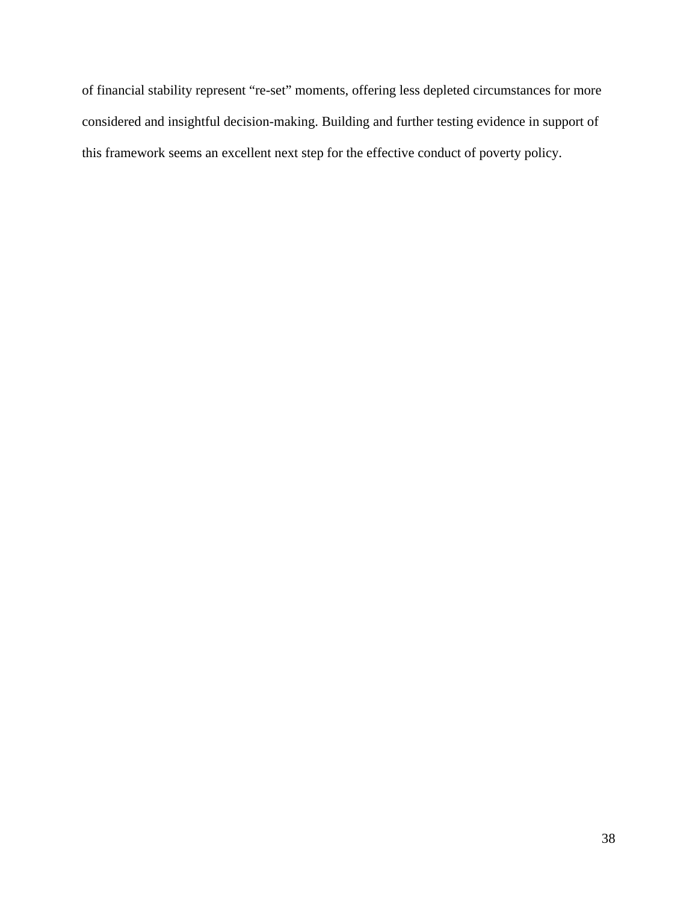of financial stability represent "re-set" moments, offering less depleted circumstances for more considered and insightful decision-making. Building and further testing evidence in support of this framework seems an excellent next step for the effective conduct of poverty policy.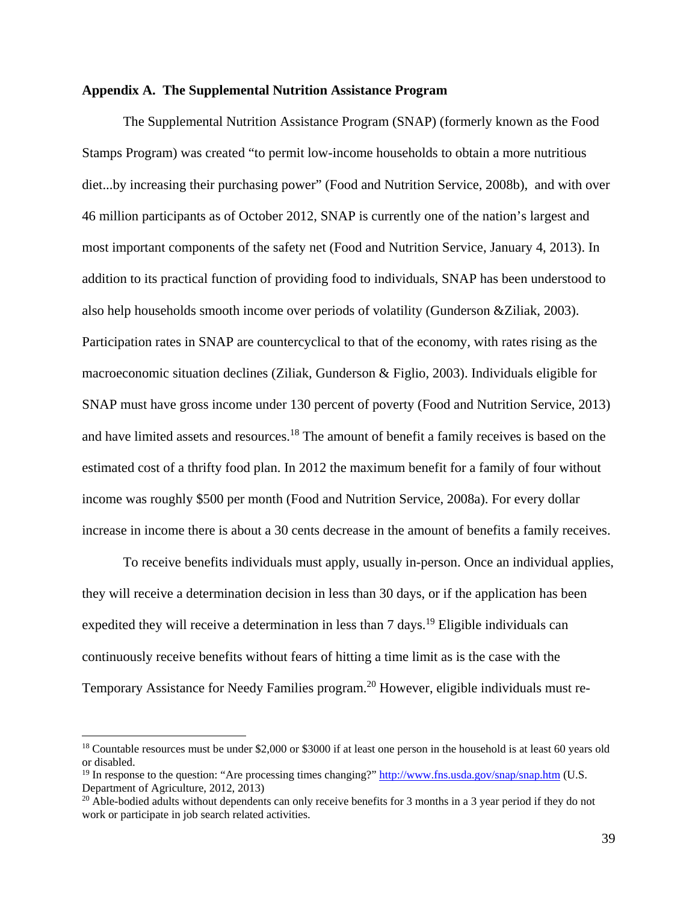### **Appendix A. The Supplemental Nutrition Assistance Program**

The Supplemental Nutrition Assistance Program (SNAP) (formerly known as the Food Stamps Program) was created "to permit low-income households to obtain a more nutritious diet...by increasing their purchasing power" (Food and Nutrition Service, 2008b), and with over 46 million participants as of October 2012, SNAP is currently one of the nation's largest and most important components of the safety net (Food and Nutrition Service, January 4, 2013). In addition to its practical function of providing food to individuals, SNAP has been understood to also help households smooth income over periods of volatility (Gunderson &Ziliak, 2003). Participation rates in SNAP are countercyclical to that of the economy, with rates rising as the macroeconomic situation declines (Ziliak, Gunderson & Figlio, 2003). Individuals eligible for SNAP must have gross income under 130 percent of poverty (Food and Nutrition Service, 2013) and have limited assets and resources.<sup>18</sup> The amount of benefit a family receives is based on the estimated cost of a thrifty food plan. In 2012 the maximum benefit for a family of four without income was roughly \$500 per month (Food and Nutrition Service, 2008a). For every dollar increase in income there is about a 30 cents decrease in the amount of benefits a family receives.

To receive benefits individuals must apply, usually in-person. Once an individual applies, they will receive a determination decision in less than 30 days, or if the application has been expedited they will receive a determination in less than  $7 \text{ days}$ .<sup>19</sup> Eligible individuals can continuously receive benefits without fears of hitting a time limit as is the case with the Temporary Assistance for Needy Families program.<sup>20</sup> However, eligible individuals must re-

 $\overline{a}$ 

<sup>&</sup>lt;sup>18</sup> Countable resources must be under \$2,000 or \$3000 if at least one person in the household is at least 60 years old or disabled.

<sup>&</sup>lt;sup>19</sup> In response to the question: "Are processing times changing?" http://www.fns.usda.gov/snap/snap.htm (U.S. Department of Agriculture, 2012, 2013)

<sup>&</sup>lt;sup>20</sup> Able-bodied adults without dependents can only receive benefits for 3 months in a 3 year period if they do not work or participate in job search related activities.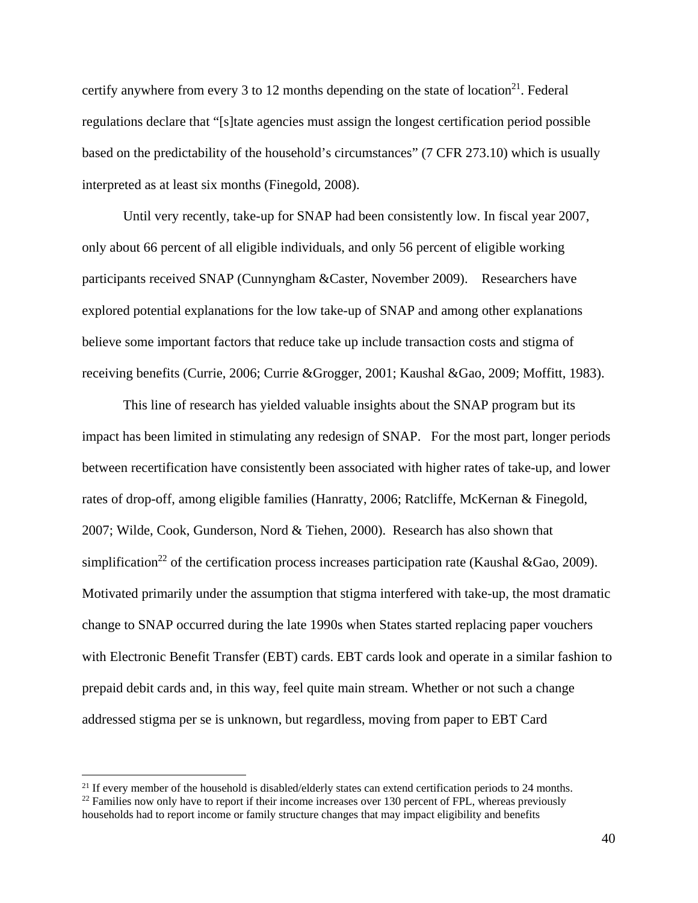certify anywhere from every 3 to 12 months depending on the state of location<sup>21</sup>. Federal regulations declare that "[s]tate agencies must assign the longest certification period possible based on the predictability of the household's circumstances" (7 CFR 273.10) which is usually interpreted as at least six months (Finegold, 2008).

Until very recently, take-up for SNAP had been consistently low. In fiscal year 2007, only about 66 percent of all eligible individuals, and only 56 percent of eligible working participants received SNAP (Cunnyngham &Caster, November 2009). Researchers have explored potential explanations for the low take-up of SNAP and among other explanations believe some important factors that reduce take up include transaction costs and stigma of receiving benefits (Currie, 2006; Currie &Grogger, 2001; Kaushal &Gao, 2009; Moffitt, 1983).

This line of research has yielded valuable insights about the SNAP program but its impact has been limited in stimulating any redesign of SNAP. For the most part, longer periods between recertification have consistently been associated with higher rates of take-up, and lower rates of drop-off, among eligible families (Hanratty, 2006; Ratcliffe, McKernan & Finegold, 2007; Wilde, Cook, Gunderson, Nord & Tiehen, 2000). Research has also shown that simplification<sup>22</sup> of the certification process increases participation rate (Kaushal &Gao, 2009). Motivated primarily under the assumption that stigma interfered with take-up, the most dramatic change to SNAP occurred during the late 1990s when States started replacing paper vouchers with Electronic Benefit Transfer (EBT) cards. EBT cards look and operate in a similar fashion to prepaid debit cards and, in this way, feel quite main stream. Whether or not such a change addressed stigma per se is unknown, but regardless, moving from paper to EBT Card

 $\overline{a}$ 

<sup>&</sup>lt;sup>21</sup> If every member of the household is disabled/elderly states can extend certification periods to 24 months.

 $22$  Families now only have to report if their income increases over 130 percent of FPL, whereas previously households had to report income or family structure changes that may impact eligibility and benefits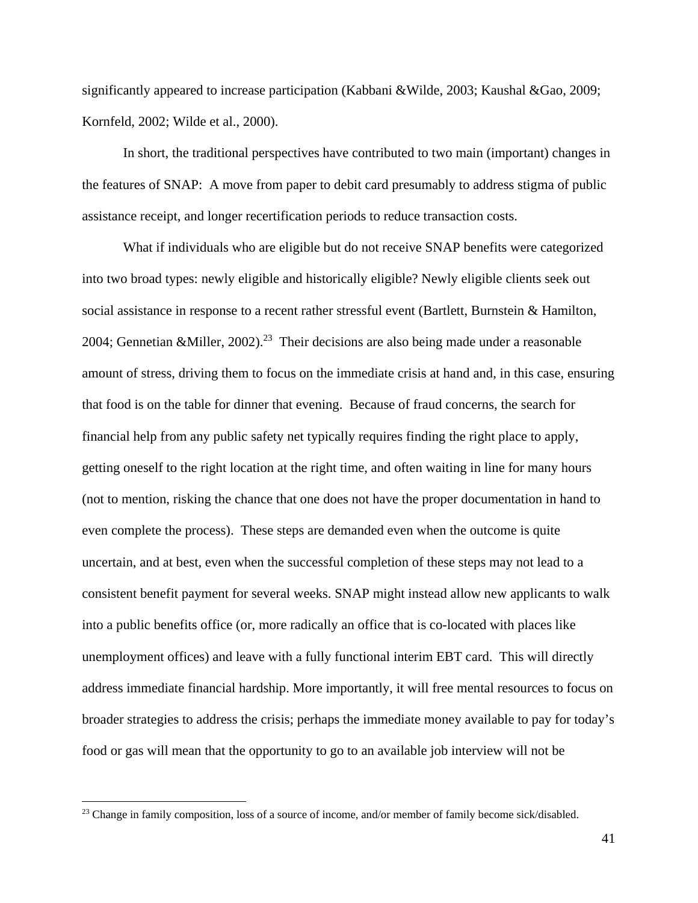significantly appeared to increase participation (Kabbani &Wilde, 2003; Kaushal &Gao, 2009; Kornfeld, 2002; Wilde et al., 2000).

In short, the traditional perspectives have contributed to two main (important) changes in the features of SNAP: A move from paper to debit card presumably to address stigma of public assistance receipt, and longer recertification periods to reduce transaction costs.

What if individuals who are eligible but do not receive SNAP benefits were categorized into two broad types: newly eligible and historically eligible? Newly eligible clients seek out social assistance in response to a recent rather stressful event (Bartlett, Burnstein & Hamilton, 2004; Gennetian &Miller, 2002).<sup>23</sup> Their decisions are also being made under a reasonable amount of stress, driving them to focus on the immediate crisis at hand and, in this case, ensuring that food is on the table for dinner that evening. Because of fraud concerns, the search for financial help from any public safety net typically requires finding the right place to apply, getting oneself to the right location at the right time, and often waiting in line for many hours (not to mention, risking the chance that one does not have the proper documentation in hand to even complete the process). These steps are demanded even when the outcome is quite uncertain, and at best, even when the successful completion of these steps may not lead to a consistent benefit payment for several weeks. SNAP might instead allow new applicants to walk into a public benefits office (or, more radically an office that is co-located with places like unemployment offices) and leave with a fully functional interim EBT card. This will directly address immediate financial hardship. More importantly, it will free mental resources to focus on broader strategies to address the crisis; perhaps the immediate money available to pay for today's food or gas will mean that the opportunity to go to an available job interview will not be

<u>.</u>

<sup>&</sup>lt;sup>23</sup> Change in family composition, loss of a source of income, and/or member of family become sick/disabled.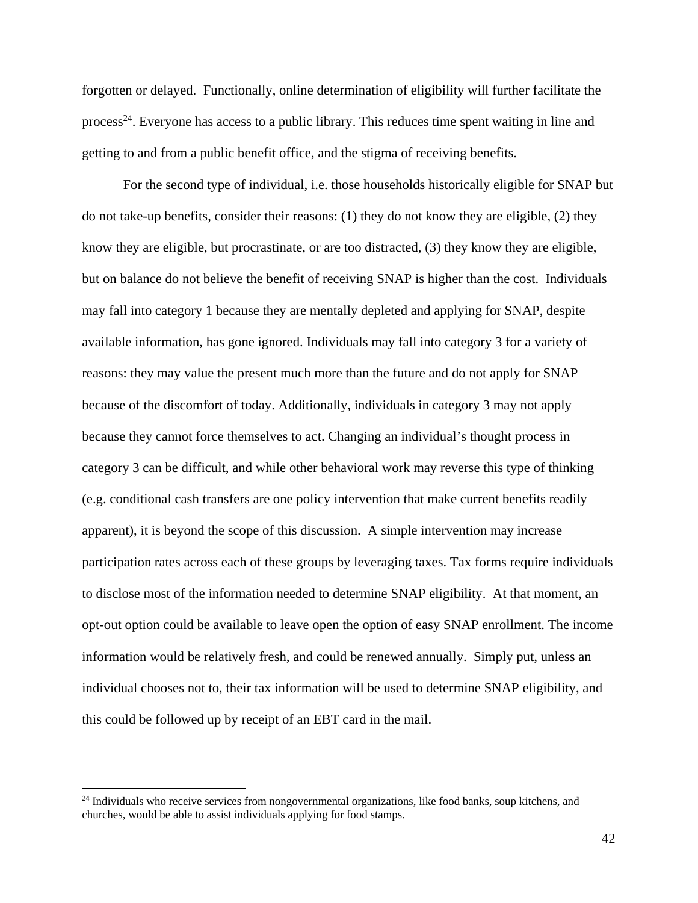forgotten or delayed. Functionally, online determination of eligibility will further facilitate the process<sup>24</sup>. Everyone has access to a public library. This reduces time spent waiting in line and getting to and from a public benefit office, and the stigma of receiving benefits.

For the second type of individual, i.e. those households historically eligible for SNAP but do not take-up benefits, consider their reasons: (1) they do not know they are eligible, (2) they know they are eligible, but procrastinate, or are too distracted, (3) they know they are eligible, but on balance do not believe the benefit of receiving SNAP is higher than the cost. Individuals may fall into category 1 because they are mentally depleted and applying for SNAP, despite available information, has gone ignored. Individuals may fall into category 3 for a variety of reasons: they may value the present much more than the future and do not apply for SNAP because of the discomfort of today. Additionally, individuals in category 3 may not apply because they cannot force themselves to act. Changing an individual's thought process in category 3 can be difficult, and while other behavioral work may reverse this type of thinking (e.g. conditional cash transfers are one policy intervention that make current benefits readily apparent), it is beyond the scope of this discussion. A simple intervention may increase participation rates across each of these groups by leveraging taxes. Tax forms require individuals to disclose most of the information needed to determine SNAP eligibility. At that moment, an opt-out option could be available to leave open the option of easy SNAP enrollment. The income information would be relatively fresh, and could be renewed annually. Simply put, unless an individual chooses not to, their tax information will be used to determine SNAP eligibility, and this could be followed up by receipt of an EBT card in the mail.

 $\overline{a}$ 

<sup>&</sup>lt;sup>24</sup> Individuals who receive services from nongovernmental organizations, like food banks, soup kitchens, and churches, would be able to assist individuals applying for food stamps.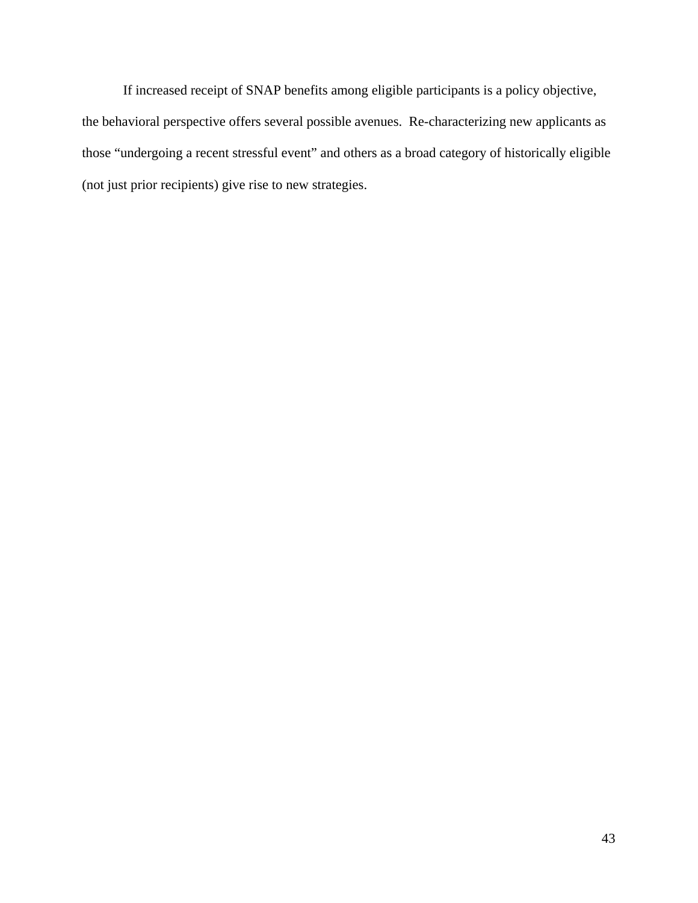If increased receipt of SNAP benefits among eligible participants is a policy objective, the behavioral perspective offers several possible avenues. Re-characterizing new applicants as those "undergoing a recent stressful event" and others as a broad category of historically eligible (not just prior recipients) give rise to new strategies.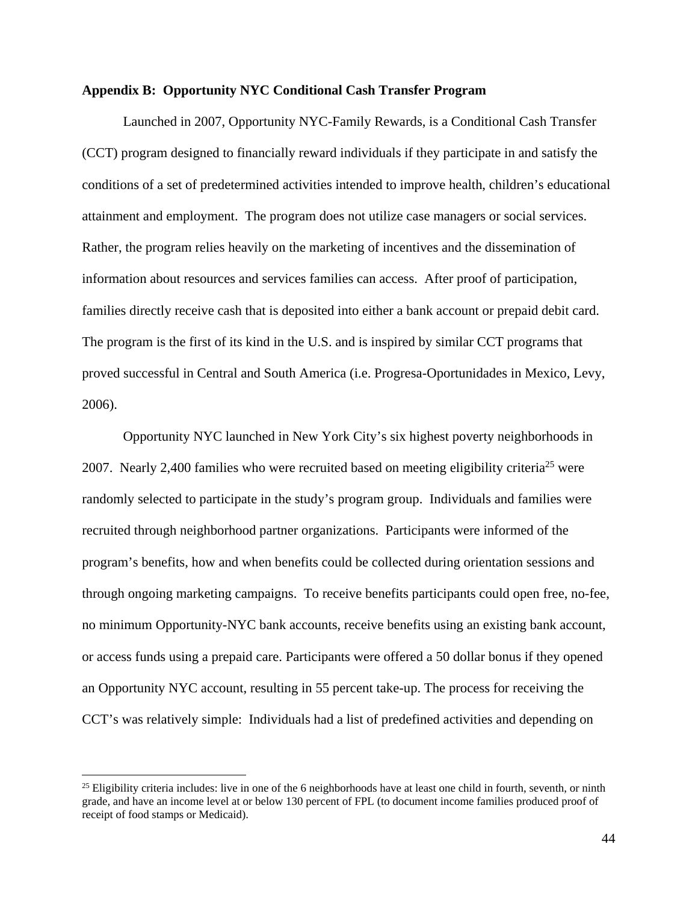### **Appendix B: Opportunity NYC Conditional Cash Transfer Program**

Launched in 2007, Opportunity NYC-Family Rewards, is a Conditional Cash Transfer (CCT) program designed to financially reward individuals if they participate in and satisfy the conditions of a set of predetermined activities intended to improve health, children's educational attainment and employment. The program does not utilize case managers or social services. Rather, the program relies heavily on the marketing of incentives and the dissemination of information about resources and services families can access. After proof of participation, families directly receive cash that is deposited into either a bank account or prepaid debit card. The program is the first of its kind in the U.S. and is inspired by similar CCT programs that proved successful in Central and South America (i.e. Progresa-Oportunidades in Mexico, Levy, 2006).

Opportunity NYC launched in New York City's six highest poverty neighborhoods in 2007. Nearly 2,400 families who were recruited based on meeting eligibility criteria<sup>25</sup> were randomly selected to participate in the study's program group. Individuals and families were recruited through neighborhood partner organizations. Participants were informed of the program's benefits, how and when benefits could be collected during orientation sessions and through ongoing marketing campaigns. To receive benefits participants could open free, no-fee, no minimum Opportunity-NYC bank accounts, receive benefits using an existing bank account, or access funds using a prepaid care. Participants were offered a 50 dollar bonus if they opened an Opportunity NYC account, resulting in 55 percent take-up. The process for receiving the CCT's was relatively simple: Individuals had a list of predefined activities and depending on

 $25$  Eligibility criteria includes: live in one of the 6 neighborhoods have at least one child in fourth, seventh, or ninth grade, and have an income level at or below 130 percent of FPL (to document income families produced proof of receipt of food stamps or Medicaid).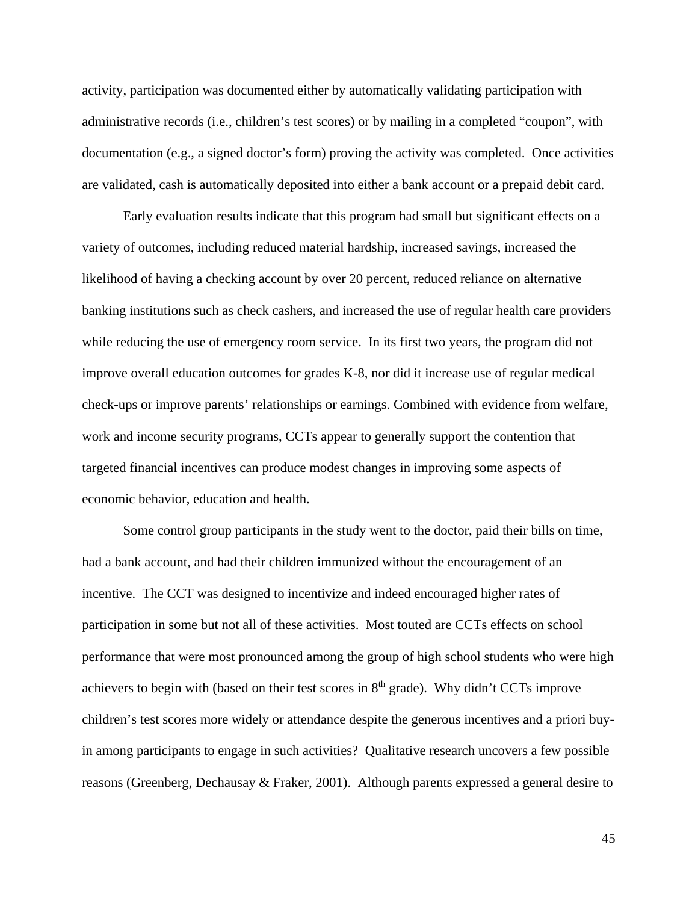activity, participation was documented either by automatically validating participation with administrative records (i.e., children's test scores) or by mailing in a completed "coupon", with documentation (e.g., a signed doctor's form) proving the activity was completed. Once activities are validated, cash is automatically deposited into either a bank account or a prepaid debit card.

Early evaluation results indicate that this program had small but significant effects on a variety of outcomes, including reduced material hardship, increased savings, increased the likelihood of having a checking account by over 20 percent, reduced reliance on alternative banking institutions such as check cashers, and increased the use of regular health care providers while reducing the use of emergency room service. In its first two years, the program did not improve overall education outcomes for grades K-8, nor did it increase use of regular medical check-ups or improve parents' relationships or earnings. Combined with evidence from welfare, work and income security programs, CCTs appear to generally support the contention that targeted financial incentives can produce modest changes in improving some aspects of economic behavior, education and health.

Some control group participants in the study went to the doctor, paid their bills on time, had a bank account, and had their children immunized without the encouragement of an incentive. The CCT was designed to incentivize and indeed encouraged higher rates of participation in some but not all of these activities. Most touted are CCTs effects on school performance that were most pronounced among the group of high school students who were high achievers to begin with (based on their test scores in  $8<sup>th</sup>$  grade). Why didn't CCTs improve children's test scores more widely or attendance despite the generous incentives and a priori buyin among participants to engage in such activities? Qualitative research uncovers a few possible reasons (Greenberg, Dechausay & Fraker, 2001). Although parents expressed a general desire to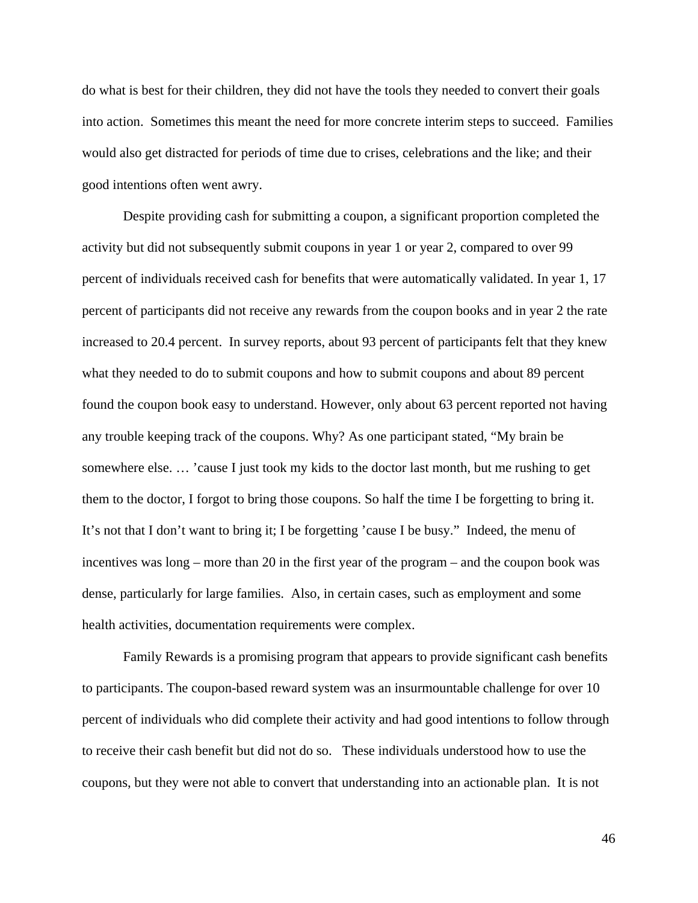do what is best for their children, they did not have the tools they needed to convert their goals into action. Sometimes this meant the need for more concrete interim steps to succeed. Families would also get distracted for periods of time due to crises, celebrations and the like; and their good intentions often went awry.

Despite providing cash for submitting a coupon, a significant proportion completed the activity but did not subsequently submit coupons in year 1 or year 2, compared to over 99 percent of individuals received cash for benefits that were automatically validated. In year 1, 17 percent of participants did not receive any rewards from the coupon books and in year 2 the rate increased to 20.4 percent. In survey reports, about 93 percent of participants felt that they knew what they needed to do to submit coupons and how to submit coupons and about 89 percent found the coupon book easy to understand. However, only about 63 percent reported not having any trouble keeping track of the coupons. Why? As one participant stated, "My brain be somewhere else. … 'cause I just took my kids to the doctor last month, but me rushing to get them to the doctor, I forgot to bring those coupons. So half the time I be forgetting to bring it. It's not that I don't want to bring it; I be forgetting 'cause I be busy." Indeed, the menu of incentives was long – more than 20 in the first year of the program – and the coupon book was dense, particularly for large families. Also, in certain cases, such as employment and some health activities, documentation requirements were complex.

Family Rewards is a promising program that appears to provide significant cash benefits to participants. The coupon-based reward system was an insurmountable challenge for over 10 percent of individuals who did complete their activity and had good intentions to follow through to receive their cash benefit but did not do so. These individuals understood how to use the coupons, but they were not able to convert that understanding into an actionable plan. It is not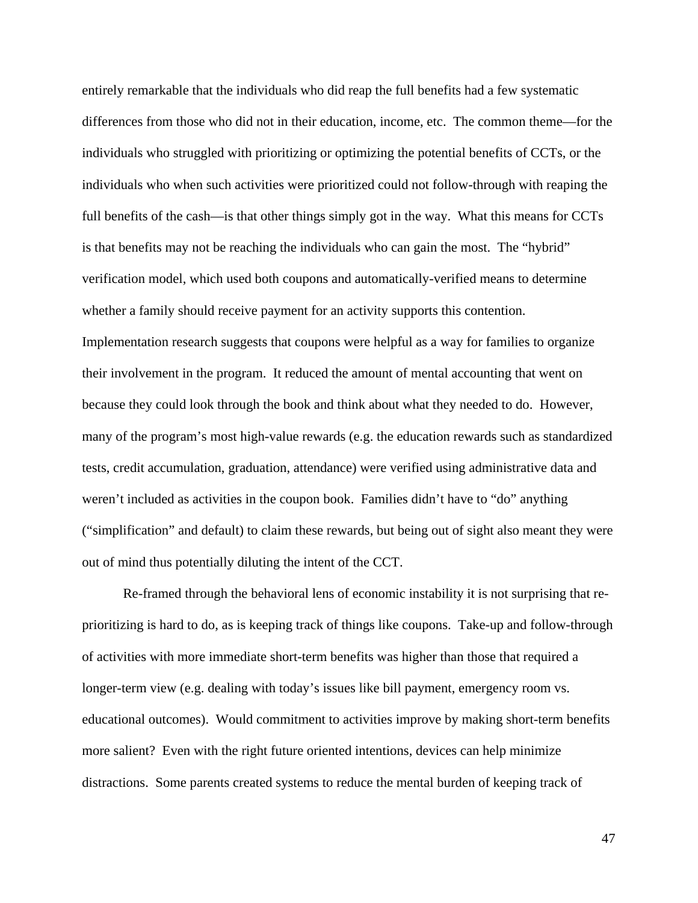entirely remarkable that the individuals who did reap the full benefits had a few systematic differences from those who did not in their education, income, etc. The common theme—for the individuals who struggled with prioritizing or optimizing the potential benefits of CCTs, or the individuals who when such activities were prioritized could not follow-through with reaping the full benefits of the cash—is that other things simply got in the way. What this means for CCTs is that benefits may not be reaching the individuals who can gain the most. The "hybrid" verification model, which used both coupons and automatically-verified means to determine whether a family should receive payment for an activity supports this contention. Implementation research suggests that coupons were helpful as a way for families to organize their involvement in the program. It reduced the amount of mental accounting that went on because they could look through the book and think about what they needed to do. However, many of the program's most high-value rewards (e.g. the education rewards such as standardized tests, credit accumulation, graduation, attendance) were verified using administrative data and weren't included as activities in the coupon book. Families didn't have to "do" anything ("simplification" and default) to claim these rewards, but being out of sight also meant they were out of mind thus potentially diluting the intent of the CCT.

Re-framed through the behavioral lens of economic instability it is not surprising that reprioritizing is hard to do, as is keeping track of things like coupons. Take-up and follow-through of activities with more immediate short-term benefits was higher than those that required a longer-term view (e.g. dealing with today's issues like bill payment, emergency room vs. educational outcomes). Would commitment to activities improve by making short-term benefits more salient? Even with the right future oriented intentions, devices can help minimize distractions. Some parents created systems to reduce the mental burden of keeping track of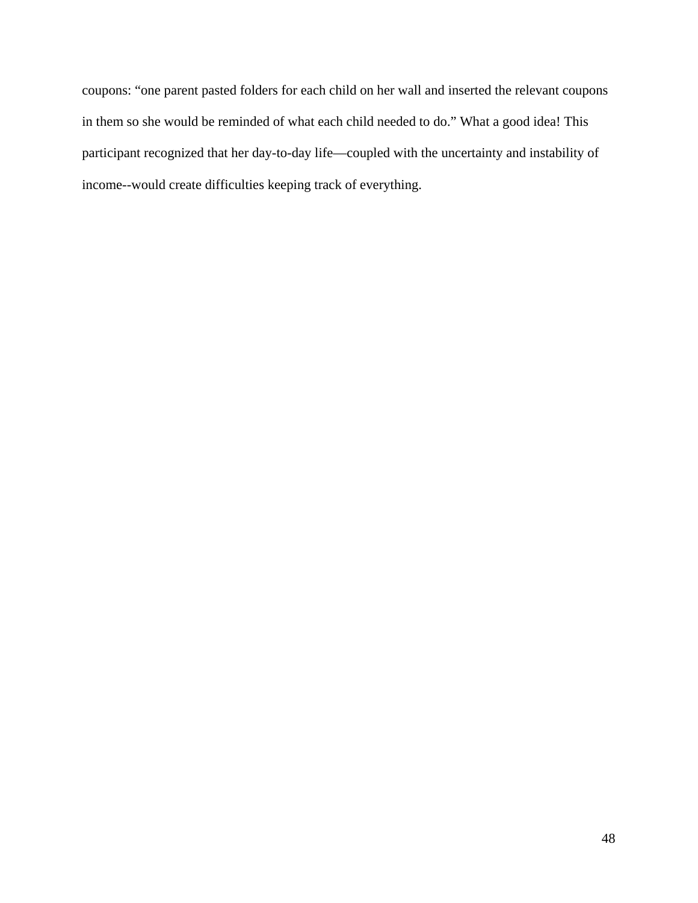coupons: "one parent pasted folders for each child on her wall and inserted the relevant coupons in them so she would be reminded of what each child needed to do." What a good idea! This participant recognized that her day-to-day life—coupled with the uncertainty and instability of income--would create difficulties keeping track of everything.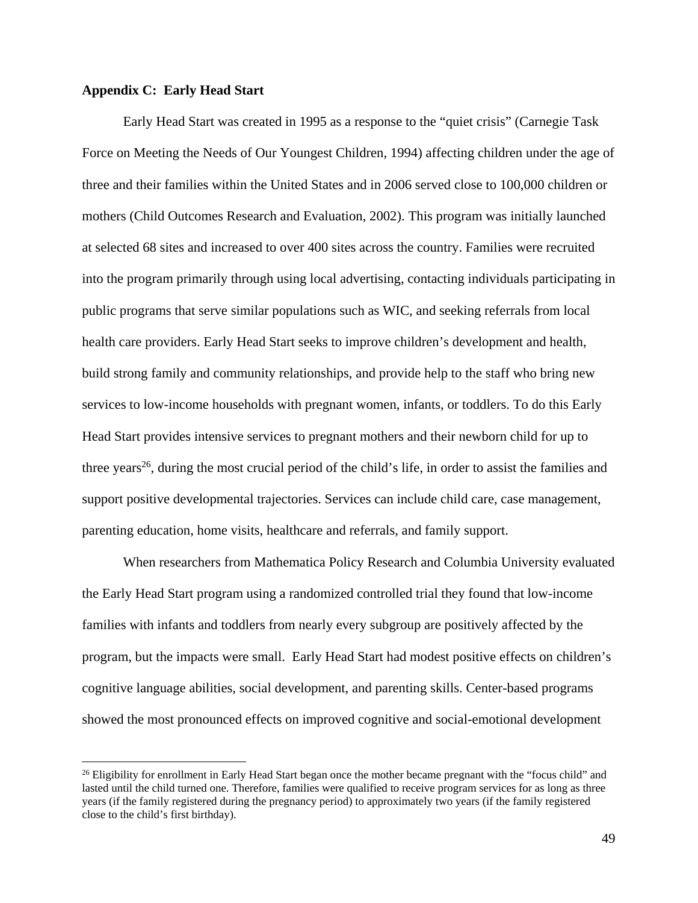### **Appendix C: Early Head Start**

<u>.</u>

Early Head Start was created in 1995 as a response to the "quiet crisis" (Carnegie Task Force on Meeting the Needs of Our Youngest Children, 1994) affecting children under the age of three and their families within the United States and in 2006 served close to 100,000 children or mothers (Child Outcomes Research and Evaluation, 2002). This program was initially launched at selected 68 sites and increased to over 400 sites across the country. Families were recruited into the program primarily through using local advertising, contacting individuals participating in public programs that serve similar populations such as WIC, and seeking referrals from local health care providers. Early Head Start seeks to improve children's development and health, build strong family and community relationships, and provide help to the staff who bring new services to low-income households with pregnant women, infants, or toddlers. To do this Early Head Start provides intensive services to pregnant mothers and their newborn child for up to three years<sup>26</sup>, during the most crucial period of the child's life, in order to assist the families and support positive developmental trajectories. Services can include child care, case management, parenting education, home visits, healthcare and referrals, and family support.

When researchers from Mathematica Policy Research and Columbia University evaluated the Early Head Start program using a randomized controlled trial they found that low-income families with infants and toddlers from nearly every subgroup are positively affected by the program, but the impacts were small. Early Head Start had modest positive effects on children's cognitive language abilities, social development, and parenting skills. Center-based programs showed the most pronounced effects on improved cognitive and social-emotional development

<sup>&</sup>lt;sup>26</sup> Eligibility for enrollment in Early Head Start began once the mother became pregnant with the "focus child" and lasted until the child turned one. Therefore, families were qualified to receive program services for as long as three years (if the family registered during the pregnancy period) to approximately two years (if the family registered close to the child's first birthday).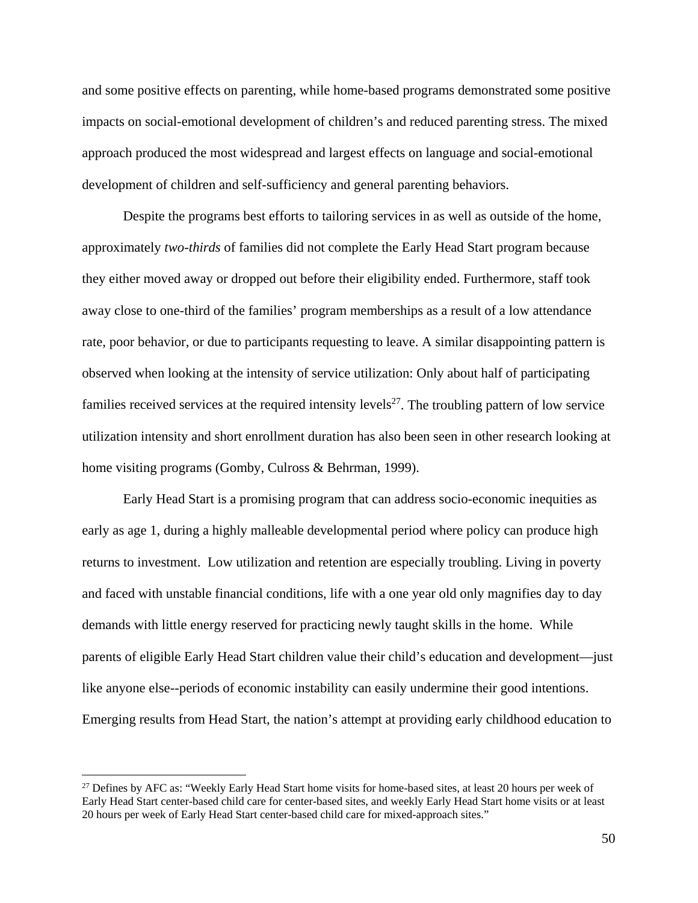and some positive effects on parenting, while home-based programs demonstrated some positive impacts on social-emotional development of children's and reduced parenting stress. The mixed approach produced the most widespread and largest effects on language and social-emotional development of children and self-sufficiency and general parenting behaviors.

Despite the programs best efforts to tailoring services in as well as outside of the home, approximately *two-thirds* of families did not complete the Early Head Start program because they either moved away or dropped out before their eligibility ended. Furthermore, staff took away close to one-third of the families' program memberships as a result of a low attendance rate, poor behavior, or due to participants requesting to leave. A similar disappointing pattern is observed when looking at the intensity of service utilization: Only about half of participating families received services at the required intensity levels<sup>27</sup>. The troubling pattern of low service utilization intensity and short enrollment duration has also been seen in other research looking at home visiting programs (Gomby, Culross & Behrman, 1999).

Early Head Start is a promising program that can address socio-economic inequities as early as age 1, during a highly malleable developmental period where policy can produce high returns to investment. Low utilization and retention are especially troubling. Living in poverty and faced with unstable financial conditions, life with a one year old only magnifies day to day demands with little energy reserved for practicing newly taught skills in the home. While parents of eligible Early Head Start children value their child's education and development—just like anyone else--periods of economic instability can easily undermine their good intentions. Emerging results from Head Start, the nation's attempt at providing early childhood education to

 $\overline{a}$ 

<sup>&</sup>lt;sup>27</sup> Defines by AFC as: "Weekly Early Head Start home visits for home-based sites, at least 20 hours per week of Early Head Start center-based child care for center-based sites, and weekly Early Head Start home visits or at least 20 hours per week of Early Head Start center-based child care for mixed-approach sites."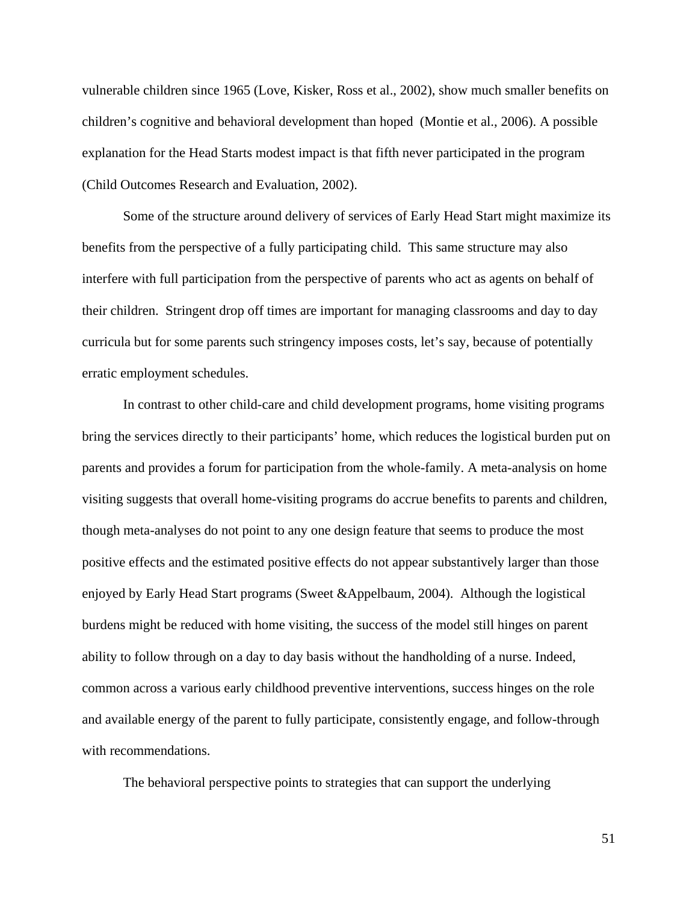vulnerable children since 1965 (Love, Kisker, Ross et al., 2002), show much smaller benefits on children's cognitive and behavioral development than hoped (Montie et al., 2006). A possible explanation for the Head Starts modest impact is that fifth never participated in the program (Child Outcomes Research and Evaluation, 2002).

Some of the structure around delivery of services of Early Head Start might maximize its benefits from the perspective of a fully participating child. This same structure may also interfere with full participation from the perspective of parents who act as agents on behalf of their children. Stringent drop off times are important for managing classrooms and day to day curricula but for some parents such stringency imposes costs, let's say, because of potentially erratic employment schedules.

In contrast to other child-care and child development programs, home visiting programs bring the services directly to their participants' home, which reduces the logistical burden put on parents and provides a forum for participation from the whole-family. A meta-analysis on home visiting suggests that overall home-visiting programs do accrue benefits to parents and children, though meta-analyses do not point to any one design feature that seems to produce the most positive effects and the estimated positive effects do not appear substantively larger than those enjoyed by Early Head Start programs (Sweet &Appelbaum, 2004). Although the logistical burdens might be reduced with home visiting, the success of the model still hinges on parent ability to follow through on a day to day basis without the handholding of a nurse. Indeed, common across a various early childhood preventive interventions, success hinges on the role and available energy of the parent to fully participate, consistently engage, and follow-through with recommendations.

The behavioral perspective points to strategies that can support the underlying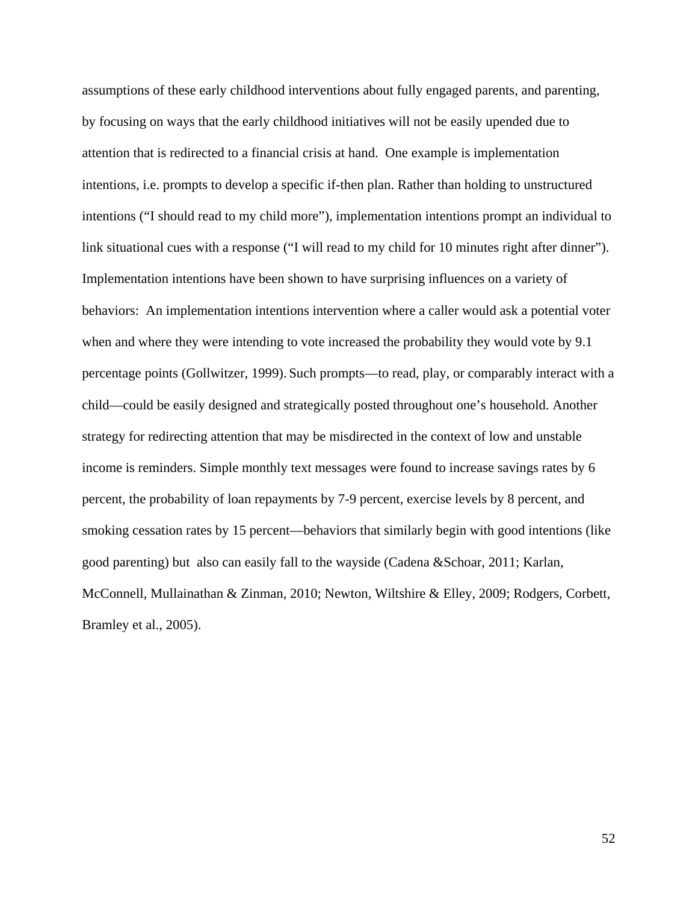assumptions of these early childhood interventions about fully engaged parents, and parenting, by focusing on ways that the early childhood initiatives will not be easily upended due to attention that is redirected to a financial crisis at hand. One example is implementation intentions, i.e. prompts to develop a specific if-then plan. Rather than holding to unstructured intentions ("I should read to my child more"), implementation intentions prompt an individual to link situational cues with a response ("I will read to my child for 10 minutes right after dinner"). Implementation intentions have been shown to have surprising influences on a variety of behaviors: An implementation intentions intervention where a caller would ask a potential voter when and where they were intending to vote increased the probability they would vote by 9.1 percentage points (Gollwitzer, 1999). Such prompts—to read, play, or comparably interact with a child—could be easily designed and strategically posted throughout one's household. Another strategy for redirecting attention that may be misdirected in the context of low and unstable income is reminders. Simple monthly text messages were found to increase savings rates by 6 percent, the probability of loan repayments by 7-9 percent, exercise levels by 8 percent, and smoking cessation rates by 15 percent—behaviors that similarly begin with good intentions (like good parenting) but also can easily fall to the wayside (Cadena &Schoar, 2011; Karlan, McConnell, Mullainathan & Zinman, 2010; Newton, Wiltshire & Elley, 2009; Rodgers, Corbett, Bramley et al., 2005).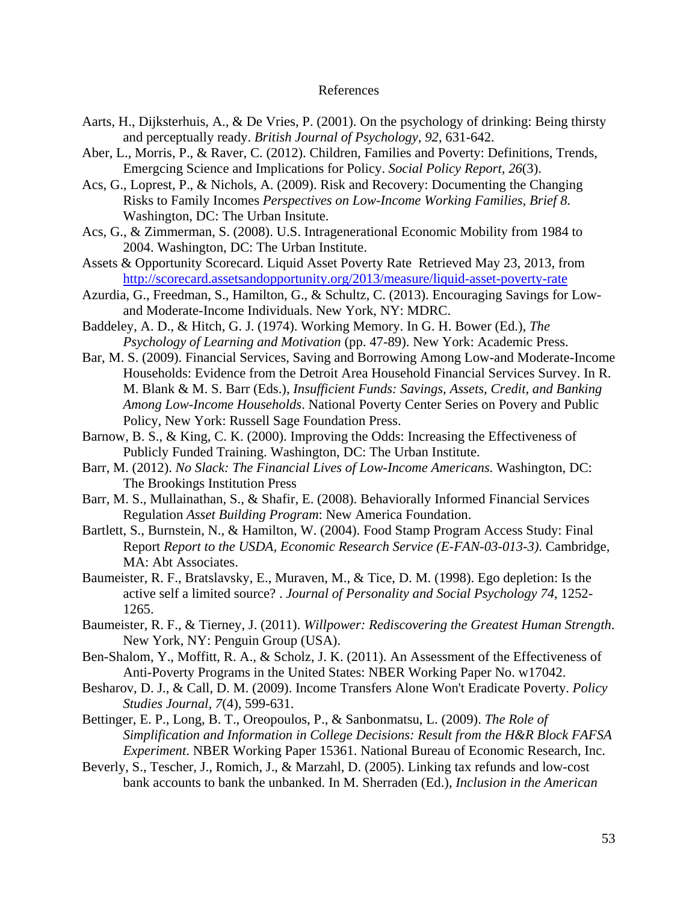#### References

- Aarts, H., Dijksterhuis, A., & De Vries, P. (2001). On the psychology of drinking: Being thirsty and perceptually ready. *British Journal of Psychology, 92*, 631-642.
- Aber, L., Morris, P., & Raver, C. (2012). Children, Families and Poverty: Definitions, Trends, Emergcing Science and Implications for Policy. *Social Policy Report, 26*(3).
- Acs, G., Loprest, P., & Nichols, A. (2009). Risk and Recovery: Documenting the Changing Risks to Family Incomes *Perspectives on Low-Income Working Families, Brief 8*. Washington, DC: The Urban Insitute.
- Acs, G., & Zimmerman, S. (2008). U.S. Intragenerational Economic Mobility from 1984 to 2004. Washington, DC: The Urban Institute.
- Assets & Opportunity Scorecard. Liquid Asset Poverty Rate Retrieved May 23, 2013, from http://scorecard.assetsandopportunity.org/2013/measure/liquid-asset-poverty-rate
- Azurdia, G., Freedman, S., Hamilton, G., & Schultz, C. (2013). Encouraging Savings for Lowand Moderate-Income Individuals. New York, NY: MDRC.
- Baddeley, A. D., & Hitch, G. J. (1974). Working Memory. In G. H. Bower (Ed.), *The Psychology of Learning and Motivation* (pp. 47-89). New York: Academic Press.
- Bar, M. S. (2009). Financial Services, Saving and Borrowing Among Low-and Moderate-Income Households: Evidence from the Detroit Area Household Financial Services Survey. In R. M. Blank & M. S. Barr (Eds.), *Insufficient Funds: Savings, Assets, Credit, and Banking Among Low-Income Households*. National Poverty Center Series on Povery and Public Policy, New York: Russell Sage Foundation Press.
- Barnow, B. S., & King, C. K. (2000). Improving the Odds: Increasing the Effectiveness of Publicly Funded Training. Washington, DC: The Urban Institute.
- Barr, M. (2012). *No Slack: The Financial Lives of Low-Income Americans*. Washington, DC: The Brookings Institution Press
- Barr, M. S., Mullainathan, S., & Shafir, E. (2008). Behaviorally Informed Financial Services Regulation *Asset Building Program*: New America Foundation.
- Bartlett, S., Burnstein, N., & Hamilton, W. (2004). Food Stamp Program Access Study: Final Report *Report to the USDA, Economic Research Service (E-FAN-03-013-3)*. Cambridge, MA: Abt Associates.
- Baumeister, R. F., Bratslavsky, E., Muraven, M., & Tice, D. M. (1998). Ego depletion: Is the active self a limited source? . *Journal of Personality and Social Psychology 74*, 1252- 1265.
- Baumeister, R. F., & Tierney, J. (2011). *Willpower: Rediscovering the Greatest Human Strength*. New York, NY: Penguin Group (USA).
- Ben-Shalom, Y., Moffitt, R. A., & Scholz, J. K. (2011). An Assessment of the Effectiveness of Anti-Poverty Programs in the United States: NBER Working Paper No. w17042.
- Besharov, D. J., & Call, D. M. (2009). Income Transfers Alone Won't Eradicate Poverty. *Policy Studies Journal, 7*(4), 599-631.
- Bettinger, E. P., Long, B. T., Oreopoulos, P., & Sanbonmatsu, L. (2009). *The Role of Simplification and Information in College Decisions: Result from the H&R Block FAFSA Experiment*. NBER Working Paper 15361. National Bureau of Economic Research, Inc.
- Beverly, S., Tescher, J., Romich, J., & Marzahl, D. (2005). Linking tax refunds and low-cost bank accounts to bank the unbanked. In M. Sherraden (Ed.), *Inclusion in the American*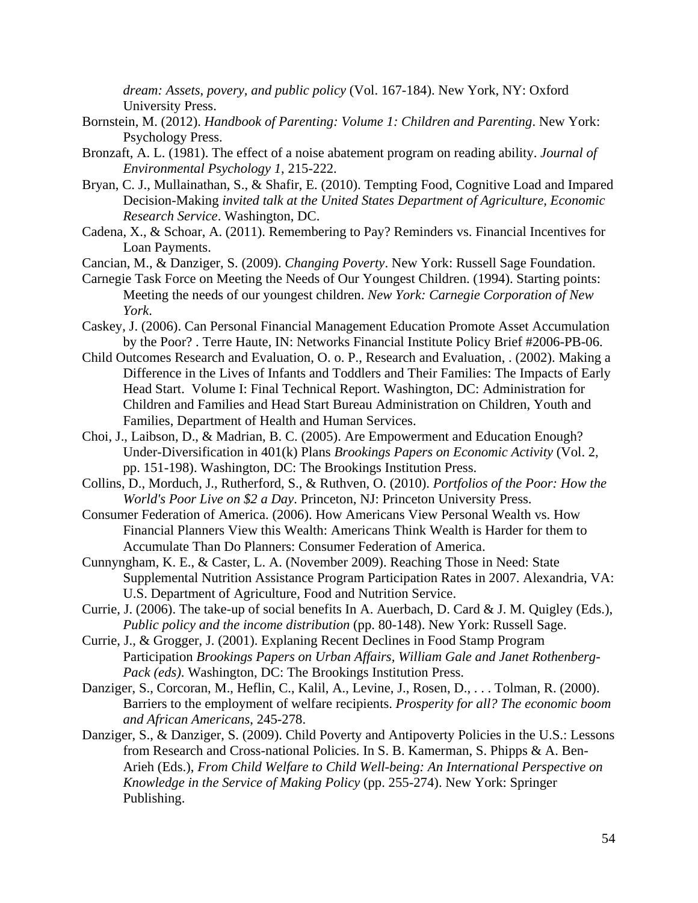*dream: Assets, povery, and public policy* (Vol. 167-184). New York, NY: Oxford University Press.

- Bornstein, M. (2012). *Handbook of Parenting: Volume 1: Children and Parenting*. New York: Psychology Press.
- Bronzaft, A. L. (1981). The effect of a noise abatement program on reading ability. *Journal of Environmental Psychology 1*, 215-222.
- Bryan, C. J., Mullainathan, S., & Shafir, E. (2010). Tempting Food, Cognitive Load and Impared Decision-Making *invited talk at the United States Department of Agriculture, Economic Research Service*. Washington, DC.
- Cadena, X., & Schoar, A. (2011). Remembering to Pay? Reminders vs. Financial Incentives for Loan Payments.
- Cancian, M., & Danziger, S. (2009). *Changing Poverty*. New York: Russell Sage Foundation.
- Carnegie Task Force on Meeting the Needs of Our Youngest Children. (1994). Starting points: Meeting the needs of our youngest children. *New York: Carnegie Corporation of New York*.
- Caskey, J. (2006). Can Personal Financial Management Education Promote Asset Accumulation by the Poor? . Terre Haute, IN: Networks Financial Institute Policy Brief #2006-PB-06.
- Child Outcomes Research and Evaluation, O. o. P., Research and Evaluation, . (2002). Making a Difference in the Lives of Infants and Toddlers and Their Families: The Impacts of Early Head Start. Volume I: Final Technical Report. Washington, DC: Administration for Children and Families and Head Start Bureau Administration on Children, Youth and Families, Department of Health and Human Services.
- Choi, J., Laibson, D., & Madrian, B. C. (2005). Are Empowerment and Education Enough? Under-Diversification in 401(k) Plans *Brookings Papers on Economic Activity* (Vol. 2, pp. 151-198). Washington, DC: The Brookings Institution Press.
- Collins, D., Morduch, J., Rutherford, S., & Ruthven, O. (2010). *Portfolios of the Poor: How the World's Poor Live on \$2 a Day*. Princeton, NJ: Princeton University Press.
- Consumer Federation of America. (2006). How Americans View Personal Wealth vs. How Financial Planners View this Wealth: Americans Think Wealth is Harder for them to Accumulate Than Do Planners: Consumer Federation of America.
- Cunnyngham, K. E., & Caster, L. A. (November 2009). Reaching Those in Need: State Supplemental Nutrition Assistance Program Participation Rates in 2007. Alexandria, VA: U.S. Department of Agriculture, Food and Nutrition Service.
- Currie, J. (2006). The take-up of social benefits In A. Auerbach, D. Card & J. M. Quigley (Eds.), *Public policy and the income distribution* (pp. 80-148). New York: Russell Sage.
- Currie, J., & Grogger, J. (2001). Explaning Recent Declines in Food Stamp Program Participation *Brookings Papers on Urban Affairs, William Gale and Janet Rothenberg-Pack (eds)*. Washington, DC: The Brookings Institution Press.
- Danziger, S., Corcoran, M., Heflin, C., Kalil, A., Levine, J., Rosen, D., . . . Tolman, R. (2000). Barriers to the employment of welfare recipients. *Prosperity for all? The economic boom and African Americans*, 245-278.
- Danziger, S., & Danziger, S. (2009). Child Poverty and Antipoverty Policies in the U.S.: Lessons from Research and Cross-national Policies. In S. B. Kamerman, S. Phipps & A. Ben-Arieh (Eds.), *From Child Welfare to Child Well-being: An International Perspective on Knowledge in the Service of Making Policy* (pp. 255-274). New York: Springer Publishing.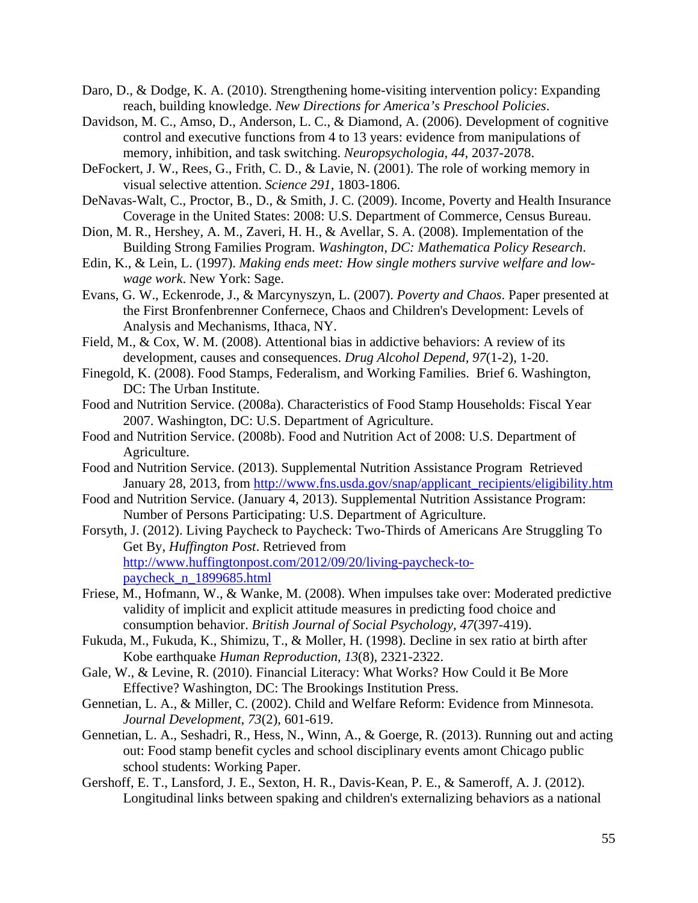- Daro, D., & Dodge, K. A. (2010). Strengthening home-visiting intervention policy: Expanding reach, building knowledge. *New Directions for America's Preschool Policies*.
- Davidson, M. C., Amso, D., Anderson, L. C., & Diamond, A. (2006). Development of cognitive control and executive functions from 4 to 13 years: evidence from manipulations of memory, inhibition, and task switching. *Neuropsychologia, 44*, 2037-2078.
- DeFockert, J. W., Rees, G., Frith, C. D., & Lavie, N. (2001). The role of working memory in visual selective attention. *Science 291*, 1803-1806.
- DeNavas-Walt, C., Proctor, B., D., & Smith, J. C. (2009). Income, Poverty and Health Insurance Coverage in the United States: 2008: U.S. Department of Commerce, Census Bureau.
- Dion, M. R., Hershey, A. M., Zaveri, H. H., & Avellar, S. A. (2008). Implementation of the Building Strong Families Program. *Washington, DC: Mathematica Policy Research*.
- Edin, K., & Lein, L. (1997). *Making ends meet: How single mothers survive welfare and lowwage work*. New York: Sage.
- Evans, G. W., Eckenrode, J., & Marcynyszyn, L. (2007). *Poverty and Chaos*. Paper presented at the First Bronfenbrenner Confernece, Chaos and Children's Development: Levels of Analysis and Mechanisms, Ithaca, NY.
- Field, M., & Cox, W. M. (2008). Attentional bias in addictive behaviors: A review of its development, causes and consequences. *Drug Alcohol Depend, 97*(1-2), 1-20.
- Finegold, K. (2008). Food Stamps, Federalism, and Working Families. Brief 6. Washington, DC: The Urban Institute.
- Food and Nutrition Service. (2008a). Characteristics of Food Stamp Households: Fiscal Year 2007. Washington, DC: U.S. Department of Agriculture.
- Food and Nutrition Service. (2008b). Food and Nutrition Act of 2008: U.S. Department of Agriculture.
- Food and Nutrition Service. (2013). Supplemental Nutrition Assistance Program Retrieved January 28, 2013, from http://www.fns.usda.gov/snap/applicant\_recipients/eligibility.htm
- Food and Nutrition Service. (January 4, 2013). Supplemental Nutrition Assistance Program: Number of Persons Participating: U.S. Department of Agriculture.
- Forsyth, J. (2012). Living Paycheck to Paycheck: Two-Thirds of Americans Are Struggling To Get By, *Huffington Post*. Retrieved from http://www.huffingtonpost.com/2012/09/20/living-paycheck-topaycheck\_n\_1899685.html
- Friese, M., Hofmann, W., & Wanke, M. (2008). When impulses take over: Moderated predictive validity of implicit and explicit attitude measures in predicting food choice and consumption behavior. *British Journal of Social Psychology, 47*(397-419).
- Fukuda, M., Fukuda, K., Shimizu, T., & Moller, H. (1998). Decline in sex ratio at birth after Kobe earthquake *Human Reproduction, 13*(8), 2321-2322.
- Gale, W., & Levine, R. (2010). Financial Literacy: What Works? How Could it Be More Effective? Washington, DC: The Brookings Institution Press.
- Gennetian, L. A., & Miller, C. (2002). Child and Welfare Reform: Evidence from Minnesota. *Journal Development, 73*(2), 601-619.
- Gennetian, L. A., Seshadri, R., Hess, N., Winn, A., & Goerge, R. (2013). Running out and acting out: Food stamp benefit cycles and school disciplinary events amont Chicago public school students: Working Paper.
- Gershoff, E. T., Lansford, J. E., Sexton, H. R., Davis-Kean, P. E., & Sameroff, A. J. (2012). Longitudinal links between spaking and children's externalizing behaviors as a national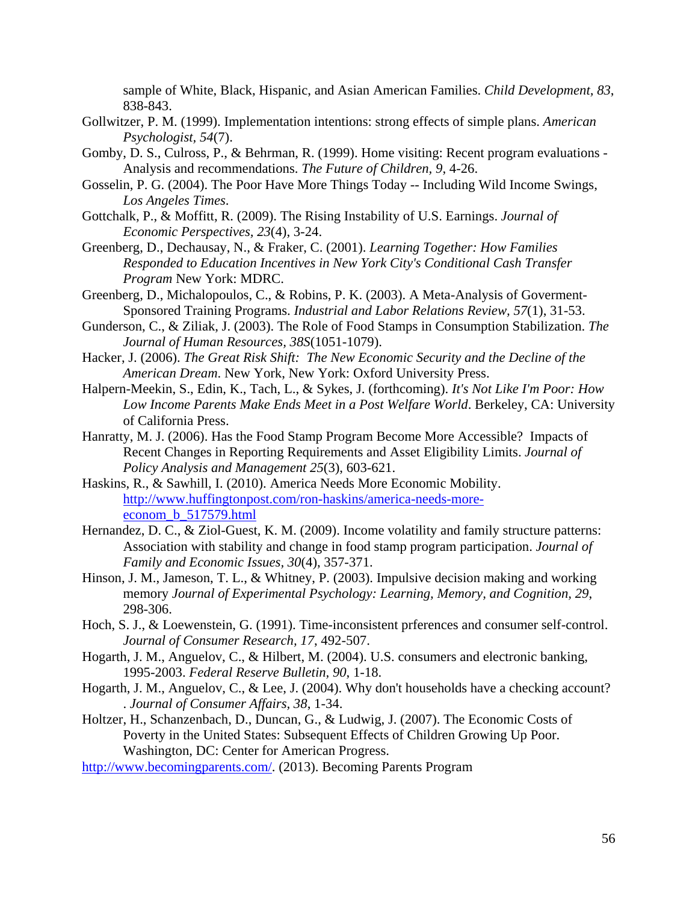sample of White, Black, Hispanic, and Asian American Families. *Child Development, 83*, 838-843.

- Gollwitzer, P. M. (1999). Implementation intentions: strong effects of simple plans. *American Psychologist, 54*(7).
- Gomby, D. S., Culross, P., & Behrman, R. (1999). Home visiting: Recent program evaluations Analysis and recommendations. *The Future of Children, 9*, 4-26.
- Gosselin, P. G. (2004). The Poor Have More Things Today -- Including Wild Income Swings, *Los Angeles Times*.
- Gottchalk, P., & Moffitt, R. (2009). The Rising Instability of U.S. Earnings. *Journal of Economic Perspectives, 23*(4), 3-24.
- Greenberg, D., Dechausay, N., & Fraker, C. (2001). *Learning Together: How Families Responded to Education Incentives in New York City's Conditional Cash Transfer Program* New York: MDRC.
- Greenberg, D., Michalopoulos, C., & Robins, P. K. (2003). A Meta-Analysis of Goverment-Sponsored Training Programs. *Industrial and Labor Relations Review, 57*(1), 31-53.
- Gunderson, C., & Ziliak, J. (2003). The Role of Food Stamps in Consumption Stabilization. *The Journal of Human Resources, 38S*(1051-1079).
- Hacker, J. (2006). *The Great Risk Shift: The New Economic Security and the Decline of the American Dream*. New York, New York: Oxford University Press.
- Halpern-Meekin, S., Edin, K., Tach, L., & Sykes, J. (forthcoming). *It's Not Like I'm Poor: How Low Income Parents Make Ends Meet in a Post Welfare World*. Berkeley, CA: University of California Press.
- Hanratty, M. J. (2006). Has the Food Stamp Program Become More Accessible? Impacts of Recent Changes in Reporting Requirements and Asset Eligibility Limits. *Journal of Policy Analysis and Management 25*(3), 603-621.
- Haskins, R., & Sawhill, I. (2010). America Needs More Economic Mobility. http://www.huffingtonpost.com/ron-haskins/america-needs-moreeconom\_b\_517579.html
- Hernandez, D. C., & Ziol-Guest, K. M. (2009). Income volatility and family structure patterns: Association with stability and change in food stamp program participation. *Journal of Family and Economic Issues, 30*(4), 357-371.
- Hinson, J. M., Jameson, T. L., & Whitney, P. (2003). Impulsive decision making and working memory *Journal of Experimental Psychology: Learning, Memory, and Cognition, 29*, 298-306.
- Hoch, S. J., & Loewenstein, G. (1991). Time-inconsistent prferences and consumer self-control. *Journal of Consumer Research, 17*, 492-507.
- Hogarth, J. M., Anguelov, C., & Hilbert, M. (2004). U.S. consumers and electronic banking, 1995-2003. *Federal Reserve Bulletin, 90*, 1-18.
- Hogarth, J. M., Anguelov, C., & Lee, J. (2004). Why don't households have a checking account? . *Journal of Consumer Affairs, 38*, 1-34.
- Holtzer, H., Schanzenbach, D., Duncan, G., & Ludwig, J. (2007). The Economic Costs of Poverty in the United States: Subsequent Effects of Children Growing Up Poor. Washington, DC: Center for American Progress.
- http://www.becomingparents.com/. (2013). Becoming Parents Program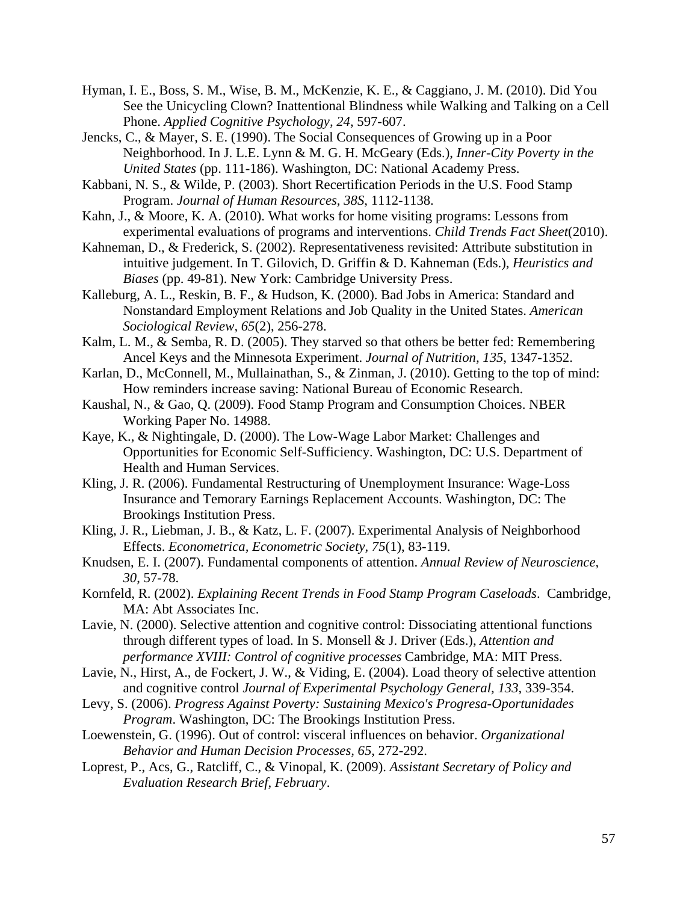- Hyman, I. E., Boss, S. M., Wise, B. M., McKenzie, K. E., & Caggiano, J. M. (2010). Did You See the Unicycling Clown? Inattentional Blindness while Walking and Talking on a Cell Phone. *Applied Cognitive Psychology, 24*, 597-607.
- Jencks, C., & Mayer, S. E. (1990). The Social Consequences of Growing up in a Poor Neighborhood. In J. L.E. Lynn & M. G. H. McGeary (Eds.), *Inner-City Poverty in the United States* (pp. 111-186). Washington, DC: National Academy Press.
- Kabbani, N. S., & Wilde, P. (2003). Short Recertification Periods in the U.S. Food Stamp Program. *Journal of Human Resources, 38S*, 1112-1138.
- Kahn, J., & Moore, K. A. (2010). What works for home visiting programs: Lessons from experimental evaluations of programs and interventions. *Child Trends Fact Sheet*(2010).
- Kahneman, D., & Frederick, S. (2002). Representativeness revisited: Attribute substitution in intuitive judgement. In T. Gilovich, D. Griffin & D. Kahneman (Eds.), *Heuristics and Biases* (pp. 49-81). New York: Cambridge University Press.
- Kalleburg, A. L., Reskin, B. F., & Hudson, K. (2000). Bad Jobs in America: Standard and Nonstandard Employment Relations and Job Quality in the United States. *American Sociological Review, 65*(2), 256-278.
- Kalm, L. M., & Semba, R. D. (2005). They starved so that others be better fed: Remembering Ancel Keys and the Minnesota Experiment. *Journal of Nutrition, 135*, 1347-1352.
- Karlan, D., McConnell, M., Mullainathan, S., & Zinman, J. (2010). Getting to the top of mind: How reminders increase saving: National Bureau of Economic Research.
- Kaushal, N., & Gao, Q. (2009). Food Stamp Program and Consumption Choices. NBER Working Paper No. 14988.
- Kaye, K., & Nightingale, D. (2000). The Low-Wage Labor Market: Challenges and Opportunities for Economic Self-Sufficiency. Washington, DC: U.S. Department of Health and Human Services.
- Kling, J. R. (2006). Fundamental Restructuring of Unemployment Insurance: Wage-Loss Insurance and Temorary Earnings Replacement Accounts. Washington, DC: The Brookings Institution Press.
- Kling, J. R., Liebman, J. B., & Katz, L. F. (2007). Experimental Analysis of Neighborhood Effects. *Econometrica, Econometric Society, 75*(1), 83-119.
- Knudsen, E. I. (2007). Fundamental components of attention. *Annual Review of Neuroscience, 30*, 57-78.
- Kornfeld, R. (2002). *Explaining Recent Trends in Food Stamp Program Caseloads*. Cambridge, MA: Abt Associates Inc.
- Lavie, N. (2000). Selective attention and cognitive control: Dissociating attentional functions through different types of load. In S. Monsell & J. Driver (Eds.), *Attention and performance XVIII: Control of cognitive processes* Cambridge, MA: MIT Press.
- Lavie, N., Hirst, A., de Fockert, J. W., & Viding, E. (2004). Load theory of selective attention and cognitive control *Journal of Experimental Psychology General, 133*, 339-354.
- Levy, S. (2006). *Progress Against Poverty: Sustaining Mexico's Progresa-Oportunidades Program*. Washington, DC: The Brookings Institution Press.
- Loewenstein, G. (1996). Out of control: visceral influences on behavior. *Organizational Behavior and Human Decision Processes, 65*, 272-292.
- Loprest, P., Acs, G., Ratcliff, C., & Vinopal, K. (2009). *Assistant Secretary of Policy and Evaluation Research Brief, February*.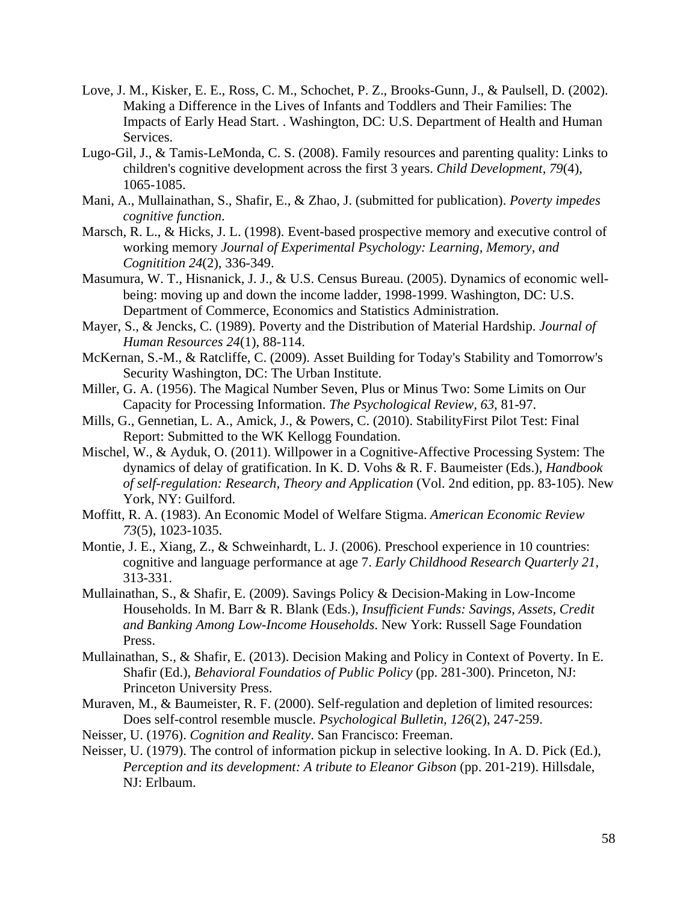- Love, J. M., Kisker, E. E., Ross, C. M., Schochet, P. Z., Brooks-Gunn, J., & Paulsell, D. (2002). Making a Difference in the Lives of Infants and Toddlers and Their Families: The Impacts of Early Head Start. . Washington, DC: U.S. Department of Health and Human Services.
- Lugo-Gil, J., & Tamis-LeMonda, C. S. (2008). Family resources and parenting quality: Links to children's cognitive development across the first 3 years. *Child Development, 79*(4), 1065-1085.
- Mani, A., Mullainathan, S., Shafir, E., & Zhao, J. (submitted for publication). *Poverty impedes cognitive function*.
- Marsch, R. L., & Hicks, J. L. (1998). Event-based prospective memory and executive control of working memory *Journal of Experimental Psychology: Learning, Memory, and Cognitition 24*(2), 336-349.
- Masumura, W. T., Hisnanick, J. J., & U.S. Census Bureau. (2005). Dynamics of economic wellbeing: moving up and down the income ladder, 1998-1999. Washington, DC: U.S. Department of Commerce, Economics and Statistics Administration.
- Mayer, S., & Jencks, C. (1989). Poverty and the Distribution of Material Hardship. *Journal of Human Resources 24*(1), 88-114.
- McKernan, S.-M., & Ratcliffe, C. (2009). Asset Building for Today's Stability and Tomorrow's Security Washington, DC: The Urban Institute.
- Miller, G. A. (1956). The Magical Number Seven, Plus or Minus Two: Some Limits on Our Capacity for Processing Information. *The Psychological Review, 63*, 81-97.
- Mills, G., Gennetian, L. A., Amick, J., & Powers, C. (2010). StabilityFirst Pilot Test: Final Report: Submitted to the WK Kellogg Foundation.
- Mischel, W., & Ayduk, O. (2011). Willpower in a Cognitive-Affective Processing System: The dynamics of delay of gratification. In K. D. Vohs & R. F. Baumeister (Eds.), *Handbook of self-regulation: Research, Theory and Application* (Vol. 2nd edition, pp. 83-105). New York, NY: Guilford.
- Moffitt, R. A. (1983). An Economic Model of Welfare Stigma. *American Economic Review 73*(5), 1023-1035.
- Montie, J. E., Xiang, Z., & Schweinhardt, L. J. (2006). Preschool experience in 10 countries: cognitive and language performance at age 7. *Early Childhood Research Quarterly 21*, 313-331.
- Mullainathan, S., & Shafir, E. (2009). Savings Policy & Decision-Making in Low-Income Households. In M. Barr & R. Blank (Eds.), *Insufficient Funds: Savings, Assets, Credit and Banking Among Low-Income Households*. New York: Russell Sage Foundation Press.
- Mullainathan, S., & Shafir, E. (2013). Decision Making and Policy in Context of Poverty. In E. Shafir (Ed.), *Behavioral Foundatios of Public Policy* (pp. 281-300). Princeton, NJ: Princeton University Press.
- Muraven, M., & Baumeister, R. F. (2000). Self-regulation and depletion of limited resources: Does self-control resemble muscle. *Psychological Bulletin, 126*(2), 247-259.
- Neisser, U. (1976). *Cognition and Reality*. San Francisco: Freeman.
- Neisser, U. (1979). The control of information pickup in selective looking. In A. D. Pick (Ed.), *Perception and its development: A tribute to Eleanor Gibson* (pp. 201-219). Hillsdale, NJ: Erlbaum.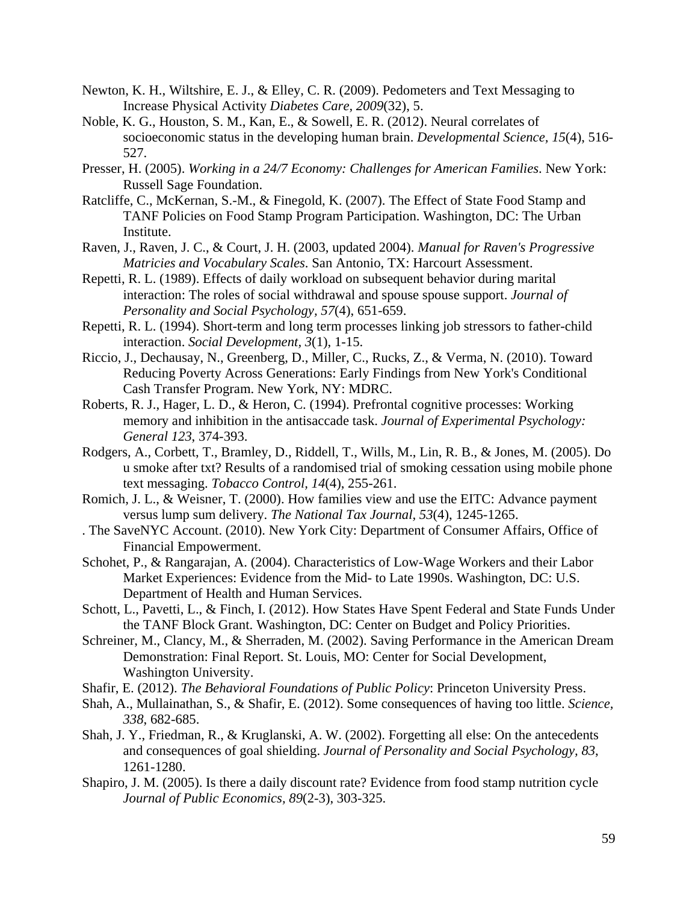- Newton, K. H., Wiltshire, E. J., & Elley, C. R. (2009). Pedometers and Text Messaging to Increase Physical Activity *Diabetes Care, 2009*(32), 5.
- Noble, K. G., Houston, S. M., Kan, E., & Sowell, E. R. (2012). Neural correlates of socioeconomic status in the developing human brain. *Developmental Science, 15*(4), 516- 527.
- Presser, H. (2005). *Working in a 24/7 Economy: Challenges for American Families*. New York: Russell Sage Foundation.
- Ratcliffe, C., McKernan, S.-M., & Finegold, K. (2007). The Effect of State Food Stamp and TANF Policies on Food Stamp Program Participation. Washington, DC: The Urban Institute.
- Raven, J., Raven, J. C., & Court, J. H. (2003, updated 2004). *Manual for Raven's Progressive Matricies and Vocabulary Scales*. San Antonio, TX: Harcourt Assessment.
- Repetti, R. L. (1989). Effects of daily workload on subsequent behavior during marital interaction: The roles of social withdrawal and spouse spouse support. *Journal of Personality and Social Psychology, 57*(4), 651-659.
- Repetti, R. L. (1994). Short-term and long term processes linking job stressors to father-child interaction. *Social Development, 3*(1), 1-15.
- Riccio, J., Dechausay, N., Greenberg, D., Miller, C., Rucks, Z., & Verma, N. (2010). Toward Reducing Poverty Across Generations: Early Findings from New York's Conditional Cash Transfer Program. New York, NY: MDRC.
- Roberts, R. J., Hager, L. D., & Heron, C. (1994). Prefrontal cognitive processes: Working memory and inhibition in the antisaccade task. *Journal of Experimental Psychology: General 123*, 374-393.
- Rodgers, A., Corbett, T., Bramley, D., Riddell, T., Wills, M., Lin, R. B., & Jones, M. (2005). Do u smoke after txt? Results of a randomised trial of smoking cessation using mobile phone text messaging. *Tobacco Control, 14*(4), 255-261.
- Romich, J. L., & Weisner, T. (2000). How families view and use the EITC: Advance payment versus lump sum delivery. *The National Tax Journal, 53*(4), 1245-1265.
- . The SaveNYC Account. (2010). New York City: Department of Consumer Affairs, Office of Financial Empowerment.
- Schohet, P., & Rangarajan, A. (2004). Characteristics of Low-Wage Workers and their Labor Market Experiences: Evidence from the Mid- to Late 1990s. Washington, DC: U.S. Department of Health and Human Services.
- Schott, L., Pavetti, L., & Finch, I. (2012). How States Have Spent Federal and State Funds Under the TANF Block Grant. Washington, DC: Center on Budget and Policy Priorities.
- Schreiner, M., Clancy, M., & Sherraden, M. (2002). Saving Performance in the American Dream Demonstration: Final Report. St. Louis, MO: Center for Social Development, Washington University.
- Shafir, E. (2012). *The Behavioral Foundations of Public Policy*: Princeton University Press.
- Shah, A., Mullainathan, S., & Shafir, E. (2012). Some consequences of having too little. *Science, 338*, 682-685.
- Shah, J. Y., Friedman, R., & Kruglanski, A. W. (2002). Forgetting all else: On the antecedents and consequences of goal shielding. *Journal of Personality and Social Psychology, 83*, 1261-1280.
- Shapiro, J. M. (2005). Is there a daily discount rate? Evidence from food stamp nutrition cycle *Journal of Public Economics, 89*(2-3), 303-325.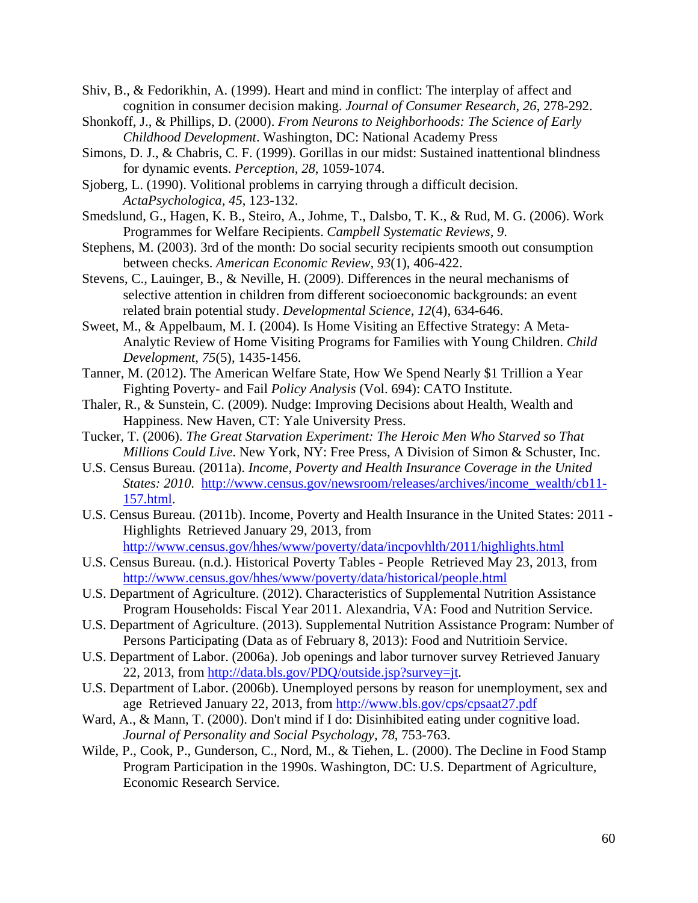Shiv, B., & Fedorikhin, A. (1999). Heart and mind in conflict: The interplay of affect and cognition in consumer decision making. *Journal of Consumer Research, 26*, 278-292.

- Shonkoff, J., & Phillips, D. (2000). *From Neurons to Neighborhoods: The Science of Early Childhood Development*. Washington, DC: National Academy Press
- Simons, D. J., & Chabris, C. F. (1999). Gorillas in our midst: Sustained inattentional blindness for dynamic events. *Perception, 28*, 1059-1074.
- Sjoberg, L. (1990). Volitional problems in carrying through a difficult decision. *ActaPsychologica, 45*, 123-132.
- Smedslund, G., Hagen, K. B., Steiro, A., Johme, T., Dalsbo, T. K., & Rud, M. G. (2006). Work Programmes for Welfare Recipients. *Campbell Systematic Reviews, 9*.
- Stephens, M. (2003). 3rd of the month: Do social security recipients smooth out consumption between checks. *American Economic Review, 93*(1), 406-422.
- Stevens, C., Lauinger, B., & Neville, H. (2009). Differences in the neural mechanisms of selective attention in children from different socioeconomic backgrounds: an event related brain potential study. *Developmental Science, 12*(4), 634-646.
- Sweet, M., & Appelbaum, M. I. (2004). Is Home Visiting an Effective Strategy: A Meta-Analytic Review of Home Visiting Programs for Families with Young Children. *Child Development, 75*(5), 1435-1456.
- Tanner, M. (2012). The American Welfare State, How We Spend Nearly \$1 Trillion a Year Fighting Poverty- and Fail *Policy Analysis* (Vol. 694): CATO Institute.
- Thaler, R., & Sunstein, C. (2009). Nudge: Improving Decisions about Health, Wealth and Happiness. New Haven, CT: Yale University Press.
- Tucker, T. (2006). *The Great Starvation Experiment: The Heroic Men Who Starved so That Millions Could Live*. New York, NY: Free Press, A Division of Simon & Schuster, Inc.
- U.S. Census Bureau. (2011a). *Income, Poverty and Health Insurance Coverage in the United States: 2010*. http://www.census.gov/newsroom/releases/archives/income\_wealth/cb11- 157.html.
- U.S. Census Bureau. (2011b). Income, Poverty and Health Insurance in the United States: 2011 Highlights Retrieved January 29, 2013, from http://www.census.gov/hhes/www/poverty/data/incpovhlth/2011/highlights.html
- U.S. Census Bureau. (n.d.). Historical Poverty Tables People Retrieved May 23, 2013, from http://www.census.gov/hhes/www/poverty/data/historical/people.html
- U.S. Department of Agriculture. (2012). Characteristics of Supplemental Nutrition Assistance Program Households: Fiscal Year 2011. Alexandria, VA: Food and Nutrition Service.
- U.S. Department of Agriculture. (2013). Supplemental Nutrition Assistance Program: Number of Persons Participating (Data as of February 8, 2013): Food and Nutritioin Service.
- U.S. Department of Labor. (2006a). Job openings and labor turnover survey Retrieved January 22, 2013, from http://data.bls.gov/PDQ/outside.jsp?survey=jt.
- U.S. Department of Labor. (2006b). Unemployed persons by reason for unemployment, sex and age Retrieved January 22, 2013, from http://www.bls.gov/cps/cpsaat27.pdf
- Ward, A., & Mann, T. (2000). Don't mind if I do: Disinhibited eating under cognitive load. *Journal of Personality and Social Psychology, 78*, 753-763.
- Wilde, P., Cook, P., Gunderson, C., Nord, M., & Tiehen, L. (2000). The Decline in Food Stamp Program Participation in the 1990s. Washington, DC: U.S. Department of Agriculture, Economic Research Service.